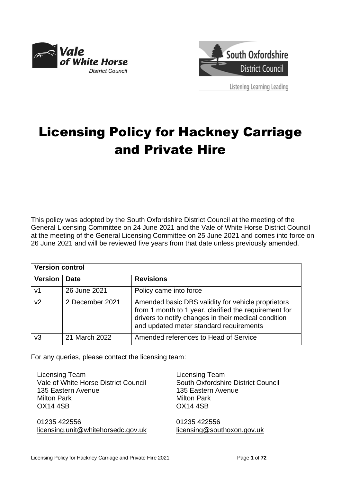



Listening Learning Leading

# Licensing Policy for Hackney Carriage and Private Hire

This policy was adopted by the South Oxfordshire District Council at the meeting of the General Licensing Committee on 24 June 2021 and the Vale of White Horse District Council at the meeting of the General Licensing Committee on 25 June 2021 and comes into force on 26 June 2021 and will be reviewed five years from that date unless previously amended.

| <b>Version control</b> |                 |                                                                                                                                                                                                                |  |  |
|------------------------|-----------------|----------------------------------------------------------------------------------------------------------------------------------------------------------------------------------------------------------------|--|--|
| <b>Version</b>         | Date            | <b>Revisions</b>                                                                                                                                                                                               |  |  |
| V <sub>1</sub>         | 26 June 2021    | Policy came into force                                                                                                                                                                                         |  |  |
| v <sub>2</sub>         | 2 December 2021 | Amended basic DBS validity for vehicle proprietors<br>from 1 month to 1 year, clarified the requirement for<br>drivers to notify changes in their medical condition<br>and updated meter standard requirements |  |  |
| v3                     | 21 March 2022   | Amended references to Head of Service                                                                                                                                                                          |  |  |

For any queries, please contact the licensing team:

Licensing Team Vale of White Horse District Council 135 Eastern Avenue Milton Park OX14 4SB 01235 422556 [licensing.unit@whitehorsedc.gov.uk](mailto:licensing.unit@whitehorsedc.gov.uk) Licensing Team South Oxfordshire District Council 135 Eastern Avenue Milton Park OX14 4SB 01235 422556 [licensing@southoxon.gov.uk](mailto:licensing@southoxon.gov.uk)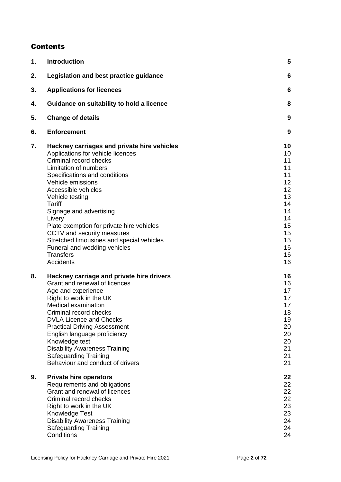#### **Contents**

| 1. | <b>Introduction</b>                                                                                                                                                                                                                                                                                                                                                                                                                                                                       | 5                                                                                                  |
|----|-------------------------------------------------------------------------------------------------------------------------------------------------------------------------------------------------------------------------------------------------------------------------------------------------------------------------------------------------------------------------------------------------------------------------------------------------------------------------------------------|----------------------------------------------------------------------------------------------------|
| 2. | Legislation and best practice guidance                                                                                                                                                                                                                                                                                                                                                                                                                                                    | 6                                                                                                  |
| 3. | <b>Applications for licences</b>                                                                                                                                                                                                                                                                                                                                                                                                                                                          | 6                                                                                                  |
| 4. | Guidance on suitability to hold a licence                                                                                                                                                                                                                                                                                                                                                                                                                                                 | 8                                                                                                  |
| 5. | <b>Change of details</b>                                                                                                                                                                                                                                                                                                                                                                                                                                                                  | 9                                                                                                  |
| 6. | <b>Enforcement</b>                                                                                                                                                                                                                                                                                                                                                                                                                                                                        | 9                                                                                                  |
| 7. | Hackney carriages and private hire vehicles<br>Applications for vehicle licences<br>Criminal record checks<br>Limitation of numbers<br>Specifications and conditions<br>Vehicle emissions<br>Accessible vehicles<br>Vehicle testing<br><b>Tariff</b><br>Signage and advertising<br>Livery<br>Plate exemption for private hire vehicles<br>CCTV and security measures<br>Stretched limousines and special vehicles<br>Funeral and wedding vehicles<br><b>Transfers</b><br><b>Accidents</b> | 10<br>10<br>11<br>11<br>11<br>12<br>12<br>13<br>14<br>14<br>14<br>15<br>15<br>15<br>16<br>16<br>16 |
| 8. | Hackney carriage and private hire drivers<br>Grant and renewal of licences<br>Age and experience<br>Right to work in the UK<br><b>Medical examination</b><br>Criminal record checks<br><b>DVLA Licence and Checks</b><br><b>Practical Driving Assessment</b><br>English language proficiency<br>Knowledge test<br><b>Disability Awareness Training</b><br><b>Safeguarding Training</b><br>Behaviour and conduct of drivers                                                                | 16<br>16<br>17<br>17<br>17<br>18<br>19<br>20<br>20<br>20<br>21<br>21<br>21                         |
| 9. | <b>Private hire operators</b><br>Requirements and obligations<br>Grant and renewal of licences<br>Criminal record checks<br>Right to work in the UK<br>Knowledge Test<br><b>Disability Awareness Training</b><br><b>Safeguarding Training</b><br>Conditions                                                                                                                                                                                                                               | 22<br>22<br>22<br>22<br>23<br>23<br>24<br>24<br>24                                                 |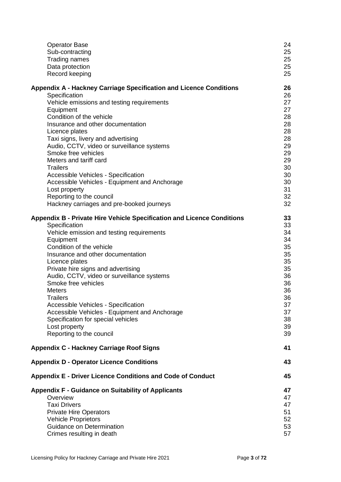| <b>Operator Base</b>                                                          | 24 |
|-------------------------------------------------------------------------------|----|
| Sub-contracting                                                               | 25 |
| <b>Trading names</b>                                                          | 25 |
| Data protection                                                               | 25 |
| Record keeping                                                                | 25 |
| <b>Appendix A - Hackney Carriage Specification and Licence Conditions</b>     | 26 |
| Specification                                                                 | 26 |
| Vehicle emissions and testing requirements                                    | 27 |
| Equipment                                                                     | 27 |
| Condition of the vehicle                                                      | 28 |
| Insurance and other documentation                                             | 28 |
| Licence plates                                                                | 28 |
| Taxi signs, livery and advertising                                            | 28 |
| Audio, CCTV, video or surveillance systems                                    | 29 |
| Smoke free vehicles                                                           | 29 |
| Meters and tariff card                                                        | 29 |
| <b>Trailers</b>                                                               | 30 |
| <b>Accessible Vehicles - Specification</b>                                    | 30 |
| Accessible Vehicles - Equipment and Anchorage                                 | 30 |
| Lost property                                                                 | 31 |
| Reporting to the council                                                      | 32 |
| Hackney carriages and pre-booked journeys                                     | 32 |
| <b>Appendix B - Private Hire Vehicle Specification and Licence Conditions</b> | 33 |
| Specification                                                                 | 33 |
| Vehicle emission and testing requirements                                     | 34 |
| Equipment                                                                     | 34 |
| Condition of the vehicle                                                      | 35 |
| Insurance and other documentation                                             | 35 |
| Licence plates                                                                | 35 |
| Private hire signs and advertising                                            | 35 |
| Audio, CCTV, video or surveillance systems                                    | 36 |
| Smoke free vehicles                                                           | 36 |
| <b>Meters</b>                                                                 | 36 |
| <b>Trailers</b>                                                               | 36 |
| <b>Accessible Vehicles - Specification</b>                                    | 37 |
| Accessible Vehicles - Equipment and Anchorage                                 | 37 |
| Specification for special vehicles                                            | 38 |
| Lost property                                                                 | 39 |
| Reporting to the council                                                      | 39 |
| <b>Appendix C - Hackney Carriage Roof Signs</b>                               | 41 |
| <b>Appendix D - Operator Licence Conditions</b>                               | 43 |
| <b>Appendix E - Driver Licence Conditions and Code of Conduct</b>             | 45 |
| <b>Appendix F - Guidance on Suitability of Applicants</b>                     | 47 |
| Overview                                                                      | 47 |
| <b>Taxi Drivers</b>                                                           | 47 |
| <b>Private Hire Operators</b>                                                 | 51 |
| <b>Vehicle Proprietors</b>                                                    | 52 |
| Guidance on Determination                                                     | 53 |
| Crimes resulting in death                                                     | 57 |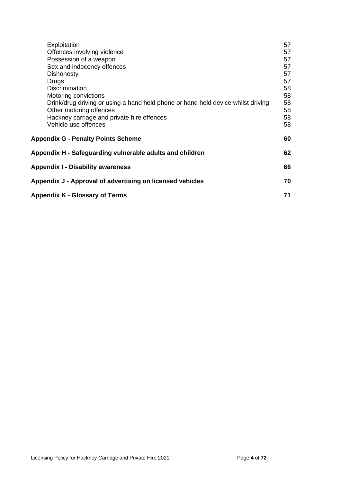| Exploitation                                                                     | 57 |  |
|----------------------------------------------------------------------------------|----|--|
| Offences involving violence                                                      | 57 |  |
| Possession of a weapon                                                           | 57 |  |
| Sex and indecency offences                                                       | 57 |  |
| <b>Dishonesty</b>                                                                | 57 |  |
| Drugs                                                                            | 57 |  |
| <b>Discrimination</b>                                                            | 58 |  |
| Motoring convictions                                                             | 58 |  |
| Drink/drug driving or using a hand held phone or hand held device whilst driving | 58 |  |
| Other motoring offences                                                          | 58 |  |
| Hackney carriage and private hire offences                                       | 58 |  |
| Vehicle use offences                                                             | 58 |  |
| <b>Appendix G - Penalty Points Scheme</b>                                        | 60 |  |
| Appendix H - Safeguarding vulnerable adults and children                         | 62 |  |
| <b>Appendix I - Disability awareness</b>                                         | 66 |  |
| Appendix J - Approval of advertising on licensed vehicles                        |    |  |
| Appendix K - Glossary of Terms                                                   |    |  |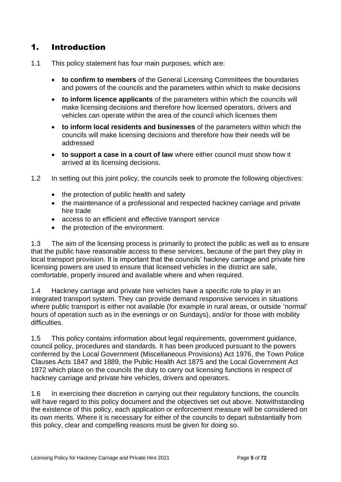# <span id="page-4-0"></span>1. Introduction

- 1.1 This policy statement has four main purposes, which are:
	- **to confirm to members** of the General Licensing Committees the boundaries and powers of the councils and the parameters within which to make decisions
	- **to inform licence applicants** of the parameters within which the councils will make licensing decisions and therefore how licensed operators, drivers and vehicles can operate within the area of the council which licenses them
	- **to inform local residents and businesses** of the parameters within which the councils will make licensing decisions and therefore how their needs will be addressed
	- **to support a case in a court of law** where either council must show how it arrived at its licensing decisions.
- 1.2 In setting out this joint policy, the councils seek to promote the following objectives:
	- the protection of public health and safety
	- the maintenance of a professional and respected hackney carriage and private hire trade
	- access to an efficient and effective transport service
	- the protection of the environment.

1.3 The aim of the licensing process is primarily to protect the public as well as to ensure that the public have reasonable access to these services, because of the part they play in local transport provision. It is important that the councils' hackney carriage and private hire licensing powers are used to ensure that licensed vehicles in the district are safe, comfortable, properly insured and available where and when required.

1.4 Hackney carriage and private hire vehicles have a specific role to play in an integrated transport system. They can provide demand responsive services in situations where public transport is either not available (for example in rural areas, or outside 'normal' hours of operation such as in the evenings or on Sundays), and/or for those with mobility difficulties.

1.5 This policy contains information about legal requirements, government guidance, council policy, procedures and standards. It has been produced pursuant to the powers conferred by the Local Government (Miscellaneous Provisions) Act 1976, the Town Police Clauses Acts 1847 and 1889, the Public Health Act 1875 and the Local Government Act 1972 which place on the councils the duty to carry out licensing functions in respect of hackney carriage and private hire vehicles, drivers and operators.

1.6 In exercising their discretion in carrying out their regulatory functions, the councils will have regard to this policy document and the objectives set out above. Notwithstanding the existence of this policy, each application or enforcement measure will be considered on its own merits. Where it is necessary for either of the councils to depart substantially from this policy, clear and compelling reasons must be given for doing so.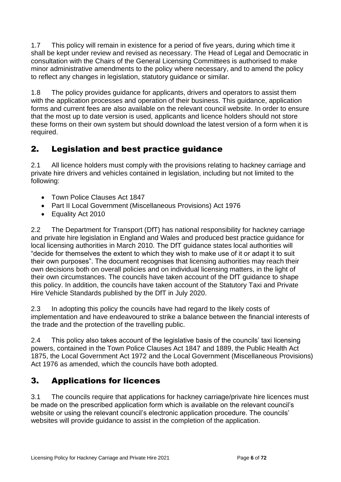1.7 This policy will remain in existence for a period of five years, during which time it shall be kept under review and revised as necessary. The Head of Legal and Democratic in consultation with the Chairs of the General Licensing Committees is authorised to make minor administrative amendments to the policy where necessary, and to amend the policy to reflect any changes in legislation, statutory guidance or similar.

1.8 The policy provides guidance for applicants, drivers and operators to assist them with the application processes and operation of their business. This guidance, application forms and current fees are also available on the relevant council website. In order to ensure that the most up to date version is used, applicants and licence holders should not store these forms on their own system but should download the latest version of a form when it is required.

# <span id="page-5-0"></span>2. Legislation and best practice guidance

2.1 All licence holders must comply with the provisions relating to hackney carriage and private hire drivers and vehicles contained in legislation, including but not limited to the following:

- Town Police Clauses Act 1847
- Part II Local Government (Miscellaneous Provisions) Act 1976
- Equality Act 2010

2.2 The Department for Transport (DfT) has national responsibility for hackney carriage and private hire legislation in England and Wales and produced best practice guidance for local licensing authorities in March 2010. The DfT guidance states local authorities will "decide for themselves the extent to which they wish to make use of it or adapt it to suit their own purposes". The document recognises that licensing authorities may reach their own decisions both on overall policies and on individual licensing matters, in the light of their own circumstances. The councils have taken account of the DfT guidance to shape this policy. In addition, the councils have taken account of the Statutory Taxi and Private Hire Vehicle Standards published by the DfT in July 2020.

2.3 In adopting this policy the councils have had regard to the likely costs of implementation and have endeavoured to strike a balance between the financial interests of the trade and the protection of the travelling public.

2.4 This policy also takes account of the legislative basis of the councils' taxi licensing powers, contained in the Town Police Clauses Act 1847 and 1889, the Public Health Act 1875, the Local Government Act 1972 and the Local Government (Miscellaneous Provisions) Act 1976 as amended, which the councils have both adopted.

# <span id="page-5-1"></span>3. Applications for licences

3.1 The councils require that applications for hackney carriage/private hire licences must be made on the prescribed application form which is available on the relevant council's website or using the relevant council's electronic application procedure. The councils' websites will provide guidance to assist in the completion of the application.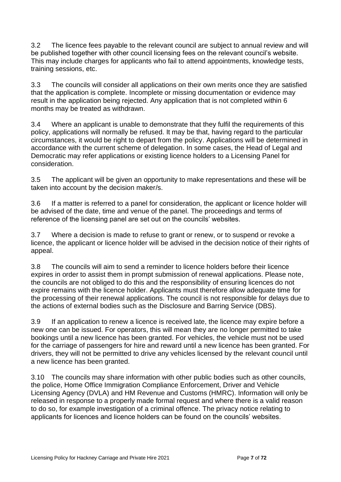3.2 The licence fees payable to the relevant council are subject to annual review and will be published together with other council licensing fees on the relevant council's website. This may include charges for applicants who fail to attend appointments, knowledge tests, training sessions, etc.

3.3 The councils will consider all applications on their own merits once they are satisfied that the application is complete. Incomplete or missing documentation or evidence may result in the application being rejected. Any application that is not completed within 6 months may be treated as withdrawn.

3.4 Where an applicant is unable to demonstrate that they fulfil the requirements of this policy, applications will normally be refused. It may be that, having regard to the particular circumstances, it would be right to depart from the policy. Applications will be determined in accordance with the current scheme of delegation. In some cases, the Head of Legal and Democratic may refer applications or existing licence holders to a Licensing Panel for consideration.

3.5 The applicant will be given an opportunity to make representations and these will be taken into account by the decision maker/s.

3.6 If a matter is referred to a panel for consideration, the applicant or licence holder will be advised of the date, time and venue of the panel. The proceedings and terms of reference of the licensing panel are set out on the councils' websites.

3.7 Where a decision is made to refuse to grant or renew, or to suspend or revoke a licence, the applicant or licence holder will be advised in the decision notice of their rights of appeal.

3.8 The councils will aim to send a reminder to licence holders before their licence expires in order to assist them in prompt submission of renewal applications. Please note, the councils are not obliged to do this and the responsibility of ensuring licences do not expire remains with the licence holder. Applicants must therefore allow adequate time for the processing of their renewal applications. The council is not responsible for delays due to the actions of external bodies such as the Disclosure and Barring Service (DBS).

3.9 If an application to renew a licence is received late, the licence may expire before a new one can be issued. For operators, this will mean they are no longer permitted to take bookings until a new licence has been granted. For vehicles, the vehicle must not be used for the carriage of passengers for hire and reward until a new licence has been granted. For drivers, they will not be permitted to drive any vehicles licensed by the relevant council until a new licence has been granted.

3.10 The councils may share information with other public bodies such as other councils, the police, Home Office Immigration Compliance Enforcement, Driver and Vehicle Licensing Agency (DVLA) and HM Revenue and Customs (HMRC). Information will only be released in response to a properly made formal request and where there is a valid reason to do so, for example investigation of a criminal offence. The privacy notice relating to applicants for licences and licence holders can be found on the councils' websites.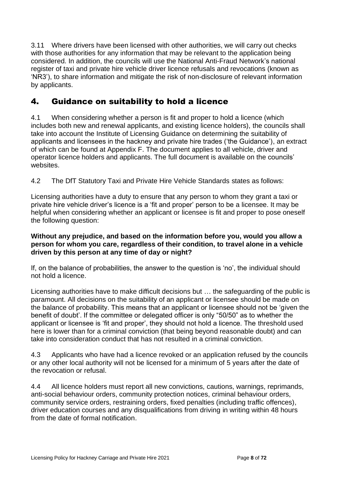3.11 Where drivers have been licensed with other authorities, we will carry out checks with those authorities for any information that may be relevant to the application being considered. In addition, the councils will use the National Anti-Fraud Network's national register of taxi and private hire vehicle driver licence refusals and revocations (known as 'NR3'), to share information and mitigate the risk of non-disclosure of relevant information by applicants.

# <span id="page-7-0"></span>4. Guidance on suitability to hold a licence

4.1 When considering whether a person is fit and proper to hold a licence (which includes both new and renewal applicants, and existing licence holders), the councils shall take into account the Institute of Licensing Guidance on determining the suitability of applicants and licensees in the hackney and private hire trades ('the Guidance'), an extract of which can be found at Appendix F. The document applies to all vehicle, driver and operator licence holders and applicants. The full document is available on the councils' websites.

4.2 The DfT Statutory Taxi and Private Hire Vehicle Standards states as follows:

Licensing authorities have a duty to ensure that any person to whom they grant a taxi or private hire vehicle driver's licence is a 'fit and proper' person to be a licensee. It may be helpful when considering whether an applicant or licensee is fit and proper to pose oneself the following question:

#### **Without any prejudice, and based on the information before you, would you allow a person for whom you care, regardless of their condition, to travel alone in a vehicle driven by this person at any time of day or night?**

If, on the balance of probabilities, the answer to the question is 'no', the individual should not hold a licence.

Licensing authorities have to make difficult decisions but … the safeguarding of the public is paramount. All decisions on the suitability of an applicant or licensee should be made on the balance of probability. This means that an applicant or licensee should not be 'given the benefit of doubt'. If the committee or delegated officer is only "50/50" as to whether the applicant or licensee is 'fit and proper', they should not hold a licence. The threshold used here is lower than for a criminal conviction (that being beyond reasonable doubt) and can take into consideration conduct that has not resulted in a criminal conviction.

4.3 Applicants who have had a licence revoked or an application refused by the councils or any other local authority will not be licensed for a minimum of 5 years after the date of the revocation or refusal.

4.4 All licence holders must report all new convictions, cautions, warnings, reprimands, anti-social behaviour orders, community protection notices, criminal behaviour orders, community service orders, restraining orders, fixed penalties (including traffic offences), driver education courses and any disqualifications from driving in writing within 48 hours from the date of formal notification.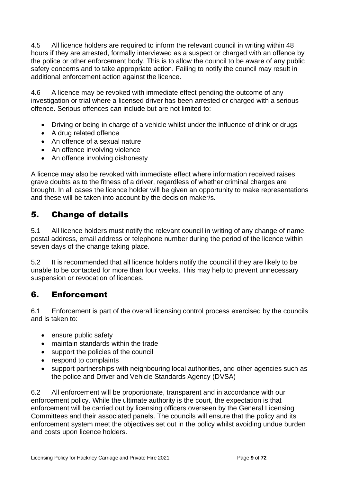4.5 All licence holders are required to inform the relevant council in writing within 48 hours if they are arrested, formally interviewed as a suspect or charged with an offence by the police or other enforcement body. This is to allow the council to be aware of any public safety concerns and to take appropriate action. Failing to notify the council may result in additional enforcement action against the licence.

4.6 A licence may be revoked with immediate effect pending the outcome of any investigation or trial where a licensed driver has been arrested or charged with a serious offence. Serious offences can include but are not limited to:

- Driving or being in charge of a vehicle whilst under the influence of drink or drugs
- A drug related offence
- An offence of a sexual nature
- An offence involving violence
- An offence involving dishonesty

A licence may also be revoked with immediate effect where information received raises grave doubts as to the fitness of a driver, regardless of whether criminal charges are brought. In all cases the licence holder will be given an opportunity to make representations and these will be taken into account by the decision maker/s.

# <span id="page-8-0"></span>5. Change of details

5.1 All licence holders must notify the relevant council in writing of any change of name, postal address, email address or telephone number during the period of the licence within seven days of the change taking place.

5.2 It is recommended that all licence holders notify the council if they are likely to be unable to be contacted for more than four weeks. This may help to prevent unnecessary suspension or revocation of licences.

# <span id="page-8-1"></span>6. Enforcement

6.1 Enforcement is part of the overall licensing control process exercised by the councils and is taken to:

- ensure public safety
- maintain standards within the trade
- support the policies of the council
- respond to complaints
- support partnerships with neighbouring local authorities, and other agencies such as the police and Driver and Vehicle Standards Agency (DVSA)

6.2 All enforcement will be proportionate, transparent and in accordance with our enforcement policy. While the ultimate authority is the court, the expectation is that enforcement will be carried out by licensing officers overseen by the General Licensing Committees and their associated panels. The councils will ensure that the policy and its enforcement system meet the objectives set out in the policy whilst avoiding undue burden and costs upon licence holders.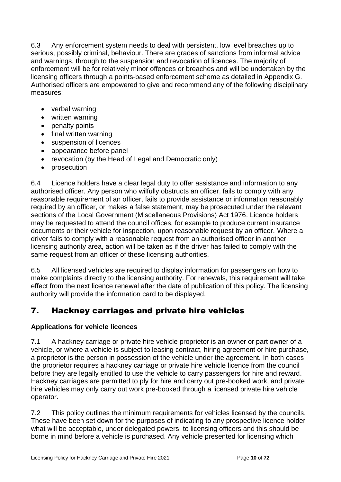6.3 Any enforcement system needs to deal with persistent, low level breaches up to serious, possibly criminal, behaviour. There are grades of sanctions from informal advice and warnings, through to the suspension and revocation of licences. The majority of enforcement will be for relatively minor offences or breaches and will be undertaken by the licensing officers through a points-based enforcement scheme as detailed in Appendix G. Authorised officers are empowered to give and recommend any of the following disciplinary measures:

- verbal warning
- written warning
- penalty points
- final written warning
- suspension of licences
- appearance before panel
- revocation (by the Head of Legal and Democratic only)
- prosecution

6.4 Licence holders have a clear legal duty to offer assistance and information to any authorised officer. Any person who wilfully obstructs an officer, fails to comply with any reasonable requirement of an officer, fails to provide assistance or information reasonably required by an officer, or makes a false statement, may be prosecuted under the relevant sections of the Local Government (Miscellaneous Provisions) Act 1976. Licence holders may be requested to attend the council offices, for example to produce current insurance documents or their vehicle for inspection, upon reasonable request by an officer. Where a driver fails to comply with a reasonable request from an authorised officer in another licensing authority area, action will be taken as if the driver has failed to comply with the same request from an officer of these licensing authorities.

6.5 All licensed vehicles are required to display information for passengers on how to make complaints directly to the licensing authority. For renewals, this requirement will take effect from the next licence renewal after the date of publication of this policy. The licensing authority will provide the information card to be displayed.

# <span id="page-9-0"></span>7. Hackney carriages and private hire vehicles

# <span id="page-9-1"></span>**Applications for vehicle licences**

7.1 A hackney carriage or private hire vehicle proprietor is an owner or part owner of a vehicle, or where a vehicle is subject to leasing contract, hiring agreement or hire purchase, a proprietor is the person in possession of the vehicle under the agreement. In both cases the proprietor requires a hackney carriage or private hire vehicle licence from the council before they are legally entitled to use the vehicle to carry passengers for hire and reward. Hackney carriages are permitted to ply for hire and carry out pre-booked work, and private hire vehicles may only carry out work pre-booked through a licensed private hire vehicle operator.

7.2 This policy outlines the minimum requirements for vehicles licensed by the councils. These have been set down for the purposes of indicating to any prospective licence holder what will be acceptable, under delegated powers, to licensing officers and this should be borne in mind before a vehicle is purchased. Any vehicle presented for licensing which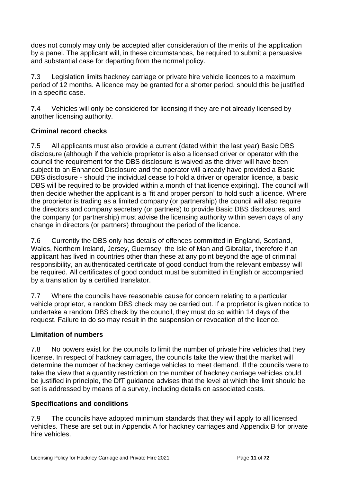does not comply may only be accepted after consideration of the merits of the application by a panel. The applicant will, in these circumstances, be required to submit a persuasive and substantial case for departing from the normal policy.

7.3 Legislation limits hackney carriage or private hire vehicle licences to a maximum period of 12 months. A licence may be granted for a shorter period, should this be justified in a specific case.

7.4 Vehicles will only be considered for licensing if they are not already licensed by another licensing authority.

# <span id="page-10-0"></span>**Criminal record checks**

7.5 All applicants must also provide a current (dated within the last year) Basic DBS disclosure (although if the vehicle proprietor is also a licensed driver or operator with the council the requirement for the DBS disclosure is waived as the driver will have been subject to an Enhanced Disclosure and the operator will already have provided a Basic DBS disclosure - should the individual cease to hold a driver or operator licence, a basic DBS will be required to be provided within a month of that licence expiring). The council will then decide whether the applicant is a 'fit and proper person' to hold such a licence. Where the proprietor is trading as a limited company (or partnership) the council will also require the directors and company secretary (or partners) to provide Basic DBS disclosures, and the company (or partnership) must advise the licensing authority within seven days of any change in directors (or partners) throughout the period of the licence.

7.6 Currently the DBS only has details of offences committed in England, Scotland, Wales, Northern Ireland, Jersey, Guernsey, the Isle of Man and Gibraltar, therefore if an applicant has lived in countries other than these at any point beyond the age of criminal responsibility, an authenticated certificate of good conduct from the relevant embassy will be required. All certificates of good conduct must be submitted in English or accompanied by a translation by a certified translator.

7.7 Where the councils have reasonable cause for concern relating to a particular vehicle proprietor, a random DBS check may be carried out. If a proprietor is given notice to undertake a random DBS check by the council, they must do so within 14 days of the request. Failure to do so may result in the suspension or revocation of the licence.

# <span id="page-10-1"></span>**Limitation of numbers**

7.8 No powers exist for the councils to limit the number of private hire vehicles that they license. In respect of hackney carriages, the councils take the view that the market will determine the number of hackney carriage vehicles to meet demand. If the councils were to take the view that a quantity restriction on the number of hackney carriage vehicles could be justified in principle, the DfT guidance advises that the level at which the limit should be set is addressed by means of a survey, including details on associated costs.

# <span id="page-10-2"></span>**Specifications and conditions**

7.9 The councils have adopted minimum standards that they will apply to all licensed vehicles. These are set out in Appendix A for hackney carriages and Appendix B for private hire vehicles.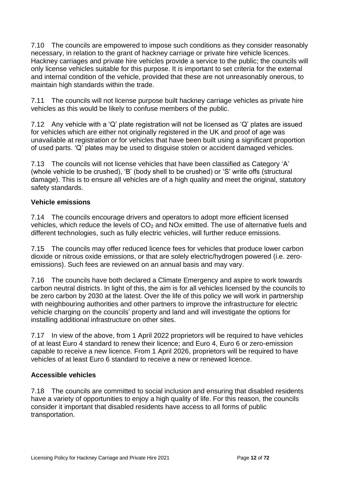7.10 The councils are empowered to impose such conditions as they consider reasonably necessary, in relation to the grant of hackney carriage or private hire vehicle licences. Hackney carriages and private hire vehicles provide a service to the public; the councils will only license vehicles suitable for this purpose. It is important to set criteria for the external and internal condition of the vehicle, provided that these are not unreasonably onerous, to maintain high standards within the trade.

7.11 The councils will not license purpose built hackney carriage vehicles as private hire vehicles as this would be likely to confuse members of the public.

7.12 Any vehicle with a 'Q' plate registration will not be licensed as 'Q' plates are issued for vehicles which are either not originally registered in the UK and proof of age was unavailable at registration or for vehicles that have been built using a significant proportion of used parts. 'Q' plates may be used to disguise stolen or accident damaged vehicles.

7.13 The councils will not license vehicles that have been classified as Category 'A' (whole vehicle to be crushed), 'B' (body shell to be crushed) or 'S' write offs (structural damage). This is to ensure all vehicles are of a high quality and meet the original, statutory safety standards.

# <span id="page-11-0"></span>**Vehicle emissions**

7.14 The councils encourage drivers and operators to adopt more efficient licensed vehicles, which reduce the levels of CO<sub>2</sub> and NO<sub>x</sub> emitted. The use of alternative fuels and different technologies, such as fully electric vehicles, will further reduce emissions.

7.15 The councils may offer reduced licence fees for vehicles that produce lower carbon dioxide or nitrous oxide emissions, or that are solely electric/hydrogen powered (i.e. zeroemissions). Such fees are reviewed on an annual basis and may vary.

7.16 The councils have both declared a Climate Emergency and aspire to work towards carbon neutral districts. In light of this, the aim is for all vehicles licensed by the councils to be zero carbon by 2030 at the latest. Over the life of this policy we will work in partnership with neighbouring authorities and other partners to improve the infrastructure for electric vehicle charging on the councils' property and land and will investigate the options for installing additional infrastructure on other sites.

7.17 In view of the above, from 1 April 2022 proprietors will be required to have vehicles of at least Euro 4 standard to renew their licence; and Euro 4, Euro 6 or zero-emission capable to receive a new licence. From 1 April 2026, proprietors will be required to have vehicles of at least Euro 6 standard to receive a new or renewed licence.

#### <span id="page-11-1"></span>**Accessible vehicles**

7.18 The councils are committed to social inclusion and ensuring that disabled residents have a variety of opportunities to enjoy a high quality of life. For this reason, the councils consider it important that disabled residents have access to all forms of public transportation.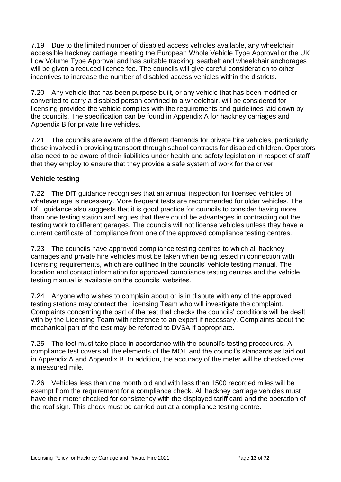7.19 Due to the limited number of disabled access vehicles available, any wheelchair accessible hackney carriage meeting the European Whole Vehicle Type Approval or the UK Low Volume Type Approval and has suitable tracking, seatbelt and wheelchair anchorages will be given a reduced licence fee. The councils will give careful consideration to other incentives to increase the number of disabled access vehicles within the districts.

7.20 Any vehicle that has been purpose built, or any vehicle that has been modified or converted to carry a disabled person confined to a wheelchair, will be considered for licensing provided the vehicle complies with the requirements and guidelines laid down by the councils. The specification can be found in Appendix A for hackney carriages and Appendix B for private hire vehicles.

7.21 The councils are aware of the different demands for private hire vehicles, particularly those involved in providing transport through school contracts for disabled children. Operators also need to be aware of their liabilities under health and safety legislation in respect of staff that they employ to ensure that they provide a safe system of work for the driver.

# <span id="page-12-0"></span>**Vehicle testing**

7.22 The DfT guidance recognises that an annual inspection for licensed vehicles of whatever age is necessary. More frequent tests are recommended for older vehicles. The DfT guidance also suggests that it is good practice for councils to consider having more than one testing station and argues that there could be advantages in contracting out the testing work to different garages. The councils will not license vehicles unless they have a current certificate of compliance from one of the approved compliance testing centres.

7.23 The councils have approved compliance testing centres to which all hackney carriages and private hire vehicles must be taken when being tested in connection with licensing requirements, which are outlined in the councils' vehicle testing manual. The location and contact information for approved compliance testing centres and the vehicle testing manual is available on the councils' websites.

7.24 Anyone who wishes to complain about or is in dispute with any of the approved testing stations may contact the Licensing Team who will investigate the complaint. Complaints concerning the part of the test that checks the councils' conditions will be dealt with by the Licensing Team with reference to an expert if necessary. Complaints about the mechanical part of the test may be referred to DVSA if appropriate.

7.25 The test must take place in accordance with the council's testing procedures. A compliance test covers all the elements of the MOT and the council's standards as laid out in Appendix A and Appendix B. In addition, the accuracy of the meter will be checked over a measured mile.

7.26 Vehicles less than one month old and with less than 1500 recorded miles will be exempt from the requirement for a compliance check. All hackney carriage vehicles must have their meter checked for consistency with the displayed tariff card and the operation of the roof sign. This check must be carried out at a compliance testing centre.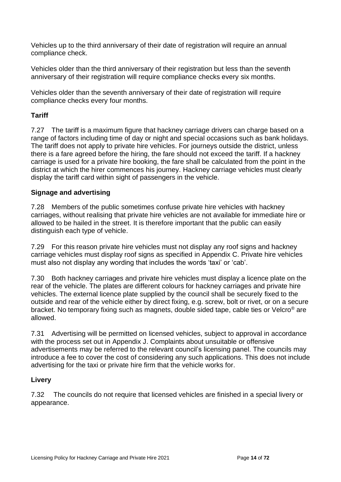Vehicles up to the third anniversary of their date of registration will require an annual compliance check.

Vehicles older than the third anniversary of their registration but less than the seventh anniversary of their registration will require compliance checks every six months.

Vehicles older than the seventh anniversary of their date of registration will require compliance checks every four months.

# <span id="page-13-0"></span>**Tariff**

7.27 The tariff is a maximum figure that hackney carriage drivers can charge based on a range of factors including time of day or night and special occasions such as bank holidays. The tariff does not apply to private hire vehicles. For journeys outside the district, unless there is a fare agreed before the hiring, the fare should not exceed the tariff. If a hackney carriage is used for a private hire booking, the fare shall be calculated from the point in the district at which the hirer commences his journey. Hackney carriage vehicles must clearly display the tariff card within sight of passengers in the vehicle.

# <span id="page-13-1"></span>**Signage and advertising**

7.28 Members of the public sometimes confuse private hire vehicles with hackney carriages, without realising that private hire vehicles are not available for immediate hire or allowed to be hailed in the street. It is therefore important that the public can easily distinguish each type of vehicle.

7.29 For this reason private hire vehicles must not display any roof signs and hackney carriage vehicles must display roof signs as specified in Appendix C. Private hire vehicles must also not display any wording that includes the words 'taxi' or 'cab'.

7.30 Both hackney carriages and private hire vehicles must display a licence plate on the rear of the vehicle. The plates are different colours for hackney carriages and private hire vehicles. The external licence plate supplied by the council shall be securely fixed to the outside and rear of the vehicle either by direct fixing, e.g. screw, bolt or rivet, or on a secure bracket. No temporary fixing such as magnets, double sided tape, cable ties or Velcro® are allowed.

7.31 Advertising will be permitted on licensed vehicles, subject to approval in accordance with the process set out in Appendix J. Complaints about unsuitable or offensive advertisements may be referred to the relevant council's licensing panel. The councils may introduce a fee to cover the cost of considering any such applications. This does not include advertising for the taxi or private hire firm that the vehicle works for.

# <span id="page-13-2"></span>**Livery**

7.32 The councils do not require that licensed vehicles are finished in a special livery or appearance.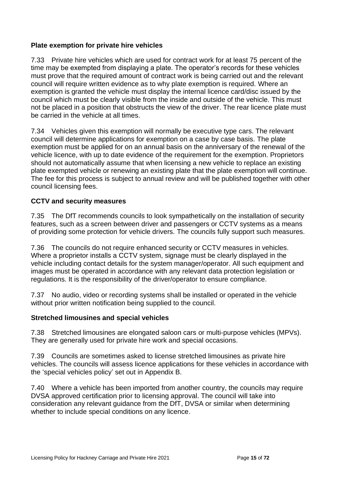# <span id="page-14-0"></span>**Plate exemption for private hire vehicles**

7.33 Private hire vehicles which are used for contract work for at least 75 percent of the time may be exempted from displaying a plate. The operator's records for these vehicles must prove that the required amount of contract work is being carried out and the relevant council will require written evidence as to why plate exemption is required. Where an exemption is granted the vehicle must display the internal licence card/disc issued by the council which must be clearly visible from the inside and outside of the vehicle. This must not be placed in a position that obstructs the view of the driver. The rear licence plate must be carried in the vehicle at all times.

7.34 Vehicles given this exemption will normally be executive type cars. The relevant council will determine applications for exemption on a case by case basis. The plate exemption must be applied for on an annual basis on the anniversary of the renewal of the vehicle licence, with up to date evidence of the requirement for the exemption. Proprietors should not automatically assume that when licensing a new vehicle to replace an existing plate exempted vehicle or renewing an existing plate that the plate exemption will continue. The fee for this process is subject to annual review and will be published together with other council licensing fees.

# <span id="page-14-1"></span>**CCTV and security measures**

7.35 The DfT recommends councils to look sympathetically on the installation of security features, such as a screen between driver and passengers or CCTV systems as a means of providing some protection for vehicle drivers. The councils fully support such measures.

7.36 The councils do not require enhanced security or CCTV measures in vehicles. Where a proprietor installs a CCTV system, signage must be clearly displayed in the vehicle including contact details for the system manager/operator. All such equipment and images must be operated in accordance with any relevant data protection legislation or regulations. It is the responsibility of the driver/operator to ensure compliance.

7.37 No audio, video or recording systems shall be installed or operated in the vehicle without prior written notification being supplied to the council.

# <span id="page-14-2"></span>**Stretched limousines and special vehicles**

7.38 Stretched limousines are elongated saloon cars or multi-purpose vehicles (MPVs). They are generally used for private hire work and special occasions.

7.39 Councils are sometimes asked to license stretched limousines as private hire vehicles. The councils will assess licence applications for these vehicles in accordance with the 'special vehicles policy' set out in Appendix B.

7.40 Where a vehicle has been imported from another country, the councils may require DVSA approved certification prior to licensing approval. The council will take into consideration any relevant guidance from the DfT, DVSA or similar when determining whether to include special conditions on any licence.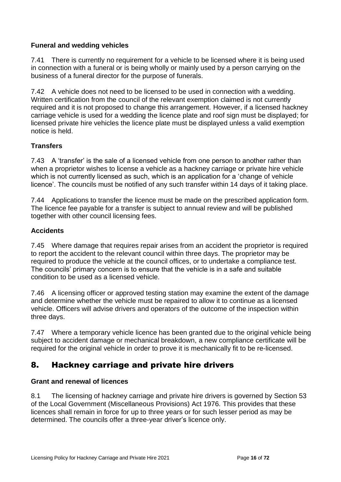# <span id="page-15-0"></span>**Funeral and wedding vehicles**

7.41 There is currently no requirement for a vehicle to be licensed where it is being used in connection with a funeral or is being wholly or mainly used by a person carrying on the business of a funeral director for the purpose of funerals.

7.42 A vehicle does not need to be licensed to be used in connection with a wedding. Written certification from the council of the relevant exemption claimed is not currently required and it is not proposed to change this arrangement. However, if a licensed hackney carriage vehicle is used for a wedding the licence plate and roof sign must be displayed; for licensed private hire vehicles the licence plate must be displayed unless a valid exemption notice is held.

# <span id="page-15-1"></span>**Transfers**

7.43 A 'transfer' is the sale of a licensed vehicle from one person to another rather than when a proprietor wishes to license a vehicle as a hackney carriage or private hire vehicle which is not currently licensed as such, which is an application for a 'change of vehicle licence'. The councils must be notified of any such transfer within 14 days of it taking place.

7.44 Applications to transfer the licence must be made on the prescribed application form. The licence fee payable for a transfer is subject to annual review and will be published together with other council licensing fees.

# <span id="page-15-2"></span>**Accidents**

7.45 Where damage that requires repair arises from an accident the proprietor is required to report the accident to the relevant council within three days. The proprietor may be required to produce the vehicle at the council offices, or to undertake a compliance test. The councils' primary concern is to ensure that the vehicle is in a safe and suitable condition to be used as a licensed vehicle.

7.46 A licensing officer or approved testing station may examine the extent of the damage and determine whether the vehicle must be repaired to allow it to continue as a licensed vehicle. Officers will advise drivers and operators of the outcome of the inspection within three days.

7.47 Where a temporary vehicle licence has been granted due to the original vehicle being subject to accident damage or mechanical breakdown, a new compliance certificate will be required for the original vehicle in order to prove it is mechanically fit to be re-licensed.

# <span id="page-15-3"></span>8. Hackney carriage and private hire drivers

# <span id="page-15-4"></span>**Grant and renewal of licences**

8.1 The licensing of hackney carriage and private hire drivers is governed by Section 53 of the Local Government (Miscellaneous Provisions) Act 1976. This provides that these licences shall remain in force for up to three years or for such lesser period as may be determined. The councils offer a three-year driver's licence only.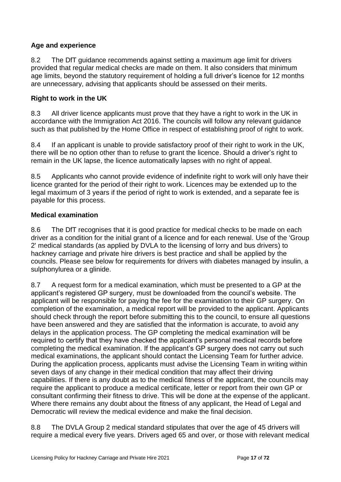# <span id="page-16-0"></span>**Age and experience**

8.2 The DfT guidance recommends against setting a maximum age limit for drivers provided that regular medical checks are made on them. It also considers that minimum age limits, beyond the statutory requirement of holding a full driver's licence for 12 months are unnecessary, advising that applicants should be assessed on their merits.

#### <span id="page-16-1"></span>**Right to work in the UK**

8.3 All driver licence applicants must prove that they have a right to work in the UK in accordance with the Immigration Act 2016. The councils will follow any relevant guidance such as that published by the Home Office in respect of establishing proof of right to work.

8.4 If an applicant is unable to provide satisfactory proof of their right to work in the UK, there will be no option other than to refuse to grant the licence. Should a driver's right to remain in the UK lapse, the licence automatically lapses with no right of appeal.

8.5 Applicants who cannot provide evidence of indefinite right to work will only have their licence granted for the period of their right to work. Licences may be extended up to the legal maximum of 3 years if the period of right to work is extended, and a separate fee is payable for this process.

#### <span id="page-16-2"></span>**Medical examination**

8.6 The DfT recognises that it is good practice for medical checks to be made on each driver as a condition for the initial grant of a licence and for each renewal. Use of the 'Group 2' medical standards (as applied by DVLA to the licensing of lorry and bus drivers) to hackney carriage and private hire drivers is best practice and shall be applied by the councils. Please see below for requirements for drivers with diabetes managed by insulin, a sulphonylurea or a glinide.

8.7 A request form for a medical examination, which must be presented to a GP at the applicant's registered GP surgery, must be downloaded from the council's website. The applicant will be responsible for paying the fee for the examination to their GP surgery. On completion of the examination, a medical report will be provided to the applicant. Applicants should check through the report before submitting this to the council, to ensure all questions have been answered and they are satisfied that the information is accurate, to avoid any delays in the application process. The GP completing the medical examination will be required to certify that they have checked the applicant's personal medical records before completing the medical examination. If the applicant's GP surgery does not carry out such medical examinations, the applicant should contact the Licensing Team for further advice. During the application process, applicants must advise the Licensing Team in writing within seven days of any change in their medical condition that may affect their driving capabilities. If there is any doubt as to the medical fitness of the applicant, the councils may require the applicant to produce a medical certificate, letter or report from their own GP or consultant confirming their fitness to drive. This will be done at the expense of the applicant. Where there remains any doubt about the fitness of any applicant, the Head of Legal and Democratic will review the medical evidence and make the final decision.

8.8 The DVLA Group 2 medical standard stipulates that over the age of 45 drivers will require a medical every five years. Drivers aged 65 and over, or those with relevant medical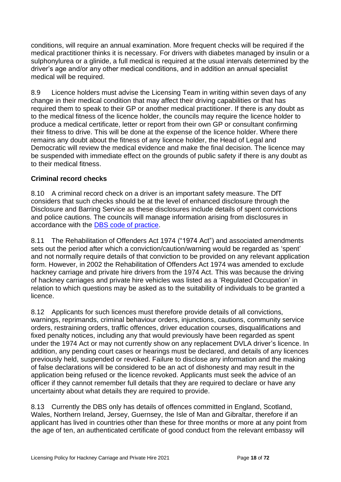conditions, will require an annual examination. More frequent checks will be required if the medical practitioner thinks it is necessary. For drivers with diabetes managed by insulin or a sulphonylurea or a glinide, a full medical is required at the usual intervals determined by the driver's age and/or any other medical conditions, and in addition an annual specialist medical will be required.

8.9 Licence holders must advise the Licensing Team in writing within seven days of any change in their medical condition that may affect their driving capabilities or that has required them to speak to their GP or another medical practitioner. If there is any doubt as to the medical fitness of the licence holder, the councils may require the licence holder to produce a medical certificate, letter or report from their own GP or consultant confirming their fitness to drive. This will be done at the expense of the licence holder. Where there remains any doubt about the fitness of any licence holder, the Head of Legal and Democratic will review the medical evidence and make the final decision. The licence may be suspended with immediate effect on the grounds of public safety if there is any doubt as to their medical fitness.

# <span id="page-17-0"></span>**Criminal record checks**

8.10 A criminal record check on a driver is an important safety measure. The DfT considers that such checks should be at the level of enhanced disclosure through the Disclosure and Barring Service as these disclosures include details of spent convictions and police cautions. The councils will manage information arising from disclosures in accordance with the [DBS code of practice.](https://www.gov.uk/government/publications/dbs-code-of-practice)

8.11 The Rehabilitation of Offenders Act 1974 ("1974 Act") and associated amendments sets out the period after which a conviction/caution/warning would be regarded as 'spent' and not normally require details of that conviction to be provided on any relevant application form. However, in 2002 the Rehabilitation of Offenders Act 1974 was amended to exclude hackney carriage and private hire drivers from the 1974 Act. This was because the driving of hackney carriages and private hire vehicles was listed as a 'Regulated Occupation' in relation to which questions may be asked as to the suitability of individuals to be granted a licence.

8.12 Applicants for such licences must therefore provide details of all convictions, warnings, reprimands, criminal behaviour orders, injunctions, cautions, community service orders, restraining orders, traffic offences, driver education courses, disqualifications and fixed penalty notices, including any that would previously have been regarded as spent under the 1974 Act or may not currently show on any replacement DVLA driver's licence. In addition, any pending court cases or hearings must be declared, and details of any licences previously held, suspended or revoked. Failure to disclose any information and the making of false declarations will be considered to be an act of dishonesty and may result in the application being refused or the licence revoked. Applicants must seek the advice of an officer if they cannot remember full details that they are required to declare or have any uncertainty about what details they are required to provide.

8.13 Currently the DBS only has details of offences committed in England, Scotland, Wales, Northern Ireland, Jersey, Guernsey, the Isle of Man and Gibraltar, therefore if an applicant has lived in countries other than these for three months or more at any point from the age of ten, an authenticated certificate of good conduct from the relevant embassy will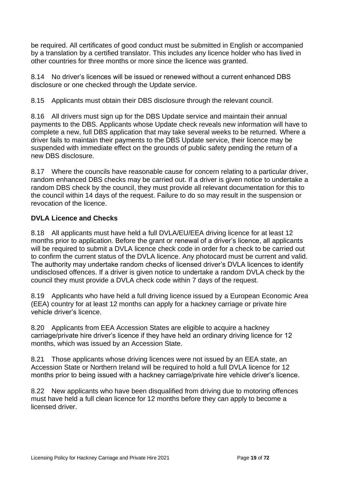be required. All certificates of good conduct must be submitted in English or accompanied by a translation by a certified translator. This includes any licence holder who has lived in other countries for three months or more since the licence was granted.

8.14 No driver's licences will be issued or renewed without a current enhanced DBS disclosure or one checked through the Update service.

8.15 Applicants must obtain their DBS disclosure through the relevant council.

8.16 All drivers must sign up for the DBS Update service and maintain their annual payments to the DBS. Applicants whose Update check reveals new information will have to complete a new, full DBS application that may take several weeks to be returned. Where a driver fails to maintain their payments to the DBS Update service, their licence may be suspended with immediate effect on the grounds of public safety pending the return of a new DBS disclosure.

8.17 Where the councils have reasonable cause for concern relating to a particular driver, random enhanced DBS checks may be carried out. If a driver is given notice to undertake a random DBS check by the council, they must provide all relevant documentation for this to the council within 14 days of the request. Failure to do so may result in the suspension or revocation of the licence.

# <span id="page-18-0"></span>**DVLA Licence and Checks**

8.18 All applicants must have held a full DVLA/EU/EEA driving licence for at least 12 months prior to application. Before the grant or renewal of a driver's licence, all applicants will be required to submit a DVLA licence check code in order for a check to be carried out to confirm the current status of the DVLA licence. Any photocard must be current and valid. The authority may undertake random checks of licensed driver's DVLA licences to identify undisclosed offences. If a driver is given notice to undertake a random DVLA check by the council they must provide a DVLA check code within 7 days of the request.

8.19 Applicants who have held a full driving licence issued by a European Economic Area (EEA) country for at least 12 months can apply for a hackney carriage or private hire vehicle driver's licence.

8.20 Applicants from EEA Accession States are eligible to acquire a hackney carriage/private hire driver's licence if they have held an ordinary driving licence for 12 months, which was issued by an Accession State.

8.21 Those applicants whose driving licences were not issued by an EEA state, an Accession State or Northern Ireland will be required to hold a full DVLA licence for 12 months prior to being issued with a hackney carriage/private hire vehicle driver's licence.

8.22 New applicants who have been disqualified from driving due to motoring offences must have held a full clean licence for 12 months before they can apply to become a licensed driver.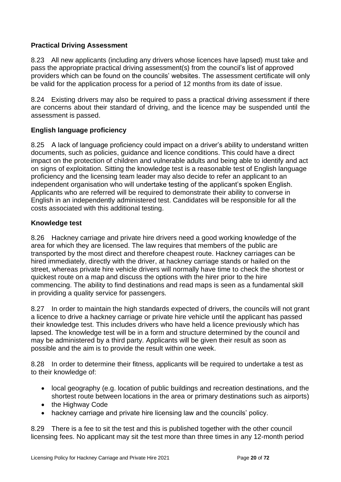# <span id="page-19-0"></span>**Practical Driving Assessment**

8.23 All new applicants (including any drivers whose licences have lapsed) must take and pass the appropriate practical driving assessment(s) from the council's list of approved providers which can be found on the councils' websites. The assessment certificate will only be valid for the application process for a period of 12 months from its date of issue.

8.24 Existing drivers may also be required to pass a practical driving assessment if there are concerns about their standard of driving, and the licence may be suspended until the assessment is passed.

# <span id="page-19-1"></span>**English language proficiency**

8.25 A lack of language proficiency could impact on a driver's ability to understand written documents, such as policies, guidance and licence conditions. This could have a direct impact on the protection of children and vulnerable adults and being able to identify and act on signs of exploitation. Sitting the knowledge test is a reasonable test of English language proficiency and the licensing team leader may also decide to refer an applicant to an independent organisation who will undertake testing of the applicant's spoken English. Applicants who are referred will be required to demonstrate their ability to converse in English in an independently administered test. Candidates will be responsible for all the costs associated with this additional testing.

# <span id="page-19-2"></span>**Knowledge test**

8.26 Hackney carriage and private hire drivers need a good working knowledge of the area for which they are licensed. The law requires that members of the public are transported by the most direct and therefore cheapest route. Hackney carriages can be hired immediately, directly with the driver, at hackney carriage stands or hailed on the street, whereas private hire vehicle drivers will normally have time to check the shortest or quickest route on a map and discuss the options with the hirer prior to the hire commencing. The ability to find destinations and read maps is seen as a fundamental skill in providing a quality service for passengers.

8.27 In order to maintain the high standards expected of drivers, the councils will not grant a licence to drive a hackney carriage or private hire vehicle until the applicant has passed their knowledge test. This includes drivers who have held a licence previously which has lapsed. The knowledge test will be in a form and structure determined by the council and may be administered by a third party. Applicants will be given their result as soon as possible and the aim is to provide the result within one week.

8.28 In order to determine their fitness, applicants will be required to undertake a test as to their knowledge of:

- local geography (e.g. location of public buildings and recreation destinations, and the shortest route between locations in the area or primary destinations such as airports)
- the Highway Code
- hackney carriage and private hire licensing law and the councils' policy.

8.29 There is a fee to sit the test and this is published together with the other council licensing fees. No applicant may sit the test more than three times in any 12-month period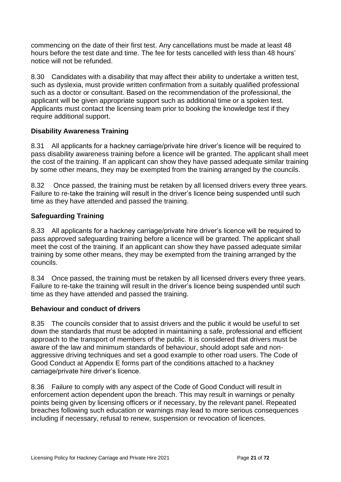commencing on the date of their first test. Any cancellations must be made at least 48 hours before the test date and time. The fee for tests cancelled with less than 48 hours' notice will not be refunded.

8.30 Candidates with a disability that may affect their ability to undertake a written test, such as dyslexia, must provide written confirmation from a suitably qualified professional such as a doctor or consultant. Based on the recommendation of the professional, the applicant will be given appropriate support such as additional time or a spoken test. Applicants must contact the licensing team prior to booking the knowledge test if they require additional support.

# <span id="page-20-0"></span>**Disability Awareness Training**

8.31 All applicants for a hackney carriage/private hire driver's licence will be required to pass disability awareness training before a licence will be granted. The applicant shall meet the cost of the training. If an applicant can show they have passed adequate similar training by some other means, they may be exempted from the training arranged by the councils.

8.32 Once passed, the training must be retaken by all licensed drivers every three years. Failure to re-take the training will result in the driver's licence being suspended until such time as they have attended and passed the training.

# <span id="page-20-1"></span>**Safeguarding Training**

8.33 All applicants for a hackney carriage/private hire driver's licence will be required to pass approved safeguarding training before a licence will be granted. The applicant shall meet the cost of the training. If an applicant can show they have passed adequate similar training by some other means, they may be exempted from the training arranged by the councils.

8.34 Once passed, the training must be retaken by all licensed drivers every three years. Failure to re-take the training will result in the driver's licence being suspended until such time as they have attended and passed the training.

#### <span id="page-20-2"></span>**Behaviour and conduct of drivers**

8.35 The councils consider that to assist drivers and the public it would be useful to set down the standards that must be adopted in maintaining a safe, professional and efficient approach to the transport of members of the public. It is considered that drivers must be aware of the law and minimum standards of behaviour, should adopt safe and nonaggressive driving techniques and set a good example to other road users. The Code of Good Conduct at Appendix E forms part of the conditions attached to a hackney carriage/private hire driver's licence.

8.36 Failure to comply with any aspect of the Code of Good Conduct will result in enforcement action dependent upon the breach. This may result in warnings or penalty points being given by licensing officers or if necessary, by the relevant panel. Repeated breaches following such education or warnings may lead to more serious consequences including if necessary, refusal to renew, suspension or revocation of licences.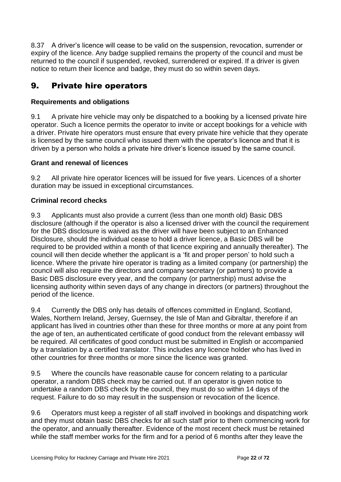8.37 A driver's licence will cease to be valid on the suspension, revocation, surrender or expiry of the licence. Any badge supplied remains the property of the council and must be returned to the council if suspended, revoked, surrendered or expired. If a driver is given notice to return their licence and badge, they must do so within seven days.

# <span id="page-21-0"></span>9. Private hire operators

# <span id="page-21-1"></span>**Requirements and obligations**

9.1 A private hire vehicle may only be dispatched to a booking by a licensed private hire operator. Such a licence permits the operator to invite or accept bookings for a vehicle with a driver. Private hire operators must ensure that every private hire vehicle that they operate is licensed by the same council who issued them with the operator's licence and that it is driven by a person who holds a private hire driver's licence issued by the same council.

# <span id="page-21-2"></span>**Grant and renewal of licences**

9.2 All private hire operator licences will be issued for five years. Licences of a shorter duration may be issued in exceptional circumstances.

# <span id="page-21-3"></span>**Criminal record checks**

9.3 Applicants must also provide a current (less than one month old) Basic DBS disclosure (although if the operator is also a licensed driver with the council the requirement for the DBS disclosure is waived as the driver will have been subject to an Enhanced Disclosure, should the individual cease to hold a driver licence, a Basic DBS will be required to be provided within a month of that licence expiring and annually thereafter). The council will then decide whether the applicant is a 'fit and proper person' to hold such a licence. Where the private hire operator is trading as a limited company (or partnership) the council will also require the directors and company secretary (or partners) to provide a Basic DBS disclosure every year, and the company (or partnership) must advise the licensing authority within seven days of any change in directors (or partners) throughout the period of the licence.

9.4 Currently the DBS only has details of offences committed in England, Scotland, Wales, Northern Ireland, Jersey, Guernsey, the Isle of Man and Gibraltar, therefore if an applicant has lived in countries other than these for three months or more at any point from the age of ten, an authenticated certificate of good conduct from the relevant embassy will be required. All certificates of good conduct must be submitted in English or accompanied by a translation by a certified translator. This includes any licence holder who has lived in other countries for three months or more since the licence was granted.

9.5 Where the councils have reasonable cause for concern relating to a particular operator, a random DBS check may be carried out. If an operator is given notice to undertake a random DBS check by the council, they must do so within 14 days of the request. Failure to do so may result in the suspension or revocation of the licence.

9.6 Operators must keep a register of all staff involved in bookings and dispatching work and they must obtain basic DBS checks for all such staff prior to them commencing work for the operator, and annually thereafter. Evidence of the most recent check must be retained while the staff member works for the firm and for a period of 6 months after they leave the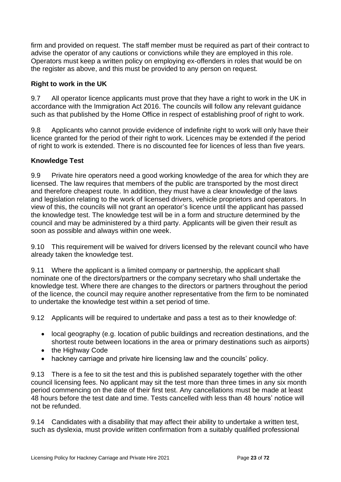firm and provided on request. The staff member must be required as part of their contract to advise the operator of any cautions or convictions while they are employed in this role. Operators must keep a written policy on employing ex-offenders in roles that would be on the register as above, and this must be provided to any person on request.

# <span id="page-22-0"></span>**Right to work in the UK**

9.7 All operator licence applicants must prove that they have a right to work in the UK in accordance with the Immigration Act 2016. The councils will follow any relevant guidance such as that published by the Home Office in respect of establishing proof of right to work.

9.8 Applicants who cannot provide evidence of indefinite right to work will only have their licence granted for the period of their right to work. Licences may be extended if the period of right to work is extended. There is no discounted fee for licences of less than five years.

# <span id="page-22-1"></span>**Knowledge Test**

9.9 Private hire operators need a good working knowledge of the area for which they are licensed. The law requires that members of the public are transported by the most direct and therefore cheapest route. In addition, they must have a clear knowledge of the laws and legislation relating to the work of licensed drivers, vehicle proprietors and operators. In view of this, the councils will not grant an operator's licence until the applicant has passed the knowledge test. The knowledge test will be in a form and structure determined by the council and may be administered by a third party. Applicants will be given their result as soon as possible and always within one week.

9.10 This requirement will be waived for drivers licensed by the relevant council who have already taken the knowledge test.

9.11 Where the applicant is a limited company or partnership, the applicant shall nominate one of the directors/partners or the company secretary who shall undertake the knowledge test. Where there are changes to the directors or partners throughout the period of the licence, the council may require another representative from the firm to be nominated to undertake the knowledge test within a set period of time.

9.12 Applicants will be required to undertake and pass a test as to their knowledge of:

- local geography (e.g. location of public buildings and recreation destinations, and the shortest route between locations in the area or primary destinations such as airports)
- the Highway Code
- hackney carriage and private hire licensing law and the councils' policy.

9.13 There is a fee to sit the test and this is published separately together with the other council licensing fees. No applicant may sit the test more than three times in any six month period commencing on the date of their first test. Any cancellations must be made at least 48 hours before the test date and time. Tests cancelled with less than 48 hours' notice will not be refunded.

9.14 Candidates with a disability that may affect their ability to undertake a written test, such as dyslexia, must provide written confirmation from a suitably qualified professional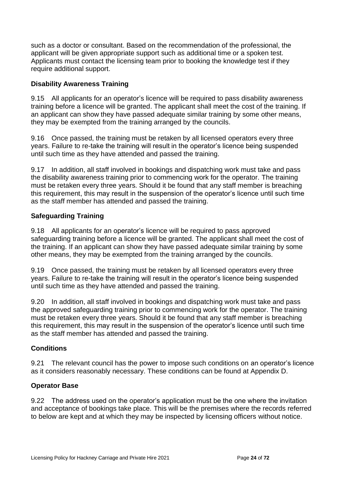such as a doctor or consultant. Based on the recommendation of the professional, the applicant will be given appropriate support such as additional time or a spoken test. Applicants must contact the licensing team prior to booking the knowledge test if they require additional support.

# <span id="page-23-0"></span>**Disability Awareness Training**

9.15 All applicants for an operator's licence will be required to pass disability awareness training before a licence will be granted. The applicant shall meet the cost of the training. If an applicant can show they have passed adequate similar training by some other means, they may be exempted from the training arranged by the councils.

9.16 Once passed, the training must be retaken by all licensed operators every three years. Failure to re-take the training will result in the operator's licence being suspended until such time as they have attended and passed the training.

9.17 In addition, all staff involved in bookings and dispatching work must take and pass the disability awareness training prior to commencing work for the operator. The training must be retaken every three years. Should it be found that any staff member is breaching this requirement, this may result in the suspension of the operator's licence until such time as the staff member has attended and passed the training.

# <span id="page-23-1"></span>**Safeguarding Training**

9.18 All applicants for an operator's licence will be required to pass approved safeguarding training before a licence will be granted. The applicant shall meet the cost of the training. If an applicant can show they have passed adequate similar training by some other means, they may be exempted from the training arranged by the councils.

9.19 Once passed, the training must be retaken by all licensed operators every three years. Failure to re-take the training will result in the operator's licence being suspended until such time as they have attended and passed the training.

9.20 In addition, all staff involved in bookings and dispatching work must take and pass the approved safeguarding training prior to commencing work for the operator. The training must be retaken every three years. Should it be found that any staff member is breaching this requirement, this may result in the suspension of the operator's licence until such time as the staff member has attended and passed the training.

# <span id="page-23-2"></span>**Conditions**

9.21 The relevant council has the power to impose such conditions on an operator's licence as it considers reasonably necessary. These conditions can be found at Appendix D.

#### <span id="page-23-3"></span>**Operator Base**

9.22 The address used on the operator's application must be the one where the invitation and acceptance of bookings take place. This will be the premises where the records referred to below are kept and at which they may be inspected by licensing officers without notice.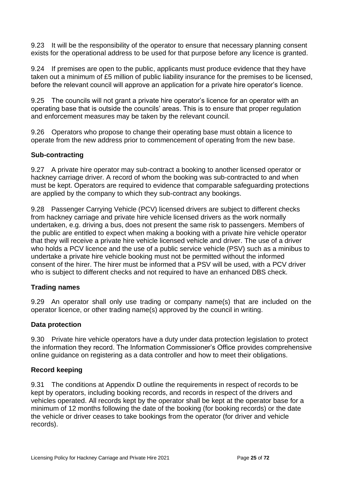9.23 It will be the responsibility of the operator to ensure that necessary planning consent exists for the operational address to be used for that purpose before any licence is granted.

9.24 If premises are open to the public, applicants must produce evidence that they have taken out a minimum of £5 million of public liability insurance for the premises to be licensed, before the relevant council will approve an application for a private hire operator's licence.

9.25 The councils will not grant a private hire operator's licence for an operator with an operating base that is outside the councils' areas. This is to ensure that proper regulation and enforcement measures may be taken by the relevant council.

9.26 Operators who propose to change their operating base must obtain a licence to operate from the new address prior to commencement of operating from the new base.

#### <span id="page-24-0"></span>**Sub-contracting**

9.27 A private hire operator may sub-contract a booking to another licensed operator or hackney carriage driver. A record of whom the booking was sub-contracted to and when must be kept. Operators are required to evidence that comparable safeguarding protections are applied by the company to which they sub-contract any bookings.

9.28 Passenger Carrying Vehicle (PCV) licensed drivers are subject to different checks from hackney carriage and private hire vehicle licensed drivers as the work normally undertaken, e.g. driving a bus, does not present the same risk to passengers. Members of the public are entitled to expect when making a booking with a private hire vehicle operator that they will receive a private hire vehicle licensed vehicle and driver. The use of a driver who holds a PCV licence and the use of a public service vehicle (PSV) such as a minibus to undertake a private hire vehicle booking must not be permitted without the informed consent of the hirer. The hirer must be informed that a PSV will be used, with a PCV driver who is subject to different checks and not required to have an enhanced DBS check.

#### <span id="page-24-1"></span>**Trading names**

9.29 An operator shall only use trading or company name(s) that are included on the operator licence, or other trading name(s) approved by the council in writing.

#### <span id="page-24-2"></span>**Data protection**

9.30 Private hire vehicle operators have a duty under data protection legislation to protect the information they record. The Information Commissioner's Office provides comprehensive online guidance on registering as a data controller and how to meet their obligations.

#### <span id="page-24-3"></span>**Record keeping**

9.31 The conditions at Appendix D outline the requirements in respect of records to be kept by operators, including booking records, and records in respect of the drivers and vehicles operated. All records kept by the operator shall be kept at the operator base for a minimum of 12 months following the date of the booking (for booking records) or the date the vehicle or driver ceases to take bookings from the operator (for driver and vehicle records).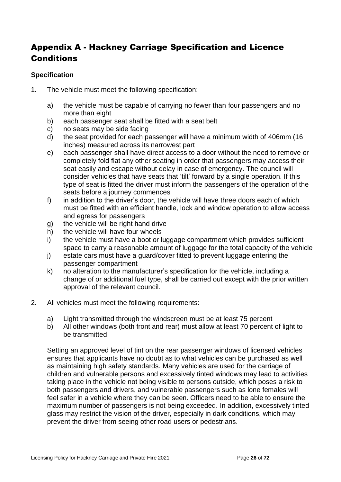# <span id="page-25-0"></span>Appendix A - Hackney Carriage Specification and Licence **Conditions**

# <span id="page-25-1"></span>**Specification**

- 1. The vehicle must meet the following specification:
	- a) the vehicle must be capable of carrying no fewer than four passengers and no more than eight
	- b) each passenger seat shall be fitted with a seat belt
	- c) no seats may be side facing
	- d) the seat provided for each passenger will have a minimum width of 406mm (16 inches) measured across its narrowest part
	- e) each passenger shall have direct access to a door without the need to remove or completely fold flat any other seating in order that passengers may access their seat easily and escape without delay in case of emergency. The council will consider vehicles that have seats that 'tilt' forward by a single operation. If this type of seat is fitted the driver must inform the passengers of the operation of the seats before a journey commences
	- f) in addition to the driver's door, the vehicle will have three doors each of which must be fitted with an efficient handle, lock and window operation to allow access and egress for passengers
	- g) the vehicle will be right hand drive
	- h) the vehicle will have four wheels
	- i) the vehicle must have a boot or luggage compartment which provides sufficient space to carry a reasonable amount of luggage for the total capacity of the vehicle
	- j) estate cars must have a guard/cover fitted to prevent luggage entering the passenger compartment
	- k) no alteration to the manufacturer's specification for the vehicle, including a change of or additional fuel type, shall be carried out except with the prior written approval of the relevant council.
- 2. All vehicles must meet the following requirements:
	- a) Light transmitted through the windscreen must be at least 75 percent
	- b) All other windows (both front and rear) must allow at least 70 percent of light to be transmitted

Setting an approved level of tint on the rear passenger windows of licensed vehicles ensures that applicants have no doubt as to what vehicles can be purchased as well as maintaining high safety standards. Many vehicles are used for the carriage of children and vulnerable persons and excessively tinted windows may lead to activities taking place in the vehicle not being visible to persons outside, which poses a risk to both passengers and drivers, and vulnerable passengers such as lone females will feel safer in a vehicle where they can be seen. Officers need to be able to ensure the maximum number of passengers is not being exceeded. In addition, excessively tinted glass may restrict the vision of the driver, especially in dark conditions, which may prevent the driver from seeing other road users or pedestrians.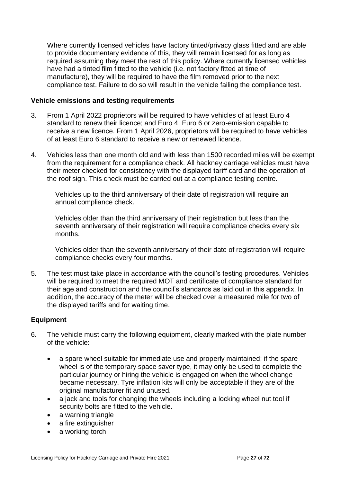Where currently licensed vehicles have factory tinted/privacy glass fitted and are able to provide documentary evidence of this, they will remain licensed for as long as required assuming they meet the rest of this policy. Where currently licensed vehicles have had a tinted film fitted to the vehicle (i.e. not factory fitted at time of manufacture), they will be required to have the film removed prior to the next compliance test. Failure to do so will result in the vehicle failing the compliance test.

#### <span id="page-26-0"></span>**Vehicle emissions and testing requirements**

- 3. From 1 April 2022 proprietors will be required to have vehicles of at least Euro 4 standard to renew their licence; and Euro 4, Euro 6 or zero-emission capable to receive a new licence. From 1 April 2026, proprietors will be required to have vehicles of at least Euro 6 standard to receive a new or renewed licence.
- 4. Vehicles less than one month old and with less than 1500 recorded miles will be exempt from the requirement for a compliance check. All hackney carriage vehicles must have their meter checked for consistency with the displayed tariff card and the operation of the roof sign. This check must be carried out at a compliance testing centre.

Vehicles up to the third anniversary of their date of registration will require an annual compliance check.

Vehicles older than the third anniversary of their registration but less than the seventh anniversary of their registration will require compliance checks every six months.

Vehicles older than the seventh anniversary of their date of registration will require compliance checks every four months.

5. The test must take place in accordance with the council's testing procedures. Vehicles will be required to meet the required MOT and certificate of compliance standard for their age and construction and the council's standards as laid out in this appendix. In addition, the accuracy of the meter will be checked over a measured mile for two of the displayed tariffs and for waiting time.

#### <span id="page-26-1"></span>**Equipment**

- 6. The vehicle must carry the following equipment, clearly marked with the plate number of the vehicle:
	- a spare wheel suitable for immediate use and properly maintained; if the spare wheel is of the temporary space saver type, it may only be used to complete the particular journey or hiring the vehicle is engaged on when the wheel change became necessary. Tyre inflation kits will only be acceptable if they are of the original manufacturer fit and unused.
	- a jack and tools for changing the wheels including a locking wheel nut tool if security bolts are fitted to the vehicle.
	- a warning triangle
	- a fire extinguisher
	- a working torch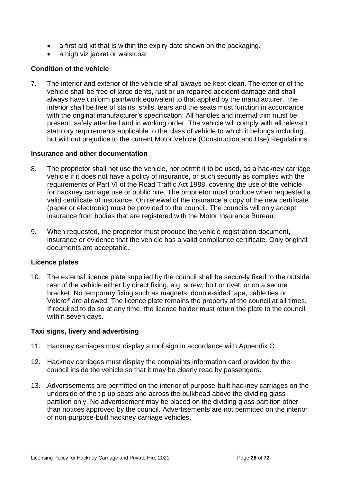- a first aid kit that is within the expiry date shown on the packaging.
- a high viz jacket or waistcoat

# <span id="page-27-0"></span>**Condition of the vehicle**

7. The interior and exterior of the vehicle shall always be kept clean. The exterior of the vehicle shall be free of large dents, rust or un-repaired accident damage and shall always have uniform paintwork equivalent to that applied by the manufacturer. The interior shall be free of stains, spills, tears and the seats must function in accordance with the original manufacturer's specification. All handles and internal trim must be present, safely attached and in working order. The vehicle will comply with all relevant statutory requirements applicable to the class of vehicle to which it belongs including, but without prejudice to the current Motor Vehicle (Construction and Use) Regulations.

#### <span id="page-27-1"></span>**Insurance and other documentation**

- 8. The proprietor shall not use the vehicle, nor permit it to be used, as a hackney carriage vehicle if it does not have a policy of insurance, or such security as complies with the requirements of Part VI of the Road Traffic Act 1988, covering the use of the vehicle for hackney carriage use or public hire. The proprietor must produce when requested a valid certificate of insurance. On renewal of the insurance a copy of the new certificate (paper or electronic) must be provided to the council. The councils will only accept insurance from bodies that are registered with the Motor Insurance Bureau.
- 9. When requested, the proprietor must produce the vehicle registration document, insurance or evidence that the vehicle has a valid compliance certificate. Only original documents are acceptable.

#### <span id="page-27-2"></span>**Licence plates**

10. The external licence plate supplied by the council shall be securely fixed to the outside rear of the vehicle either by direct fixing, e.g. screw, bolt or rivet. or on a secure bracket. No temporary fixing such as magnets, double-sided tape, cable ties or Velcro® are allowed. The licence plate remains the property of the council at all times. If required to do so at any time, the licence holder must return the plate to the council within seven days.

#### <span id="page-27-3"></span>**Taxi signs, livery and advertising**

- 11. Hackney carriages must display a roof sign in accordance with Appendix C.
- 12. Hackney carriages must display the complaints information card provided by the council inside the vehicle so that it may be clearly read by passengers.
- 13. Advertisements are permitted on the interior of purpose-built hackney carriages on the underside of the tip up seats and across the bulkhead above the dividing glass partition only. No advertisement may be placed on the dividing glass partition other than notices approved by the council. Advertisements are not permitted on the interior of non-purpose-built hackney carriage vehicles.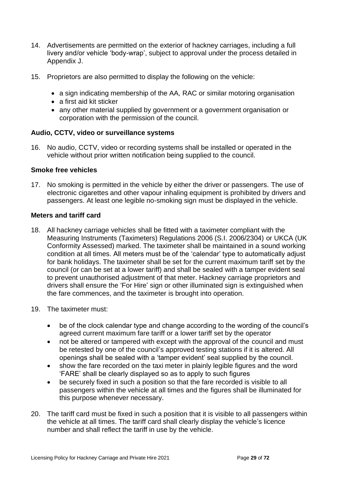- 14. Advertisements are permitted on the exterior of hackney carriages, including a full livery and/or vehicle 'body-wrap', subject to approval under the process detailed in Appendix J.
- 15. Proprietors are also permitted to display the following on the vehicle:
	- a sign indicating membership of the AA, RAC or similar motoring organisation
	- a first aid kit sticker
	- any other material supplied by government or a government organisation or corporation with the permission of the council.

#### <span id="page-28-0"></span>**Audio, CCTV, video or surveillance systems**

16. No audio, CCTV, video or recording systems shall be installed or operated in the vehicle without prior written notification being supplied to the council.

#### <span id="page-28-1"></span>**Smoke free vehicles**

17. No smoking is permitted in the vehicle by either the driver or passengers. The use of electronic cigarettes and other vapour inhaling equipment is prohibited by drivers and passengers. At least one legible no-smoking sign must be displayed in the vehicle.

#### <span id="page-28-2"></span>**Meters and tariff card**

- 18. All hackney carriage vehicles shall be fitted with a taximeter compliant with the Measuring Instruments (Taximeters) Regulations 2006 (S.I. 2006/2304) or UKCA (UK Conformity Assessed) marked. The taximeter shall be maintained in a sound working condition at all times. All meters must be of the 'calendar' type to automatically adjust for bank holidays. The taximeter shall be set for the current maximum tariff set by the council (or can be set at a lower tariff) and shall be sealed with a tamper evident seal to prevent unauthorised adjustment of that meter. Hackney carriage proprietors and drivers shall ensure the 'For Hire' sign or other illuminated sign is extinguished when the fare commences, and the taximeter is brought into operation.
- 19. The taximeter must:
	- be of the clock calendar type and change according to the wording of the council's agreed current maximum fare tariff or a lower tariff set by the operator
	- not be altered or tampered with except with the approval of the council and must be retested by one of the council's approved testing stations if it is altered. All openings shall be sealed with a 'tamper evident' seal supplied by the council.
	- show the fare recorded on the taxi meter in plainly legible figures and the word 'FARE' shall be clearly displayed so as to apply to such figures
	- be securely fixed in such a position so that the fare recorded is visible to all passengers within the vehicle at all times and the figures shall be illuminated for this purpose whenever necessary.
- 20. The tariff card must be fixed in such a position that it is visible to all passengers within the vehicle at all times. The tariff card shall clearly display the vehicle's licence number and shall reflect the tariff in use by the vehicle.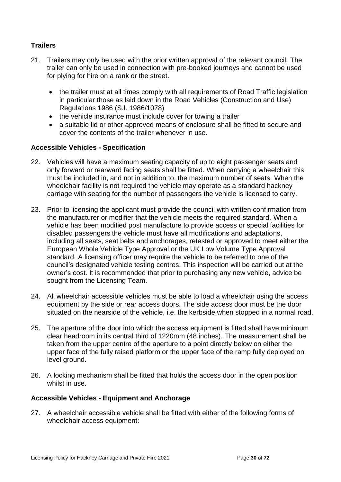# <span id="page-29-0"></span>**Trailers**

- 21. Trailers may only be used with the prior written approval of the relevant council. The trailer can only be used in connection with pre-booked journeys and cannot be used for plying for hire on a rank or the street.
	- the trailer must at all times comply with all requirements of Road Traffic legislation in particular those as laid down in the Road Vehicles (Construction and Use) Regulations 1986 (S.I. 1986/1078)
	- the vehicle insurance must include cover for towing a trailer
	- a suitable lid or other approved means of enclosure shall be fitted to secure and cover the contents of the trailer whenever in use.

#### <span id="page-29-1"></span>**Accessible Vehicles - Specification**

- 22. Vehicles will have a maximum seating capacity of up to eight passenger seats and only forward or rearward facing seats shall be fitted. When carrying a wheelchair this must be included in, and not in addition to, the maximum number of seats. When the wheelchair facility is not required the vehicle may operate as a standard hackney carriage with seating for the number of passengers the vehicle is licensed to carry.
- 23. Prior to licensing the applicant must provide the council with written confirmation from the manufacturer or modifier that the vehicle meets the required standard. When a vehicle has been modified post manufacture to provide access or special facilities for disabled passengers the vehicle must have all modifications and adaptations, including all seats, seat belts and anchorages, retested or approved to meet either the European Whole Vehicle Type Approval or the UK Low Volume Type Approval standard. A licensing officer may require the vehicle to be referred to one of the council's designated vehicle testing centres. This inspection will be carried out at the owner's cost. It is recommended that prior to purchasing any new vehicle, advice be sought from the Licensing Team.
- 24. All wheelchair accessible vehicles must be able to load a wheelchair using the access equipment by the side or rear access doors. The side access door must be the door situated on the nearside of the vehicle, i.e. the kerbside when stopped in a normal road.
- 25. The aperture of the door into which the access equipment is fitted shall have minimum clear headroom in its central third of 1220mm (48 inches). The measurement shall be taken from the upper centre of the aperture to a point directly below on either the upper face of the fully raised platform or the upper face of the ramp fully deployed on level ground.
- 26. A locking mechanism shall be fitted that holds the access door in the open position whilst in use.

#### <span id="page-29-2"></span>**Accessible Vehicles - Equipment and Anchorage**

27. A wheelchair accessible vehicle shall be fitted with either of the following forms of wheelchair access equipment: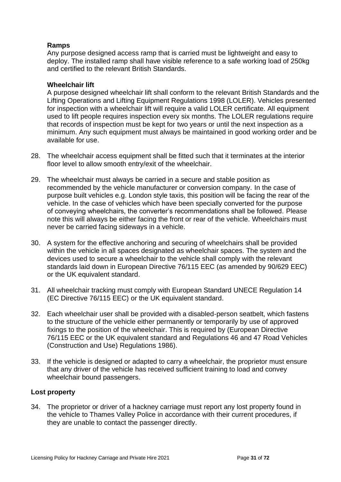#### **Ramps**

Any purpose designed access ramp that is carried must be lightweight and easy to deploy. The installed ramp shall have visible reference to a safe working load of 250kg and certified to the relevant British Standards.

#### **Wheelchair lift**

A purpose designed wheelchair lift shall conform to the relevant British Standards and the Lifting Operations and Lifting Equipment Regulations 1998 (LOLER). Vehicles presented for inspection with a wheelchair lift will require a valid LOLER certificate. All equipment used to lift people requires inspection every six months. The LOLER regulations require that records of inspection must be kept for two years or until the next inspection as a minimum. Any such equipment must always be maintained in good working order and be available for use.

- 28. The wheelchair access equipment shall be fitted such that it terminates at the interior floor level to allow smooth entry/exit of the wheelchair.
- 29. The wheelchair must always be carried in a secure and stable position as recommended by the vehicle manufacturer or conversion company. In the case of purpose built vehicles e.g. London style taxis, this position will be facing the rear of the vehicle. In the case of vehicles which have been specially converted for the purpose of conveying wheelchairs, the converter's recommendations shall be followed. Please note this will always be either facing the front or rear of the vehicle. Wheelchairs must never be carried facing sideways in a vehicle.
- 30. A system for the effective anchoring and securing of wheelchairs shall be provided within the vehicle in all spaces designated as wheelchair spaces. The system and the devices used to secure a wheelchair to the vehicle shall comply with the relevant standards laid down in European Directive 76/115 EEC (as amended by 90/629 EEC) or the UK equivalent standard.
- 31. All wheelchair tracking must comply with European Standard UNECE Regulation 14 (EC Directive 76/115 EEC) or the UK equivalent standard.
- 32. Each wheelchair user shall be provided with a disabled-person seatbelt, which fastens to the structure of the vehicle either permanently or temporarily by use of approved fixings to the position of the wheelchair. This is required by (European Directive 76/115 EEC or the UK equivalent standard and Regulations 46 and 47 Road Vehicles (Construction and Use) Regulations 1986).
- 33. If the vehicle is designed or adapted to carry a wheelchair, the proprietor must ensure that any driver of the vehicle has received sufficient training to load and convey wheelchair bound passengers.

#### <span id="page-30-0"></span>**Lost property**

34. The proprietor or driver of a hackney carriage must report any lost property found in the vehicle to Thames Valley Police in accordance with their current procedures, if they are unable to contact the passenger directly.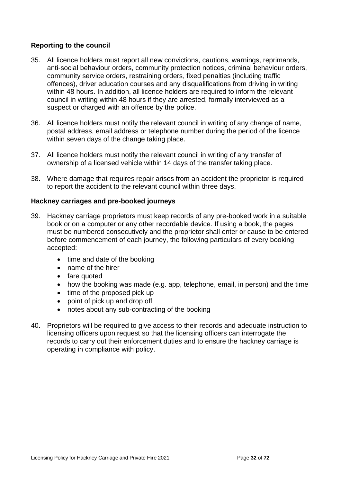#### <span id="page-31-0"></span>**Reporting to the council**

- 35. All licence holders must report all new convictions, cautions, warnings, reprimands, anti-social behaviour orders, community protection notices, criminal behaviour orders, community service orders, restraining orders, fixed penalties (including traffic offences), driver education courses and any disqualifications from driving in writing within 48 hours. In addition, all licence holders are required to inform the relevant council in writing within 48 hours if they are arrested, formally interviewed as a suspect or charged with an offence by the police.
- 36. All licence holders must notify the relevant council in writing of any change of name, postal address, email address or telephone number during the period of the licence within seven days of the change taking place.
- 37. All licence holders must notify the relevant council in writing of any transfer of ownership of a licensed vehicle within 14 days of the transfer taking place.
- 38. Where damage that requires repair arises from an accident the proprietor is required to report the accident to the relevant council within three days.

#### <span id="page-31-1"></span>**Hackney carriages and pre-booked journeys**

- 39. Hackney carriage proprietors must keep records of any pre-booked work in a suitable book or on a computer or any other recordable device. If using a book, the pages must be numbered consecutively and the proprietor shall enter or cause to be entered before commencement of each journey, the following particulars of every booking accepted:
	- time and date of the booking
	- name of the hirer
	- fare quoted
	- how the booking was made (e.g. app, telephone, email, in person) and the time
	- time of the proposed pick up
	- point of pick up and drop off
	- notes about any sub-contracting of the booking
- 40. Proprietors will be required to give access to their records and adequate instruction to licensing officers upon request so that the licensing officers can interrogate the records to carry out their enforcement duties and to ensure the hackney carriage is operating in compliance with policy.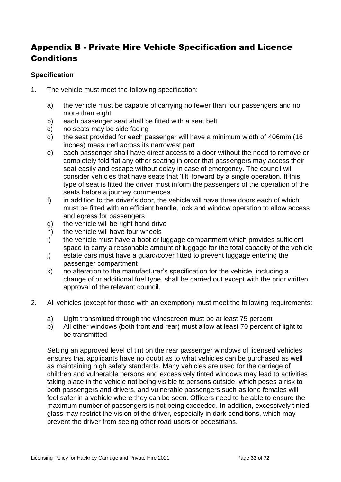# <span id="page-32-0"></span>Appendix B - Private Hire Vehicle Specification and Licence **Conditions**

# <span id="page-32-1"></span>**Specification**

- 1. The vehicle must meet the following specification:
	- a) the vehicle must be capable of carrying no fewer than four passengers and no more than eight
	- b) each passenger seat shall be fitted with a seat belt
	- c) no seats may be side facing
	- d) the seat provided for each passenger will have a minimum width of 406mm (16 inches) measured across its narrowest part
	- e) each passenger shall have direct access to a door without the need to remove or completely fold flat any other seating in order that passengers may access their seat easily and escape without delay in case of emergency. The council will consider vehicles that have seats that 'tilt' forward by a single operation. If this type of seat is fitted the driver must inform the passengers of the operation of the seats before a journey commences
	- f) in addition to the driver's door, the vehicle will have three doors each of which must be fitted with an efficient handle, lock and window operation to allow access and egress for passengers
	- g) the vehicle will be right hand drive
	- h) the vehicle will have four wheels
	- i) the vehicle must have a boot or luggage compartment which provides sufficient space to carry a reasonable amount of luggage for the total capacity of the vehicle
	- j) estate cars must have a guard/cover fitted to prevent luggage entering the passenger compartment
	- k) no alteration to the manufacturer's specification for the vehicle, including a change of or additional fuel type, shall be carried out except with the prior written approval of the relevant council.
- 2. All vehicles (except for those with an exemption) must meet the following requirements:
	- a) Light transmitted through the windscreen must be at least 75 percent
	- b) All other windows (both front and rear) must allow at least 70 percent of light to be transmitted

Setting an approved level of tint on the rear passenger windows of licensed vehicles ensures that applicants have no doubt as to what vehicles can be purchased as well as maintaining high safety standards. Many vehicles are used for the carriage of children and vulnerable persons and excessively tinted windows may lead to activities taking place in the vehicle not being visible to persons outside, which poses a risk to both passengers and drivers, and vulnerable passengers such as lone females will feel safer in a vehicle where they can be seen. Officers need to be able to ensure the maximum number of passengers is not being exceeded. In addition, excessively tinted glass may restrict the vision of the driver, especially in dark conditions, which may prevent the driver from seeing other road users or pedestrians.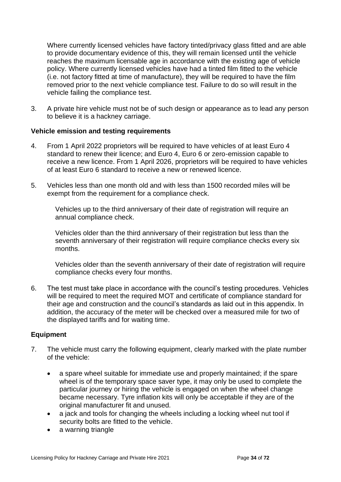Where currently licensed vehicles have factory tinted/privacy glass fitted and are able to provide documentary evidence of this, they will remain licensed until the vehicle reaches the maximum licensable age in accordance with the existing age of vehicle policy. Where currently licensed vehicles have had a tinted film fitted to the vehicle (i.e. not factory fitted at time of manufacture), they will be required to have the film removed prior to the next vehicle compliance test. Failure to do so will result in the vehicle failing the compliance test.

3. A private hire vehicle must not be of such design or appearance as to lead any person to believe it is a hackney carriage.

#### <span id="page-33-0"></span>**Vehicle emission and testing requirements**

- 4. From 1 April 2022 proprietors will be required to have vehicles of at least Euro 4 standard to renew their licence; and Euro 4, Euro 6 or zero-emission capable to receive a new licence. From 1 April 2026, proprietors will be required to have vehicles of at least Euro 6 standard to receive a new or renewed licence.
- 5. Vehicles less than one month old and with less than 1500 recorded miles will be exempt from the requirement for a compliance check.

Vehicles up to the third anniversary of their date of registration will require an annual compliance check.

Vehicles older than the third anniversary of their registration but less than the seventh anniversary of their registration will require compliance checks every six months.

Vehicles older than the seventh anniversary of their date of registration will require compliance checks every four months.

6. The test must take place in accordance with the council's testing procedures. Vehicles will be required to meet the required MOT and certificate of compliance standard for their age and construction and the council's standards as laid out in this appendix. In addition, the accuracy of the meter will be checked over a measured mile for two of the displayed tariffs and for waiting time.

#### <span id="page-33-1"></span>**Equipment**

- 7. The vehicle must carry the following equipment, clearly marked with the plate number of the vehicle:
	- a spare wheel suitable for immediate use and properly maintained; if the spare wheel is of the temporary space saver type, it may only be used to complete the particular journey or hiring the vehicle is engaged on when the wheel change became necessary. Tyre inflation kits will only be acceptable if they are of the original manufacturer fit and unused.
	- a jack and tools for changing the wheels including a locking wheel nut tool if security bolts are fitted to the vehicle.
	- a warning triangle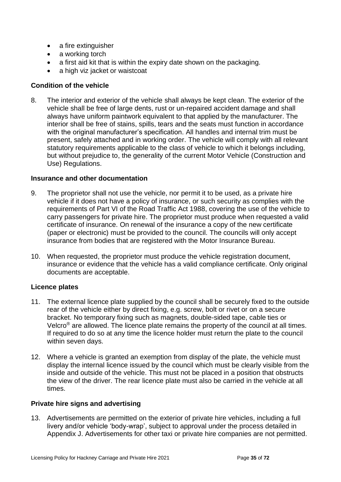- a fire extinguisher
- a working torch
- a first aid kit that is within the expiry date shown on the packaging.
- a high viz jacket or waistcoat

#### <span id="page-34-0"></span>**Condition of the vehicle**

8. The interior and exterior of the vehicle shall always be kept clean. The exterior of the vehicle shall be free of large dents, rust or un-repaired accident damage and shall always have uniform paintwork equivalent to that applied by the manufacturer. The interior shall be free of stains, spills, tears and the seats must function in accordance with the original manufacturer's specification. All handles and internal trim must be present, safely attached and in working order. The vehicle will comply with all relevant statutory requirements applicable to the class of vehicle to which it belongs including. but without prejudice to, the generality of the current Motor Vehicle (Construction and Use) Regulations.

#### <span id="page-34-1"></span>**Insurance and other documentation**

- 9. The proprietor shall not use the vehicle, nor permit it to be used, as a private hire vehicle if it does not have a policy of insurance, or such security as complies with the requirements of Part VI of the Road Traffic Act 1988, covering the use of the vehicle to carry passengers for private hire. The proprietor must produce when requested a valid certificate of insurance. On renewal of the insurance a copy of the new certificate (paper or electronic) must be provided to the council. The councils will only accept insurance from bodies that are registered with the Motor Insurance Bureau.
- 10. When requested, the proprietor must produce the vehicle registration document, insurance or evidence that the vehicle has a valid compliance certificate. Only original documents are acceptable.

#### <span id="page-34-2"></span>**Licence plates**

- 11. The external licence plate supplied by the council shall be securely fixed to the outside rear of the vehicle either by direct fixing, e.g. screw, bolt or rivet or on a secure bracket. No temporary fixing such as magnets, double-sided tape, cable ties or Velcro® are allowed. The licence plate remains the property of the council at all times. If required to do so at any time the licence holder must return the plate to the council within seven days.
- 12. Where a vehicle is granted an exemption from display of the plate, the vehicle must display the internal licence issued by the council which must be clearly visible from the inside and outside of the vehicle. This must not be placed in a position that obstructs the view of the driver. The rear licence plate must also be carried in the vehicle at all times.

#### <span id="page-34-3"></span>**Private hire signs and advertising**

13. Advertisements are permitted on the exterior of private hire vehicles, including a full livery and/or vehicle 'body-wrap', subject to approval under the process detailed in Appendix J. Advertisements for other taxi or private hire companies are not permitted.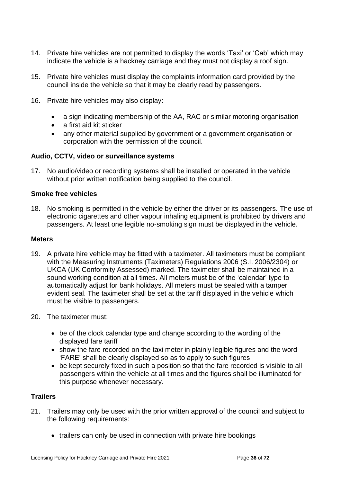- 14. Private hire vehicles are not permitted to display the words 'Taxi' or 'Cab' which may indicate the vehicle is a hackney carriage and they must not display a roof sign.
- 15. Private hire vehicles must display the complaints information card provided by the council inside the vehicle so that it may be clearly read by passengers.
- 16. Private hire vehicles may also display:
	- a sign indicating membership of the AA, RAC or similar motoring organisation
	- a first aid kit sticker
	- any other material supplied by government or a government organisation or corporation with the permission of the council.

#### <span id="page-35-0"></span>**Audio, CCTV, video or surveillance systems**

17. No audio/video or recording systems shall be installed or operated in the vehicle without prior written notification being supplied to the council.

#### <span id="page-35-1"></span>**Smoke free vehicles**

18. No smoking is permitted in the vehicle by either the driver or its passengers. The use of electronic cigarettes and other vapour inhaling equipment is prohibited by drivers and passengers. At least one legible no-smoking sign must be displayed in the vehicle.

#### <span id="page-35-2"></span>**Meters**

- 19. A private hire vehicle may be fitted with a taximeter. All taximeters must be compliant with the Measuring Instruments (Taximeters) Regulations 2006 (S.I. 2006/2304) or UKCA (UK Conformity Assessed) marked. The taximeter shall be maintained in a sound working condition at all times. All meters must be of the 'calendar' type to automatically adjust for bank holidays. All meters must be sealed with a tamper evident seal. The taximeter shall be set at the tariff displayed in the vehicle which must be visible to passengers.
- 20. The taximeter must:
	- be of the clock calendar type and change according to the wording of the displayed fare tariff
	- show the fare recorded on the taxi meter in plainly legible figures and the word 'FARE' shall be clearly displayed so as to apply to such figures
	- be kept securely fixed in such a position so that the fare recorded is visible to all passengers within the vehicle at all times and the figures shall be illuminated for this purpose whenever necessary.

#### <span id="page-35-3"></span>**Trailers**

- 21. Trailers may only be used with the prior written approval of the council and subject to the following requirements:
	- trailers can only be used in connection with private hire bookings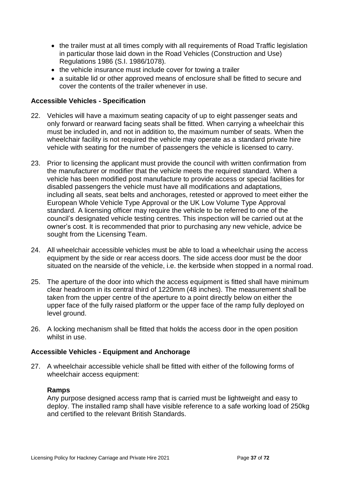- the trailer must at all times comply with all requirements of Road Traffic legislation in particular those laid down in the Road Vehicles (Construction and Use) Regulations 1986 (S.I. 1986/1078).
- the vehicle insurance must include cover for towing a trailer
- a suitable lid or other approved means of enclosure shall be fitted to secure and cover the contents of the trailer whenever in use.

## **Accessible Vehicles - Specification**

- 22. Vehicles will have a maximum seating capacity of up to eight passenger seats and only forward or rearward facing seats shall be fitted. When carrying a wheelchair this must be included in, and not in addition to, the maximum number of seats. When the wheelchair facility is not required the vehicle may operate as a standard private hire vehicle with seating for the number of passengers the vehicle is licensed to carry.
- 23. Prior to licensing the applicant must provide the council with written confirmation from the manufacturer or modifier that the vehicle meets the required standard. When a vehicle has been modified post manufacture to provide access or special facilities for disabled passengers the vehicle must have all modifications and adaptations, including all seats, seat belts and anchorages, retested or approved to meet either the European Whole Vehicle Type Approval or the UK Low Volume Type Approval standard. A licensing officer may require the vehicle to be referred to one of the council's designated vehicle testing centres. This inspection will be carried out at the owner's cost. It is recommended that prior to purchasing any new vehicle, advice be sought from the Licensing Team.
- 24. All wheelchair accessible vehicles must be able to load a wheelchair using the access equipment by the side or rear access doors. The side access door must be the door situated on the nearside of the vehicle, i.e. the kerbside when stopped in a normal road.
- 25. The aperture of the door into which the access equipment is fitted shall have minimum clear headroom in its central third of 1220mm (48 inches). The measurement shall be taken from the upper centre of the aperture to a point directly below on either the upper face of the fully raised platform or the upper face of the ramp fully deployed on level ground.
- 26. A locking mechanism shall be fitted that holds the access door in the open position whilst in use.

## **Accessible Vehicles - Equipment and Anchorage**

27. A wheelchair accessible vehicle shall be fitted with either of the following forms of wheelchair access equipment:

## **Ramps**

Any purpose designed access ramp that is carried must be lightweight and easy to deploy. The installed ramp shall have visible reference to a safe working load of 250kg and certified to the relevant British Standards.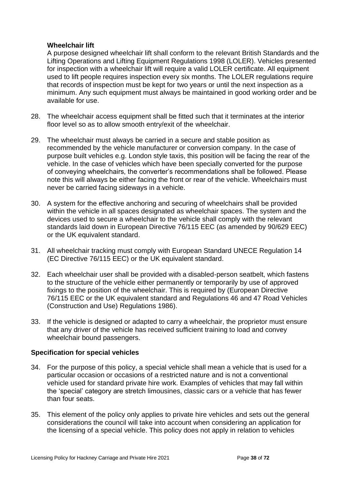## **Wheelchair lift**

A purpose designed wheelchair lift shall conform to the relevant British Standards and the Lifting Operations and Lifting Equipment Regulations 1998 (LOLER). Vehicles presented for inspection with a wheelchair lift will require a valid LOLER certificate. All equipment used to lift people requires inspection every six months. The LOLER regulations require that records of inspection must be kept for two years or until the next inspection as a minimum. Any such equipment must always be maintained in good working order and be available for use.

- 28. The wheelchair access equipment shall be fitted such that it terminates at the interior floor level so as to allow smooth entry/exit of the wheelchair.
- 29. The wheelchair must always be carried in a secure and stable position as recommended by the vehicle manufacturer or conversion company. In the case of purpose built vehicles e.g. London style taxis, this position will be facing the rear of the vehicle. In the case of vehicles which have been specially converted for the purpose of conveying wheelchairs, the converter's recommendations shall be followed. Please note this will always be either facing the front or rear of the vehicle. Wheelchairs must never be carried facing sideways in a vehicle.
- 30. A system for the effective anchoring and securing of wheelchairs shall be provided within the vehicle in all spaces designated as wheelchair spaces. The system and the devices used to secure a wheelchair to the vehicle shall comply with the relevant standards laid down in European Directive 76/115 EEC (as amended by 90/629 EEC) or the UK equivalent standard.
- 31. All wheelchair tracking must comply with European Standard UNECE Regulation 14 (EC Directive 76/115 EEC) or the UK equivalent standard.
- 32. Each wheelchair user shall be provided with a disabled-person seatbelt, which fastens to the structure of the vehicle either permanently or temporarily by use of approved fixings to the position of the wheelchair. This is required by (European Directive 76/115 EEC or the UK equivalent standard and Regulations 46 and 47 Road Vehicles (Construction and Use) Regulations 1986).
- 33. If the vehicle is designed or adapted to carry a wheelchair, the proprietor must ensure that any driver of the vehicle has received sufficient training to load and convey wheelchair bound passengers.

## **Specification for special vehicles**

- 34. For the purpose of this policy, a special vehicle shall mean a vehicle that is used for a particular occasion or occasions of a restricted nature and is not a conventional vehicle used for standard private hire work. Examples of vehicles that may fall within the 'special' category are stretch limousines, classic cars or a vehicle that has fewer than four seats.
- 35. This element of the policy only applies to private hire vehicles and sets out the general considerations the council will take into account when considering an application for the licensing of a special vehicle. This policy does not apply in relation to vehicles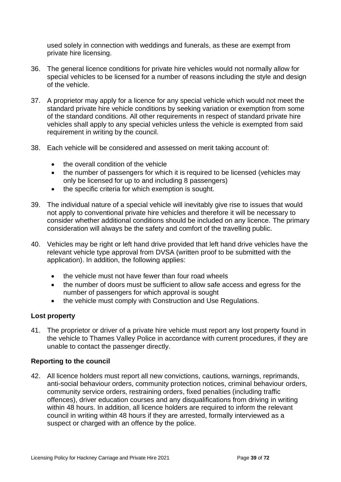used solely in connection with weddings and funerals, as these are exempt from private hire licensing.

- 36. The general licence conditions for private hire vehicles would not normally allow for special vehicles to be licensed for a number of reasons including the style and design of the vehicle.
- 37. A proprietor may apply for a licence for any special vehicle which would not meet the standard private hire vehicle conditions by seeking variation or exemption from some of the standard conditions. All other requirements in respect of standard private hire vehicles shall apply to any special vehicles unless the vehicle is exempted from said requirement in writing by the council.
- 38. Each vehicle will be considered and assessed on merit taking account of:
	- the overall condition of the vehicle
	- the number of passengers for which it is required to be licensed (vehicles may only be licensed for up to and including 8 passengers)
	- the specific criteria for which exemption is sought.
- 39. The individual nature of a special vehicle will inevitably give rise to issues that would not apply to conventional private hire vehicles and therefore it will be necessary to consider whether additional conditions should be included on any licence. The primary consideration will always be the safety and comfort of the travelling public.
- 40. Vehicles may be right or left hand drive provided that left hand drive vehicles have the relevant vehicle type approval from DVSA (written proof to be submitted with the application). In addition, the following applies:
	- the vehicle must not have fewer than four road wheels
	- the number of doors must be sufficient to allow safe access and egress for the number of passengers for which approval is sought
	- the vehicle must comply with Construction and Use Regulations.

# **Lost property**

41. The proprietor or driver of a private hire vehicle must report any lost property found in the vehicle to Thames Valley Police in accordance with current procedures, if they are unable to contact the passenger directly.

## **Reporting to the council**

42. All licence holders must report all new convictions, cautions, warnings, reprimands, anti-social behaviour orders, community protection notices, criminal behaviour orders, community service orders, restraining orders, fixed penalties (including traffic offences), driver education courses and any disqualifications from driving in writing within 48 hours. In addition, all licence holders are required to inform the relevant council in writing within 48 hours if they are arrested, formally interviewed as a suspect or charged with an offence by the police.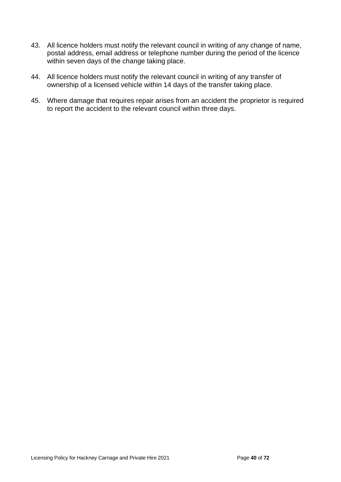- 43. All licence holders must notify the relevant council in writing of any change of name, postal address, email address or telephone number during the period of the licence within seven days of the change taking place.
- 44. All licence holders must notify the relevant council in writing of any transfer of ownership of a licensed vehicle within 14 days of the transfer taking place.
- 45. Where damage that requires repair arises from an accident the proprietor is required to report the accident to the relevant council within three days.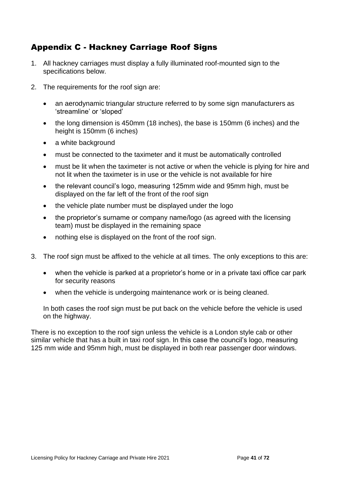# Appendix C - Hackney Carriage Roof Signs

- 1. All hackney carriages must display a fully illuminated roof-mounted sign to the specifications below.
- 2. The requirements for the roof sign are:
	- an aerodynamic triangular structure referred to by some sign manufacturers as 'streamline' or 'sloped'
	- the long dimension is 450mm (18 inches), the base is 150mm (6 inches) and the height is 150mm (6 inches)
	- a white background
	- must be connected to the taximeter and it must be automatically controlled
	- must be lit when the taximeter is not active or when the vehicle is plying for hire and not lit when the taximeter is in use or the vehicle is not available for hire
	- the relevant council's logo, measuring 125mm wide and 95mm high, must be displayed on the far left of the front of the roof sign
	- the vehicle plate number must be displayed under the logo
	- the proprietor's surname or company name/logo (as agreed with the licensing team) must be displayed in the remaining space
	- nothing else is displayed on the front of the roof sign.
- 3. The roof sign must be affixed to the vehicle at all times. The only exceptions to this are:
	- when the vehicle is parked at a proprietor's home or in a private taxi office car park for security reasons
	- when the vehicle is undergoing maintenance work or is being cleaned.

In both cases the roof sign must be put back on the vehicle before the vehicle is used on the highway.

There is no exception to the roof sign unless the vehicle is a London style cab or other similar vehicle that has a built in taxi roof sign. In this case the council's logo, measuring 125 mm wide and 95mm high, must be displayed in both rear passenger door windows.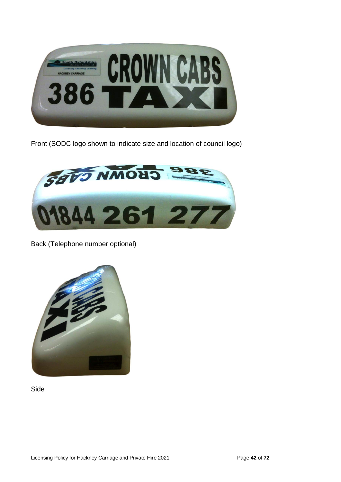

Front (SODC logo shown to indicate size and location of council logo)



Back (Telephone number optional)



Side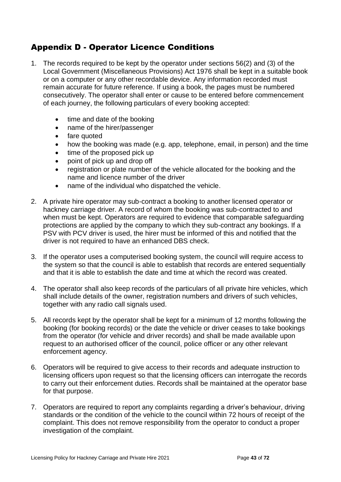# Appendix D - Operator Licence Conditions

- 1. The records required to be kept by the operator under sections 56(2) and (3) of the Local Government (Miscellaneous Provisions) Act 1976 shall be kept in a suitable book or on a computer or any other recordable device. Any information recorded must remain accurate for future reference. If using a book, the pages must be numbered consecutively. The operator shall enter or cause to be entered before commencement of each journey, the following particulars of every booking accepted:
	- time and date of the booking
	- name of the hirer/passenger
	- fare quoted
	- how the booking was made (e.g. app, telephone, email, in person) and the time
	- time of the proposed pick up
	- point of pick up and drop off
	- registration or plate number of the vehicle allocated for the booking and the name and licence number of the driver
	- name of the individual who dispatched the vehicle.
- 2. A private hire operator may sub-contract a booking to another licensed operator or hackney carriage driver. A record of whom the booking was sub-contracted to and when must be kept. Operators are required to evidence that comparable safeguarding protections are applied by the company to which they sub-contract any bookings. If a PSV with PCV driver is used, the hirer must be informed of this and notified that the driver is not required to have an enhanced DBS check.
- 3. If the operator uses a computerised booking system, the council will require access to the system so that the council is able to establish that records are entered sequentially and that it is able to establish the date and time at which the record was created.
- 4. The operator shall also keep records of the particulars of all private hire vehicles, which shall include details of the owner, registration numbers and drivers of such vehicles, together with any radio call signals used.
- 5. All records kept by the operator shall be kept for a minimum of 12 months following the booking (for booking records) or the date the vehicle or driver ceases to take bookings from the operator (for vehicle and driver records) and shall be made available upon request to an authorised officer of the council, police officer or any other relevant enforcement agency.
- 6. Operators will be required to give access to their records and adequate instruction to licensing officers upon request so that the licensing officers can interrogate the records to carry out their enforcement duties. Records shall be maintained at the operator base for that purpose.
- 7. Operators are required to report any complaints regarding a driver's behaviour, driving standards or the condition of the vehicle to the council within 72 hours of receipt of the complaint. This does not remove responsibility from the operator to conduct a proper investigation of the complaint.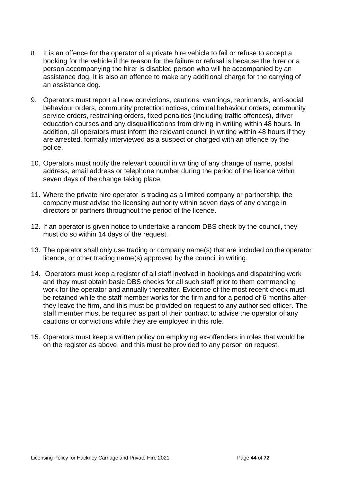- 8. It is an offence for the operator of a private hire vehicle to fail or refuse to accept a booking for the vehicle if the reason for the failure or refusal is because the hirer or a person accompanying the hirer is disabled person who will be accompanied by an assistance dog. It is also an offence to make any additional charge for the carrying of an assistance dog.
- 9. Operators must report all new convictions, cautions, warnings, reprimands, anti-social behaviour orders, community protection notices, criminal behaviour orders, community service orders, restraining orders, fixed penalties (including traffic offences), driver education courses and any disqualifications from driving in writing within 48 hours. In addition, all operators must inform the relevant council in writing within 48 hours if they are arrested, formally interviewed as a suspect or charged with an offence by the police.
- 10. Operators must notify the relevant council in writing of any change of name, postal address, email address or telephone number during the period of the licence within seven days of the change taking place.
- 11. Where the private hire operator is trading as a limited company or partnership, the company must advise the licensing authority within seven days of any change in directors or partners throughout the period of the licence.
- 12. If an operator is given notice to undertake a random DBS check by the council, they must do so within 14 days of the request.
- 13. The operator shall only use trading or company name(s) that are included on the operator licence, or other trading name(s) approved by the council in writing.
- 14. Operators must keep a register of all staff involved in bookings and dispatching work and they must obtain basic DBS checks for all such staff prior to them commencing work for the operator and annually thereafter. Evidence of the most recent check must be retained while the staff member works for the firm and for a period of 6 months after they leave the firm, and this must be provided on request to any authorised officer. The staff member must be required as part of their contract to advise the operator of any cautions or convictions while they are employed in this role.
- 15. Operators must keep a written policy on employing ex-offenders in roles that would be on the register as above, and this must be provided to any person on request.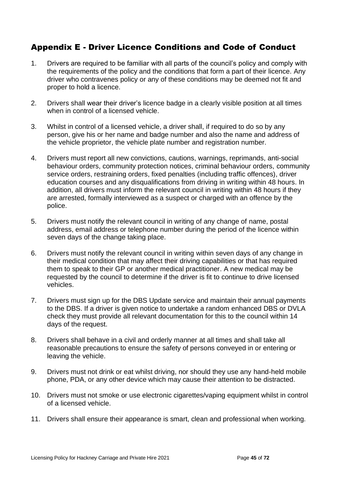# Appendix E - Driver Licence Conditions and Code of Conduct

- 1. Drivers are required to be familiar with all parts of the council's policy and comply with the requirements of the policy and the conditions that form a part of their licence. Any driver who contravenes policy or any of these conditions may be deemed not fit and proper to hold a licence.
- 2. Drivers shall wear their driver's licence badge in a clearly visible position at all times when in control of a licensed vehicle.
- 3. Whilst in control of a licensed vehicle, a driver shall, if required to do so by any person, give his or her name and badge number and also the name and address of the vehicle proprietor, the vehicle plate number and registration number.
- 4. Drivers must report all new convictions, cautions, warnings, reprimands, anti-social behaviour orders, community protection notices, criminal behaviour orders, community service orders, restraining orders, fixed penalties (including traffic offences), driver education courses and any disqualifications from driving in writing within 48 hours. In addition, all drivers must inform the relevant council in writing within 48 hours if they are arrested, formally interviewed as a suspect or charged with an offence by the police.
- 5. Drivers must notify the relevant council in writing of any change of name, postal address, email address or telephone number during the period of the licence within seven days of the change taking place.
- 6. Drivers must notify the relevant council in writing within seven days of any change in their medical condition that may affect their driving capabilities or that has required them to speak to their GP or another medical practitioner. A new medical may be requested by the council to determine if the driver is fit to continue to drive licensed vehicles.
- 7. Drivers must sign up for the DBS Update service and maintain their annual payments to the DBS. If a driver is given notice to undertake a random enhanced DBS or DVLA check they must provide all relevant documentation for this to the council within 14 days of the request.
- 8. Drivers shall behave in a civil and orderly manner at all times and shall take all reasonable precautions to ensure the safety of persons conveyed in or entering or leaving the vehicle.
- 9. Drivers must not drink or eat whilst driving, nor should they use any hand-held mobile phone, PDA, or any other device which may cause their attention to be distracted.
- 10. Drivers must not smoke or use electronic cigarettes/vaping equipment whilst in control of a licensed vehicle.
- 11. Drivers shall ensure their appearance is smart, clean and professional when working.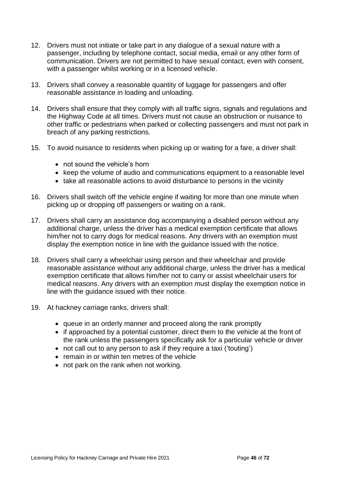- 12. Drivers must not initiate or take part in any dialogue of a sexual nature with a passenger, including by telephone contact, social media, email or any other form of communication. Drivers are not permitted to have sexual contact, even with consent, with a passenger whilst working or in a licensed vehicle.
- 13. Drivers shall convey a reasonable quantity of luggage for passengers and offer reasonable assistance in loading and unloading.
- 14. Drivers shall ensure that they comply with all traffic signs, signals and regulations and the Highway Code at all times. Drivers must not cause an obstruction or nuisance to other traffic or pedestrians when parked or collecting passengers and must not park in breach of any parking restrictions.
- 15. To avoid nuisance to residents when picking up or waiting for a fare, a driver shall:
	- not sound the vehicle's horn
	- keep the volume of audio and communications equipment to a reasonable level
	- take all reasonable actions to avoid disturbance to persons in the vicinity
- 16. Drivers shall switch off the vehicle engine if waiting for more than one minute when picking up or dropping off passengers or waiting on a rank.
- 17. Drivers shall carry an assistance dog accompanying a disabled person without any additional charge, unless the driver has a medical exemption certificate that allows him/her not to carry dogs for medical reasons. Any drivers with an exemption must display the exemption notice in line with the guidance issued with the notice.
- 18. Drivers shall carry a wheelchair using person and their wheelchair and provide reasonable assistance without any additional charge, unless the driver has a medical exemption certificate that allows him/her not to carry or assist wheelchair users for medical reasons. Any drivers with an exemption must display the exemption notice in line with the guidance issued with their notice.
- 19. At hackney carriage ranks, drivers shall:
	- queue in an orderly manner and proceed along the rank promptly
	- if approached by a potential customer, direct them to the vehicle at the front of the rank unless the passengers specifically ask for a particular vehicle or driver
	- not call out to any person to ask if they require a taxi ('touting')
	- remain in or within ten metres of the vehicle
	- not park on the rank when not working.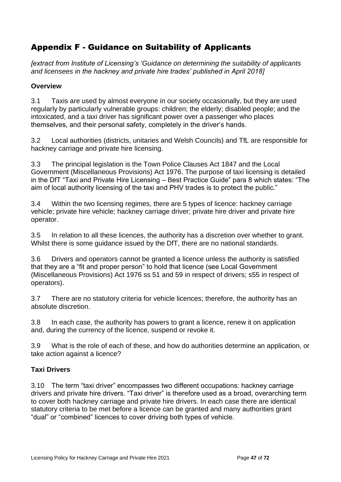# Appendix F - Guidance on Suitability of Applicants

*[extract from Institute of Licensing's 'Guidance on determining the suitability of applicants and licensees in the hackney and private hire trades' published in April 2018]*

# **Overview**

3.1 Taxis are used by almost everyone in our society occasionally, but they are used regularly by particularly vulnerable groups: children; the elderly; disabled people; and the intoxicated, and a taxi driver has significant power over a passenger who places themselves, and their personal safety, completely in the driver's hands.

3.2 Local authorities (districts, unitaries and Welsh Councils) and TfL are responsible for hackney carriage and private hire licensing.

3.3 The principal legislation is the Town Police Clauses Act 1847 and the Local Government (Miscellaneous Provisions) Act 1976. The purpose of taxi licensing is detailed in the DfT "Taxi and Private Hire Licensing – Best Practice Guide" para 8 which states: "The aim of local authority licensing of the taxi and PHV trades is to protect the public."

3.4 Within the two licensing regimes, there are 5 types of licence: hackney carriage vehicle; private hire vehicle; hackney carriage driver; private hire driver and private hire operator.

3.5 In relation to all these licences, the authority has a discretion over whether to grant. Whilst there is some guidance issued by the DfT, there are no national standards.

3.6 Drivers and operators cannot be granted a licence unless the authority is satisfied that they are a "fit and proper person" to hold that licence (see Local Government (Miscellaneous Provisions) Act 1976 ss 51 and 59 in respect of drivers; s55 in respect of operators).

3.7 There are no statutory criteria for vehicle licences; therefore, the authority has an absolute discretion.

3.8 In each case, the authority has powers to grant a licence, renew it on application and, during the currency of the licence, suspend or revoke it.

3.9 What is the role of each of these, and how do authorities determine an application, or take action against a licence?

# **Taxi Drivers**

3.10 The term "taxi driver" encompasses two different occupations: hackney carriage drivers and private hire drivers. "Taxi driver" is therefore used as a broad, overarching term to cover both hackney carriage and private hire drivers. In each case there are identical statutory criteria to be met before a licence can be granted and many authorities grant "dual" or "combined" licences to cover driving both types of vehicle.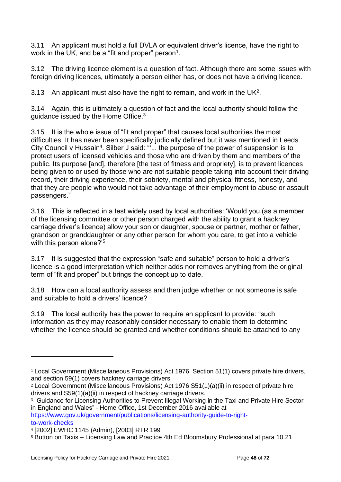3.11 An applicant must hold a full DVLA or equivalent driver's licence, have the right to work in the UK, and be a "fit and proper" person $^{\rm 1}.$ 

3.12 The driving licence element is a question of fact. Although there are some issues with foreign driving licences, ultimately a person either has, or does not have a driving licence.

3.13 An applicant must also have the right to remain, and work in the UK<sup>2</sup>.

3.14 Again, this is ultimately a question of fact and the local authority should follow the guidance issued by the Home Office.<sup>3</sup>

3.15 It is the whole issue of "fit and proper" that causes local authorities the most difficulties. It has never been specifically judicially defined but it was mentioned in Leeds City Council v Hussain<sup>4</sup>. Silber J said: ""... the purpose of the power of suspension is to protect users of licensed vehicles and those who are driven by them and members of the public. Its purpose [and], therefore [the test of fitness and propriety], is to prevent licences being given to or used by those who are not suitable people taking into account their driving record, their driving experience, their sobriety, mental and physical fitness, honesty, and that they are people who would not take advantage of their employment to abuse or assault passengers."

3.16 This is reflected in a test widely used by local authorities: 'Would you (as a member of the licensing committee or other person charged with the ability to grant a hackney carriage driver's licence) allow your son or daughter, spouse or partner, mother or father, grandson or granddaughter or any other person for whom you care, to get into a vehicle with this person alone?<sup>'5</sup>

3.17 It is suggested that the expression "safe and suitable" person to hold a driver's licence is a good interpretation which neither adds nor removes anything from the original term of "fit and proper" but brings the concept up to date.

3.18 How can a local authority assess and then judge whether or not someone is safe and suitable to hold a drivers' licence?

3.19 The local authority has the power to require an applicant to provide: "such information as they may reasonably consider necessary to enable them to determine whether the licence should be granted and whether conditions should be attached to any

https://www.gov.uk/government/publications/licensing-authority-guide-to-rightto‐work‐checks

<sup>1</sup> Local Government (Miscellaneous Provisions) Act 1976. Section 51(1) covers private hire drivers, and section 59(1) covers hackney carriage drivers.

<sup>2</sup> Local Government (Miscellaneous Provisions) Act 1976 S51(1)(a)(ii) in respect of private hire drivers and S59(1)(a)(ii) in respect of hackney carriage drivers.

<sup>3</sup> "Guidance for Licensing Authorities to Prevent Illegal Working in the Taxi and Private Hire Sector in England and Wales" ‐ Home Office, 1st December 2016 available at

<sup>4</sup> [2002] EWHC 1145 (Admin), [2003] RTR 199

<sup>5</sup> Button on Taxis – Licensing Law and Practice 4th Ed Bloomsbury Professional at para 10.21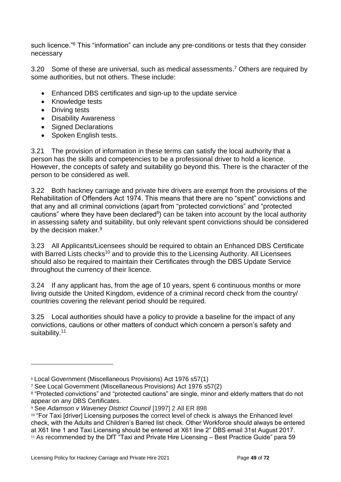such licence.<sup>"6</sup> This "information" can include any pre-conditions or tests that they consider necessary

3.20 Some of these are universal, such as medical assessments.<sup>7</sup> Others are required by some authorities, but not others. These include:

- Enhanced DBS certificates and sign‐up to the update service
- Knowledge tests
- Driving tests
- Disability Awareness
- Signed Declarations
- Spoken English tests.

3.21 The provision of information in these terms can satisfy the local authority that a person has the skills and competencies to be a professional driver to hold a licence. However, the concepts of safety and suitability go beyond this. There is the character of the person to be considered as well.

3.22 Both hackney carriage and private hire drivers are exempt from the provisions of the Rehabilitation of Offenders Act 1974. This means that there are no "spent" convictions and that any and all criminal convictions (apart from "protected convictions" and "protected cautions" where they have been declared $8$ ) can be taken into account by the local authority in assessing safety and suitability, but only relevant spent convictions should be considered by the decision maker.<sup>9</sup>

3.23 All Applicants/Licensees should be required to obtain an Enhanced DBS Certificate with Barred Lists checks<sup>10</sup> and to provide this to the Licensing Authority. All Licensees should also be required to maintain their Certificates through the DBS Update Service throughout the currency of their licence.

3.24 If any applicant has, from the age of 10 years, spent 6 continuous months or more living outside the United Kingdom, evidence of a criminal record check from the country/ countries covering the relevant period should be required.

3.25 Local authorities should have a policy to provide a baseline for the impact of any convictions, cautions or other matters of conduct which concern a person's safety and suitability.<sup>11</sup>

<sup>6</sup> Local Government (Miscellaneous Provisions) Act 1976 s57(1)

<sup>7</sup> See Local Government (Miscellaneous Provisions) Act 1976 s57(2)

<sup>8 &</sup>quot;Protected convictions" and "protected cautions" are single, minor and elderly matters that do not appear on any DBS Certificates.

<sup>9</sup> See *Adamson v Waveney District Council* [1997] 2 All ER 898

<sup>&</sup>lt;sup>10</sup> "For Taxi [driver] Licensing purposes the correct level of check is always the Enhanced level check, with the Adults and Children's Barred list check. Other Workforce should always be entered at X61 line 1 and Taxi Licensing should be entered at X61 line 2" DBS email 31st August 2017.  $11$  As recommended by the DfT "Taxi and Private Hire Licensing – Best Practice Guide" para 59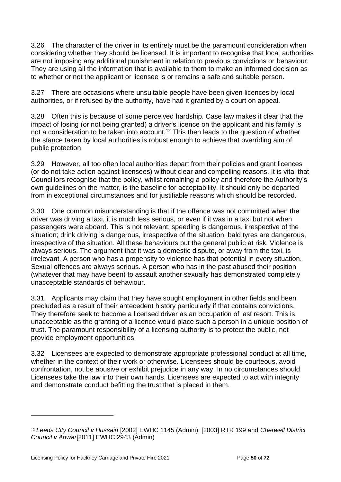3.26 The character of the driver in its entirety must be the paramount consideration when considering whether they should be licensed. It is important to recognise that local authorities are not imposing any additional punishment in relation to previous convictions or behaviour. They are using all the information that is available to them to make an informed decision as to whether or not the applicant or licensee is or remains a safe and suitable person.

3.27 There are occasions where unsuitable people have been given licences by local authorities, or if refused by the authority, have had it granted by a court on appeal.

3.28 Often this is because of some perceived hardship. Case law makes it clear that the impact of losing (or not being granted) a driver's licence on the applicant and his family is not a consideration to be taken into account.<sup>12</sup> This then leads to the question of whether the stance taken by local authorities is robust enough to achieve that overriding aim of public protection.

3.29 However, all too often local authorities depart from their policies and grant licences (or do not take action against licensees) without clear and compelling reasons. It is vital that Councillors recognise that the policy, whilst remaining a policy and therefore the Authority's own guidelines on the matter, is the baseline for acceptability. It should only be departed from in exceptional circumstances and for justifiable reasons which should be recorded.

3.30 One common misunderstanding is that if the offence was not committed when the driver was driving a taxi, it is much less serious, or even if it was in a taxi but not when passengers were aboard. This is not relevant: speeding is dangerous, irrespective of the situation; drink driving is dangerous, irrespective of the situation; bald tyres are dangerous, irrespective of the situation. All these behaviours put the general public at risk. Violence is always serious. The argument that it was a domestic dispute, or away from the taxi, is irrelevant. A person who has a propensity to violence has that potential in every situation. Sexual offences are always serious. A person who has in the past abused their position (whatever that may have been) to assault another sexually has demonstrated completely unacceptable standards of behaviour.

3.31 Applicants may claim that they have sought employment in other fields and been precluded as a result of their antecedent history particularly if that contains convictions. They therefore seek to become a licensed driver as an occupation of last resort. This is unacceptable as the granting of a licence would place such a person in a unique position of trust. The paramount responsibility of a licensing authority is to protect the public, not provide employment opportunities.

3.32 Licensees are expected to demonstrate appropriate professional conduct at all time, whether in the context of their work or otherwise. Licensees should be courteous, avoid confrontation, not be abusive or exhibit prejudice in any way. In no circumstances should Licensees take the law into their own hands. Licensees are expected to act with integrity and demonstrate conduct befitting the trust that is placed in them.

<sup>12</sup> *Leeds City Council v Hussain* [2002] EWHC 1145 (Admin), [2003] RTR 199 and *Cherwell District Council v Anwar*[2011] EWHC 2943 (Admin)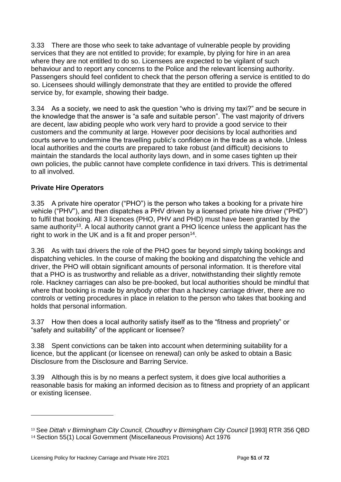3.33 There are those who seek to take advantage of vulnerable people by providing services that they are not entitled to provide; for example, by plying for hire in an area where they are not entitled to do so. Licensees are expected to be vigilant of such behaviour and to report any concerns to the Police and the relevant licensing authority. Passengers should feel confident to check that the person offering a service is entitled to do so. Licensees should willingly demonstrate that they are entitled to provide the offered service by, for example, showing their badge.

3.34 As a society, we need to ask the question "who is driving my taxi?" and be secure in the knowledge that the answer is "a safe and suitable person". The vast majority of drivers are decent, law abiding people who work very hard to provide a good service to their customers and the community at large. However poor decisions by local authorities and courts serve to undermine the travelling public's confidence in the trade as a whole. Unless local authorities and the courts are prepared to take robust (and difficult) decisions to maintain the standards the local authority lays down, and in some cases tighten up their own policies, the public cannot have complete confidence in taxi drivers. This is detrimental to all involved.

# **Private Hire Operators**

3.35 A private hire operator ("PHO") is the person who takes a booking for a private hire vehicle ("PHV"), and then dispatches a PHV driven by a licensed private hire driver ("PHD") to fulfil that booking. All 3 licences (PHO, PHV and PHD) must have been granted by the same authority<sup>13</sup>. A local authority cannot grant a PHO licence unless the applicant has the right to work in the UK and is a fit and proper person<sup>14</sup>.

3.36 As with taxi drivers the role of the PHO goes far beyond simply taking bookings and dispatching vehicles. In the course of making the booking and dispatching the vehicle and driver, the PHO will obtain significant amounts of personal information. It is therefore vital that a PHO is as trustworthy and reliable as a driver, notwithstanding their slightly remote role. Hackney carriages can also be pre‐booked, but local authorities should be mindful that where that booking is made by anybody other than a hackney carriage driver, there are no controls or vetting procedures in place in relation to the person who takes that booking and holds that personal information.

3.37 How then does a local authority satisfy itself as to the "fitness and propriety" or "safety and suitability" of the applicant or licensee?

3.38 Spent convictions can be taken into account when determining suitability for a licence, but the applicant (or licensee on renewal) can only be asked to obtain a Basic Disclosure from the Disclosure and Barring Service.

3.39 Although this is by no means a perfect system, it does give local authorities a reasonable basis for making an informed decision as to fitness and propriety of an applicant or existing licensee.

<sup>&</sup>lt;sup>13</sup> See *Dittah v Birmingham City Council, Choudhry v Birmingham City Council [1993] RTR 356 QBD* <sup>14</sup> Section 55(1) Local Government (Miscellaneous Provisions) Act 1976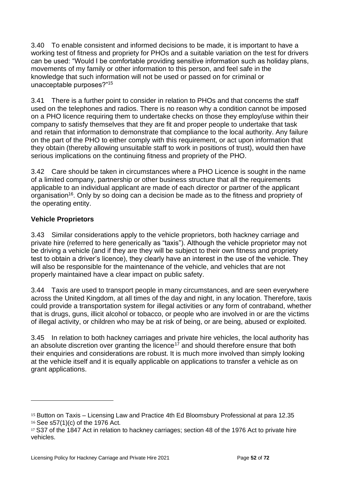3.40 To enable consistent and informed decisions to be made, it is important to have a working test of fitness and propriety for PHOs and a suitable variation on the test for drivers can be used: "Would I be comfortable providing sensitive information such as holiday plans, movements of my family or other information to this person, and feel safe in the knowledge that such information will not be used or passed on for criminal or unacceptable purposes?"<sup>15</sup>

3.41 There is a further point to consider in relation to PHOs and that concerns the staff used on the telephones and radios. There is no reason why a condition cannot be imposed on a PHO licence requiring them to undertake checks on those they employ/use within their company to satisfy themselves that they are fit and proper people to undertake that task and retain that information to demonstrate that compliance to the local authority. Any failure on the part of the PHO to either comply with this requirement, or act upon information that they obtain (thereby allowing unsuitable staff to work in positions of trust), would then have serious implications on the continuing fitness and propriety of the PHO.

3.42 Care should be taken in circumstances where a PHO Licence is sought in the name of a limited company, partnership or other business structure that all the requirements applicable to an individual applicant are made of each director or partner of the applicant organisation<sup>16</sup>. Only by so doing can a decision be made as to the fitness and propriety of the operating entity.

# **Vehicle Proprietors**

3.43 Similar considerations apply to the vehicle proprietors, both hackney carriage and private hire (referred to here generically as "taxis"). Although the vehicle proprietor may not be driving a vehicle (and if they are they will be subject to their own fitness and propriety test to obtain a driver's licence), they clearly have an interest in the use of the vehicle. They will also be responsible for the maintenance of the vehicle, and vehicles that are not properly maintained have a clear impact on public safety.

3.44 Taxis are used to transport people in many circumstances, and are seen everywhere across the United Kingdom, at all times of the day and night, in any location. Therefore, taxis could provide a transportation system for illegal activities or any form of contraband, whether that is drugs, guns, illicit alcohol or tobacco, or people who are involved in or are the victims of illegal activity, or children who may be at risk of being, or are being, abused or exploited.

3.45 In relation to both hackney carriages and private hire vehicles, the local authority has an absolute discretion over granting the licence<sup>17</sup> and should therefore ensure that both their enquiries and considerations are robust. It is much more involved than simply looking at the vehicle itself and it is equally applicable on applications to transfer a vehicle as on grant applications.

<sup>15</sup> Button on Taxis – Licensing Law and Practice 4th Ed Bloomsbury Professional at para 12.35 <sup>16</sup> See s57(1)(c) of the 1976 Act.

<sup>&</sup>lt;sup>17</sup> S37 of the 1847 Act in relation to hackney carriages; section 48 of the 1976 Act to private hire vehicles.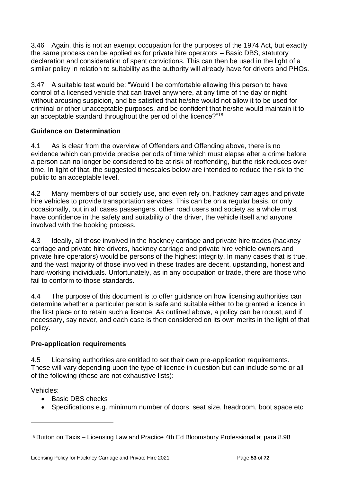3.46 Again, this is not an exempt occupation for the purposes of the 1974 Act, but exactly the same process can be applied as for private hire operators – Basic DBS, statutory declaration and consideration of spent convictions. This can then be used in the light of a similar policy in relation to suitability as the authority will already have for drivers and PHOs.

3.47 A suitable test would be: "Would I be comfortable allowing this person to have control of a licensed vehicle that can travel anywhere, at any time of the day or night without arousing suspicion, and be satisfied that he/she would not allow it to be used for criminal or other unacceptable purposes, and be confident that he/she would maintain it to an acceptable standard throughout the period of the licence?"<sup>18</sup>

# **Guidance on Determination**

4.1 As is clear from the overview of Offenders and Offending above, there is no evidence which can provide precise periods of time which must elapse after a crime before a person can no longer be considered to be at risk of reoffending, but the risk reduces over time. In light of that, the suggested timescales below are intended to reduce the risk to the public to an acceptable level.

4.2 Many members of our society use, and even rely on, hackney carriages and private hire vehicles to provide transportation services. This can be on a regular basis, or only occasionally, but in all cases passengers, other road users and society as a whole must have confidence in the safety and suitability of the driver, the vehicle itself and anyone involved with the booking process.

4.3 Ideally, all those involved in the hackney carriage and private hire trades (hackney carriage and private hire drivers, hackney carriage and private hire vehicle owners and private hire operators) would be persons of the highest integrity. In many cases that is true, and the vast majority of those involved in these trades are decent, upstanding, honest and hard-working individuals. Unfortunately, as in any occupation or trade, there are those who fail to conform to those standards.

4.4 The purpose of this document is to offer guidance on how licensing authorities can determine whether a particular person is safe and suitable either to be granted a licence in the first place or to retain such a licence. As outlined above, a policy can be robust, and if necessary, say never, and each case is then considered on its own merits in the light of that policy.

# **Pre**‐**application requirements**

4.5 Licensing authorities are entitled to set their own pre‐application requirements. These will vary depending upon the type of licence in question but can include some or all of the following (these are not exhaustive lists):

Vehicles:

- Basic DBS checks
- Specifications e.g. minimum number of doors, seat size, headroom, boot space etc

<sup>18</sup> Button on Taxis – Licensing Law and Practice 4th Ed Bloomsbury Professional at para 8.98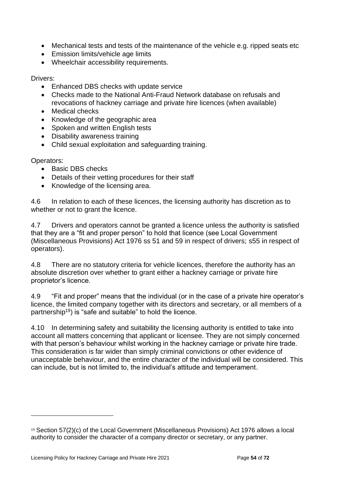- Mechanical tests and tests of the maintenance of the vehicle e.g. ripped seats etc
- Emission limits/vehicle age limits
- Wheelchair accessibility requirements.

## Drivers:

- Enhanced DBS checks with update service
- Checks made to the National Anti-Fraud Network database on refusals and revocations of hackney carriage and private hire licences (when available)
- Medical checks
- Knowledge of the geographic area
- Spoken and written English tests
- Disability awareness training
- Child sexual exploitation and safeguarding training.

Operators:

- Basic DBS checks
- Details of their vetting procedures for their staff
- Knowledge of the licensing area.

4.6 In relation to each of these licences, the licensing authority has discretion as to whether or not to grant the licence.

4.7 Drivers and operators cannot be granted a licence unless the authority is satisfied that they are a "fit and proper person" to hold that licence (see Local Government (Miscellaneous Provisions) Act 1976 ss 51 and 59 in respect of drivers; s55 in respect of operators).

4.8 There are no statutory criteria for vehicle licences, therefore the authority has an absolute discretion over whether to grant either a hackney carriage or private hire proprietor's licence.

4.9 "Fit and proper" means that the individual (or in the case of a private hire operator's licence, the limited company together with its directors and secretary, or all members of a partnership<sup>19</sup>) is "safe and suitable" to hold the licence.

4.10 In determining safety and suitability the licensing authority is entitled to take into account all matters concerning that applicant or licensee. They are not simply concerned with that person's behaviour whilst working in the hackney carriage or private hire trade. This consideration is far wider than simply criminal convictions or other evidence of unacceptable behaviour, and the entire character of the individual will be considered. This can include, but is not limited to, the individual's attitude and temperament.

 $19$  Section 57(2)(c) of the Local Government (Miscellaneous Provisions) Act 1976 allows a local authority to consider the character of a company director or secretary, or any partner.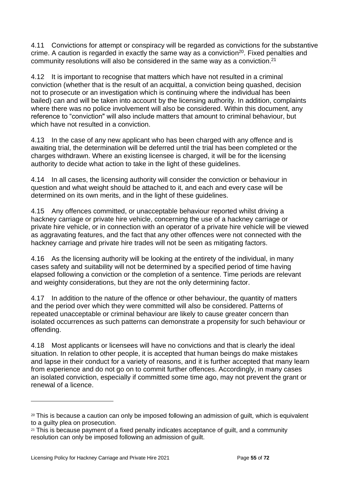4.11 Convictions for attempt or conspiracy will be regarded as convictions for the substantive crime. A caution is regarded in exactly the same way as a conviction<sup>20</sup>. Fixed penalties and community resolutions will also be considered in the same way as a conviction.<sup>21</sup>

4.12 It is important to recognise that matters which have not resulted in a criminal conviction (whether that is the result of an acquittal, a conviction being quashed, decision not to prosecute or an investigation which is continuing where the individual has been bailed) can and will be taken into account by the licensing authority. In addition, complaints where there was no police involvement will also be considered. Within this document, any reference to "conviction" will also include matters that amount to criminal behaviour, but which have not resulted in a conviction.

4.13 In the case of any new applicant who has been charged with any offence and is awaiting trial, the determination will be deferred until the trial has been completed or the charges withdrawn. Where an existing licensee is charged, it will be for the licensing authority to decide what action to take in the light of these guidelines.

4.14 In all cases, the licensing authority will consider the conviction or behaviour in question and what weight should be attached to it, and each and every case will be determined on its own merits, and in the light of these guidelines.

4.15 Any offences committed, or unacceptable behaviour reported whilst driving a hackney carriage or private hire vehicle, concerning the use of a hackney carriage or private hire vehicle, or in connection with an operator of a private hire vehicle will be viewed as aggravating features, and the fact that any other offences were not connected with the hackney carriage and private hire trades will not be seen as mitigating factors.

4.16 As the licensing authority will be looking at the entirety of the individual, in many cases safety and suitability will not be determined by a specified period of time having elapsed following a conviction or the completion of a sentence. Time periods are relevant and weighty considerations, but they are not the only determining factor.

4.17 In addition to the nature of the offence or other behaviour, the quantity of matters and the period over which they were committed will also be considered. Patterns of repeated unacceptable or criminal behaviour are likely to cause greater concern than isolated occurrences as such patterns can demonstrate a propensity for such behaviour or offending.

4.18 Most applicants or licensees will have no convictions and that is clearly the ideal situation. In relation to other people, it is accepted that human beings do make mistakes and lapse in their conduct for a variety of reasons, and it is further accepted that many learn from experience and do not go on to commit further offences. Accordingly, in many cases an isolated conviction, especially if committed some time ago, may not prevent the grant or renewal of a licence.

<sup>&</sup>lt;sup>20</sup> This is because a caution can only be imposed following an admission of guilt, which is equivalent to a guilty plea on prosecution.

 $21$  This is because payment of a fixed penalty indicates acceptance of quilt, and a community resolution can only be imposed following an admission of guilt.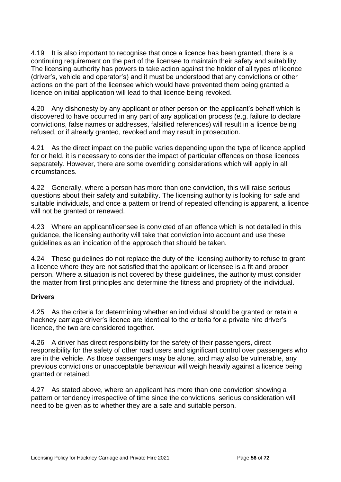4.19 It is also important to recognise that once a licence has been granted, there is a continuing requirement on the part of the licensee to maintain their safety and suitability. The licensing authority has powers to take action against the holder of all types of licence (driver's, vehicle and operator's) and it must be understood that any convictions or other actions on the part of the licensee which would have prevented them being granted a licence on initial application will lead to that licence being revoked.

4.20 Any dishonesty by any applicant or other person on the applicant's behalf which is discovered to have occurred in any part of any application process (e.g. failure to declare convictions, false names or addresses, falsified references) will result in a licence being refused, or if already granted, revoked and may result in prosecution.

4.21 As the direct impact on the public varies depending upon the type of licence applied for or held, it is necessary to consider the impact of particular offences on those licences separately. However, there are some overriding considerations which will apply in all circumstances.

4.22 Generally, where a person has more than one conviction, this will raise serious questions about their safety and suitability. The licensing authority is looking for safe and suitable individuals, and once a pattern or trend of repeated offending is apparent, a licence will not be granted or renewed.

4.23 Where an applicant/licensee is convicted of an offence which is not detailed in this guidance, the licensing authority will take that conviction into account and use these guidelines as an indication of the approach that should be taken.

4.24 These guidelines do not replace the duty of the licensing authority to refuse to grant a licence where they are not satisfied that the applicant or licensee is a fit and proper person. Where a situation is not covered by these guidelines, the authority must consider the matter from first principles and determine the fitness and propriety of the individual.

# **Drivers**

4.25 As the criteria for determining whether an individual should be granted or retain a hackney carriage driver's licence are identical to the criteria for a private hire driver's licence, the two are considered together.

4.26 A driver has direct responsibility for the safety of their passengers, direct responsibility for the safety of other road users and significant control over passengers who are in the vehicle. As those passengers may be alone, and may also be vulnerable, any previous convictions or unacceptable behaviour will weigh heavily against a licence being granted or retained.

4.27 As stated above, where an applicant has more than one conviction showing a pattern or tendency irrespective of time since the convictions, serious consideration will need to be given as to whether they are a safe and suitable person.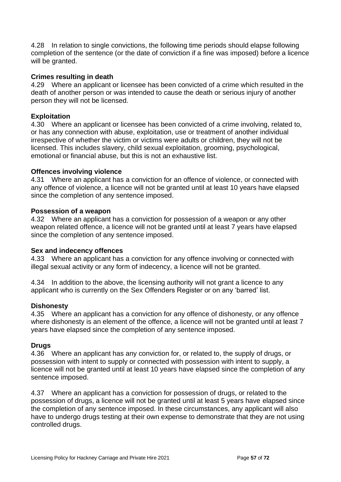4.28 In relation to single convictions, the following time periods should elapse following completion of the sentence (or the date of conviction if a fine was imposed) before a licence will be granted.

## **Crimes resulting in death**

4.29 Where an applicant or licensee has been convicted of a crime which resulted in the death of another person or was intended to cause the death or serious injury of another person they will not be licensed.

## **Exploitation**

4.30 Where an applicant or licensee has been convicted of a crime involving, related to, or has any connection with abuse, exploitation, use or treatment of another individual irrespective of whether the victim or victims were adults or children, they will not be licensed. This includes slavery, child sexual exploitation, grooming, psychological, emotional or financial abuse, but this is not an exhaustive list.

## **Offences involving violence**

4.31 Where an applicant has a conviction for an offence of violence, or connected with any offence of violence, a licence will not be granted until at least 10 years have elapsed since the completion of any sentence imposed.

#### **Possession of a weapon**

4.32 Where an applicant has a conviction for possession of a weapon or any other weapon related offence, a licence will not be granted until at least 7 years have elapsed since the completion of any sentence imposed.

## **Sex and indecency offences**

4.33 Where an applicant has a conviction for any offence involving or connected with illegal sexual activity or any form of indecency, a licence will not be granted.

4.34 In addition to the above, the licensing authority will not grant a licence to any applicant who is currently on the Sex Offenders Register or on any 'barred' list.

## **Dishonesty**

4.35 Where an applicant has a conviction for any offence of dishonesty, or any offence where dishonesty is an element of the offence, a licence will not be granted until at least 7 years have elapsed since the completion of any sentence imposed.

## **Drugs**

4.36 Where an applicant has any conviction for, or related to, the supply of drugs, or possession with intent to supply or connected with possession with intent to supply, a licence will not be granted until at least 10 years have elapsed since the completion of any sentence imposed.

4.37 Where an applicant has a conviction for possession of drugs, or related to the possession of drugs, a licence will not be granted until at least 5 years have elapsed since the completion of any sentence imposed. In these circumstances, any applicant will also have to undergo drugs testing at their own expense to demonstrate that they are not using controlled drugs.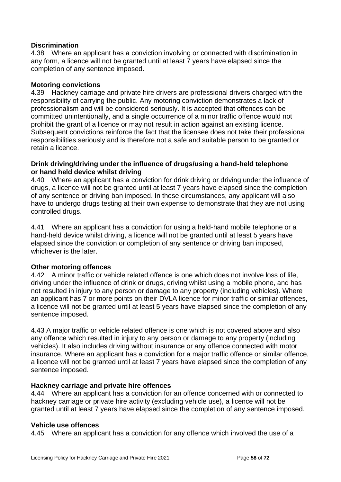## **Discrimination**

4.38 Where an applicant has a conviction involving or connected with discrimination in any form, a licence will not be granted until at least 7 years have elapsed since the completion of any sentence imposed.

## **Motoring convictions**

4.39 Hackney carriage and private hire drivers are professional drivers charged with the responsibility of carrying the public. Any motoring conviction demonstrates a lack of professionalism and will be considered seriously. It is accepted that offences can be committed unintentionally, and a single occurrence of a minor traffic offence would not prohibit the grant of a licence or may not result in action against an existing licence. Subsequent convictions reinforce the fact that the licensee does not take their professional responsibilities seriously and is therefore not a safe and suitable person to be granted or retain a licence.

## **Drink driving/driving under the influence of drugs/using a hand**‐**held telephone or hand held device whilst driving**

4.40 Where an applicant has a conviction for drink driving or driving under the influence of drugs, a licence will not be granted until at least 7 years have elapsed since the completion of any sentence or driving ban imposed. In these circumstances, any applicant will also have to undergo drugs testing at their own expense to demonstrate that they are not using controlled drugs.

4.41 Where an applicant has a conviction for using a held‐hand mobile telephone or a hand-held device whilst driving, a licence will not be granted until at least 5 years have elapsed since the conviction or completion of any sentence or driving ban imposed, whichever is the later.

## **Other motoring offences**

4.42 A minor traffic or vehicle related offence is one which does not involve loss of life, driving under the influence of drink or drugs, driving whilst using a mobile phone, and has not resulted in injury to any person or damage to any property (including vehicles). Where an applicant has 7 or more points on their DVLA licence for minor traffic or similar offences, a licence will not be granted until at least 5 years have elapsed since the completion of any sentence imposed.

4.43 A major traffic or vehicle related offence is one which is not covered above and also any offence which resulted in injury to any person or damage to any property (including vehicles). It also includes driving without insurance or any offence connected with motor insurance. Where an applicant has a conviction for a major traffic offence or similar offence, a licence will not be granted until at least 7 years have elapsed since the completion of any sentence imposed.

## **Hackney carriage and private hire offences**

4.44 Where an applicant has a conviction for an offence concerned with or connected to hackney carriage or private hire activity (excluding vehicle use), a licence will not be granted until at least 7 years have elapsed since the completion of any sentence imposed.

## **Vehicle use offences**

4.45 Where an applicant has a conviction for any offence which involved the use of a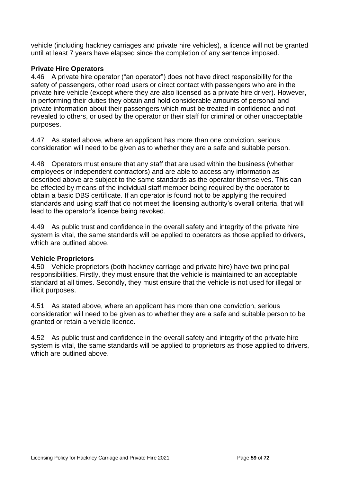vehicle (including hackney carriages and private hire vehicles), a licence will not be granted until at least 7 years have elapsed since the completion of any sentence imposed.

# **Private Hire Operators**

4.46 A private hire operator ("an operator") does not have direct responsibility for the safety of passengers, other road users or direct contact with passengers who are in the private hire vehicle (except where they are also licensed as a private hire driver). However, in performing their duties they obtain and hold considerable amounts of personal and private information about their passengers which must be treated in confidence and not revealed to others, or used by the operator or their staff for criminal or other unacceptable purposes.

4.47 As stated above, where an applicant has more than one conviction, serious consideration will need to be given as to whether they are a safe and suitable person.

4.48 Operators must ensure that any staff that are used within the business (whether employees or independent contractors) and are able to access any information as described above are subject to the same standards as the operator themselves. This can be effected by means of the individual staff member being required by the operator to obtain a basic DBS certificate. If an operator is found not to be applying the required standards and using staff that do not meet the licensing authority's overall criteria, that will lead to the operator's licence being revoked.

4.49 As public trust and confidence in the overall safety and integrity of the private hire system is vital, the same standards will be applied to operators as those applied to drivers, which are outlined above.

# **Vehicle Proprietors**

4.50 Vehicle proprietors (both hackney carriage and private hire) have two principal responsibilities. Firstly, they must ensure that the vehicle is maintained to an acceptable standard at all times. Secondly, they must ensure that the vehicle is not used for illegal or illicit purposes.

4.51 As stated above, where an applicant has more than one conviction, serious consideration will need to be given as to whether they are a safe and suitable person to be granted or retain a vehicle licence.

4.52 As public trust and confidence in the overall safety and integrity of the private hire system is vital, the same standards will be applied to proprietors as those applied to drivers, which are outlined above.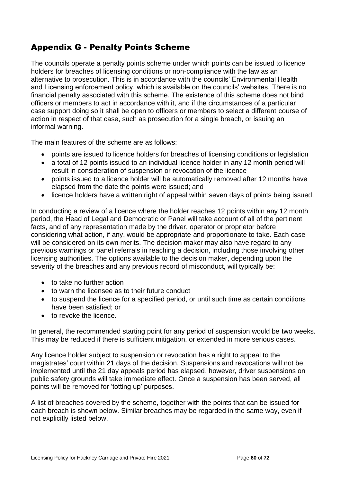# Appendix G - Penalty Points Scheme

The councils operate a penalty points scheme under which points can be issued to licence holders for breaches of licensing conditions or non-compliance with the law as an alternative to prosecution. This is in accordance with the councils' Environmental Health and Licensing enforcement policy, which is available on the councils' websites. There is no financial penalty associated with this scheme. The existence of this scheme does not bind officers or members to act in accordance with it, and if the circumstances of a particular case support doing so it shall be open to officers or members to select a different course of action in respect of that case, such as prosecution for a single breach, or issuing an informal warning.

The main features of the scheme are as follows:

- points are issued to licence holders for breaches of licensing conditions or legislation
- a total of 12 points issued to an individual licence holder in any 12 month period will result in consideration of suspension or revocation of the licence
- points issued to a licence holder will be automatically removed after 12 months have elapsed from the date the points were issued; and
- licence holders have a written right of appeal within seven days of points being issued.

In conducting a review of a licence where the holder reaches 12 points within any 12 month period, the Head of Legal and Democratic or Panel will take account of all of the pertinent facts, and of any representation made by the driver, operator or proprietor before considering what action, if any, would be appropriate and proportionate to take. Each case will be considered on its own merits. The decision maker may also have regard to any previous warnings or panel referrals in reaching a decision, including those involving other licensing authorities. The options available to the decision maker, depending upon the severity of the breaches and any previous record of misconduct, will typically be:

- to take no further action
- to warn the licensee as to their future conduct
- to suspend the licence for a specified period, or until such time as certain conditions have been satisfied; or
- to revoke the licence.

In general, the recommended starting point for any period of suspension would be two weeks. This may be reduced if there is sufficient mitigation, or extended in more serious cases.

Any licence holder subject to suspension or revocation has a right to appeal to the magistrates' court within 21 days of the decision. Suspensions and revocations will not be implemented until the 21 day appeals period has elapsed, however, driver suspensions on public safety grounds will take immediate effect. Once a suspension has been served, all points will be removed for 'totting up' purposes.

A list of breaches covered by the scheme, together with the points that can be issued for each breach is shown below. Similar breaches may be regarded in the same way, even if not explicitly listed below.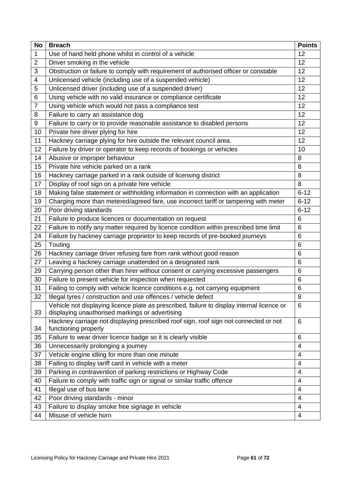| Use of hand held phone whilst in control of a vehicle<br>12<br>1<br>2<br>Driver smoking in the vehicle<br>12<br>3<br>Obstruction or failure to comply with requirement of authorised officer or constable<br>12<br>Unlicensed vehicle (including use of a suspended vehicle)<br>12<br>4<br>Unlicensed driver (including use of a suspended driver)<br>12<br>5<br>Using vehicle with no valid insurance or compliance certificate<br>12<br>6<br>$\overline{7}$<br>Using vehicle which would not pass a compliance test<br>12<br>Failure to carry an assistance dog<br>12<br>8<br>Failure to carry or to provide reasonable assistance to disabled persons<br>9<br>12<br>Private hire driver plying for hire<br>12<br>10<br>Hackney carriage plying for hire outside the relevant council area.<br>12<br>11<br>Failure by driver or operator to keep records of bookings or vehicles<br>12<br>10<br>Abusive or improper behaviour<br>14<br>8<br>Private hire vehicle parked on a rank<br>15<br>8<br>Hackney carriage parked in a rank outside of licensing district<br>16<br>8<br>Display of roof sign on a private hire vehicle<br>17<br>8<br>Making false statement or withholding information in connection with an application<br>$6 - 12$<br>18<br>Charging more than metered/agreed fare, use incorrect tariff or tampering with meter<br>$6 - 12$<br>19<br>Poor driving standards<br>$6 - 12$<br>20<br>21<br>Failure to produce licences or documentation on request<br>6<br>Failure to notify any matter required by licence condition within prescribed time limit<br>22<br>6<br>24<br>Failure by hackney carriage proprietor to keep records of pre-booked journeys<br>6<br>25<br>Touting<br>6<br>26<br>Hackney carriage driver refusing fare from rank without good reason<br>6<br>27<br>Leaving a hackney carriage unattended on a designated rank<br>6<br>Carrying person other than hirer without consent or carrying excessive passengers<br>29<br>6<br>Failure to present vehicle for inspection when requested<br>30<br>6<br>Failing to comply with vehicle licence conditions e.g. not carrying equipment<br>31<br>6<br>32<br>Illegal tyres / construction and use offences / vehicle defect<br>8<br>Vehicle not displaying licence plate as prescribed, failure to display internal licence or<br>6<br>33<br>displaying unauthorised markings or advertising<br>Hackney carriage not displaying prescribed roof sign, roof sign not connected or not<br>6<br>34<br>functioning properly<br>Failure to wear driver licence badge so it is clearly visible<br>35<br>6<br>36<br>Unnecessarily prolonging a journey<br>4<br>Vehicle engine idling for more than one minute<br>37<br>4<br>Failing to display tariff card in vehicle with a meter<br>38<br>4<br>Parking in contravention of parking restrictions or Highway Code<br>39<br>4<br>Failure to comply with traffic sign or signal or similar traffic offence<br>40<br>4<br>Illegal use of bus lane<br>41<br>4<br>Poor driving standards - minor<br>42<br>4<br>Failure to display smoke free signage in vehicle<br>43<br>4 | <b>No</b> | <b>Breach</b>          | <b>Points</b> |
|-------------------------------------------------------------------------------------------------------------------------------------------------------------------------------------------------------------------------------------------------------------------------------------------------------------------------------------------------------------------------------------------------------------------------------------------------------------------------------------------------------------------------------------------------------------------------------------------------------------------------------------------------------------------------------------------------------------------------------------------------------------------------------------------------------------------------------------------------------------------------------------------------------------------------------------------------------------------------------------------------------------------------------------------------------------------------------------------------------------------------------------------------------------------------------------------------------------------------------------------------------------------------------------------------------------------------------------------------------------------------------------------------------------------------------------------------------------------------------------------------------------------------------------------------------------------------------------------------------------------------------------------------------------------------------------------------------------------------------------------------------------------------------------------------------------------------------------------------------------------------------------------------------------------------------------------------------------------------------------------------------------------------------------------------------------------------------------------------------------------------------------------------------------------------------------------------------------------------------------------------------------------------------------------------------------------------------------------------------------------------------------------------------------------------------------------------------------------------------------------------------------------------------------------------------------------------------------------------------------------------------------------------------------------------------------------------------------------------------------------------------------------------------------------------------------------------------------------------------------------------------------------------------------------------------------------------------------------------------------------------------------------------------------------------------------------------------------------------|-----------|------------------------|---------------|
|                                                                                                                                                                                                                                                                                                                                                                                                                                                                                                                                                                                                                                                                                                                                                                                                                                                                                                                                                                                                                                                                                                                                                                                                                                                                                                                                                                                                                                                                                                                                                                                                                                                                                                                                                                                                                                                                                                                                                                                                                                                                                                                                                                                                                                                                                                                                                                                                                                                                                                                                                                                                                                                                                                                                                                                                                                                                                                                                                                                                                                                                                                 |           |                        |               |
|                                                                                                                                                                                                                                                                                                                                                                                                                                                                                                                                                                                                                                                                                                                                                                                                                                                                                                                                                                                                                                                                                                                                                                                                                                                                                                                                                                                                                                                                                                                                                                                                                                                                                                                                                                                                                                                                                                                                                                                                                                                                                                                                                                                                                                                                                                                                                                                                                                                                                                                                                                                                                                                                                                                                                                                                                                                                                                                                                                                                                                                                                                 |           |                        |               |
|                                                                                                                                                                                                                                                                                                                                                                                                                                                                                                                                                                                                                                                                                                                                                                                                                                                                                                                                                                                                                                                                                                                                                                                                                                                                                                                                                                                                                                                                                                                                                                                                                                                                                                                                                                                                                                                                                                                                                                                                                                                                                                                                                                                                                                                                                                                                                                                                                                                                                                                                                                                                                                                                                                                                                                                                                                                                                                                                                                                                                                                                                                 |           |                        |               |
|                                                                                                                                                                                                                                                                                                                                                                                                                                                                                                                                                                                                                                                                                                                                                                                                                                                                                                                                                                                                                                                                                                                                                                                                                                                                                                                                                                                                                                                                                                                                                                                                                                                                                                                                                                                                                                                                                                                                                                                                                                                                                                                                                                                                                                                                                                                                                                                                                                                                                                                                                                                                                                                                                                                                                                                                                                                                                                                                                                                                                                                                                                 |           |                        |               |
|                                                                                                                                                                                                                                                                                                                                                                                                                                                                                                                                                                                                                                                                                                                                                                                                                                                                                                                                                                                                                                                                                                                                                                                                                                                                                                                                                                                                                                                                                                                                                                                                                                                                                                                                                                                                                                                                                                                                                                                                                                                                                                                                                                                                                                                                                                                                                                                                                                                                                                                                                                                                                                                                                                                                                                                                                                                                                                                                                                                                                                                                                                 |           |                        |               |
|                                                                                                                                                                                                                                                                                                                                                                                                                                                                                                                                                                                                                                                                                                                                                                                                                                                                                                                                                                                                                                                                                                                                                                                                                                                                                                                                                                                                                                                                                                                                                                                                                                                                                                                                                                                                                                                                                                                                                                                                                                                                                                                                                                                                                                                                                                                                                                                                                                                                                                                                                                                                                                                                                                                                                                                                                                                                                                                                                                                                                                                                                                 |           |                        |               |
|                                                                                                                                                                                                                                                                                                                                                                                                                                                                                                                                                                                                                                                                                                                                                                                                                                                                                                                                                                                                                                                                                                                                                                                                                                                                                                                                                                                                                                                                                                                                                                                                                                                                                                                                                                                                                                                                                                                                                                                                                                                                                                                                                                                                                                                                                                                                                                                                                                                                                                                                                                                                                                                                                                                                                                                                                                                                                                                                                                                                                                                                                                 |           |                        |               |
|                                                                                                                                                                                                                                                                                                                                                                                                                                                                                                                                                                                                                                                                                                                                                                                                                                                                                                                                                                                                                                                                                                                                                                                                                                                                                                                                                                                                                                                                                                                                                                                                                                                                                                                                                                                                                                                                                                                                                                                                                                                                                                                                                                                                                                                                                                                                                                                                                                                                                                                                                                                                                                                                                                                                                                                                                                                                                                                                                                                                                                                                                                 |           |                        |               |
|                                                                                                                                                                                                                                                                                                                                                                                                                                                                                                                                                                                                                                                                                                                                                                                                                                                                                                                                                                                                                                                                                                                                                                                                                                                                                                                                                                                                                                                                                                                                                                                                                                                                                                                                                                                                                                                                                                                                                                                                                                                                                                                                                                                                                                                                                                                                                                                                                                                                                                                                                                                                                                                                                                                                                                                                                                                                                                                                                                                                                                                                                                 |           |                        |               |
|                                                                                                                                                                                                                                                                                                                                                                                                                                                                                                                                                                                                                                                                                                                                                                                                                                                                                                                                                                                                                                                                                                                                                                                                                                                                                                                                                                                                                                                                                                                                                                                                                                                                                                                                                                                                                                                                                                                                                                                                                                                                                                                                                                                                                                                                                                                                                                                                                                                                                                                                                                                                                                                                                                                                                                                                                                                                                                                                                                                                                                                                                                 |           |                        |               |
|                                                                                                                                                                                                                                                                                                                                                                                                                                                                                                                                                                                                                                                                                                                                                                                                                                                                                                                                                                                                                                                                                                                                                                                                                                                                                                                                                                                                                                                                                                                                                                                                                                                                                                                                                                                                                                                                                                                                                                                                                                                                                                                                                                                                                                                                                                                                                                                                                                                                                                                                                                                                                                                                                                                                                                                                                                                                                                                                                                                                                                                                                                 |           |                        |               |
|                                                                                                                                                                                                                                                                                                                                                                                                                                                                                                                                                                                                                                                                                                                                                                                                                                                                                                                                                                                                                                                                                                                                                                                                                                                                                                                                                                                                                                                                                                                                                                                                                                                                                                                                                                                                                                                                                                                                                                                                                                                                                                                                                                                                                                                                                                                                                                                                                                                                                                                                                                                                                                                                                                                                                                                                                                                                                                                                                                                                                                                                                                 |           |                        |               |
|                                                                                                                                                                                                                                                                                                                                                                                                                                                                                                                                                                                                                                                                                                                                                                                                                                                                                                                                                                                                                                                                                                                                                                                                                                                                                                                                                                                                                                                                                                                                                                                                                                                                                                                                                                                                                                                                                                                                                                                                                                                                                                                                                                                                                                                                                                                                                                                                                                                                                                                                                                                                                                                                                                                                                                                                                                                                                                                                                                                                                                                                                                 |           |                        |               |
|                                                                                                                                                                                                                                                                                                                                                                                                                                                                                                                                                                                                                                                                                                                                                                                                                                                                                                                                                                                                                                                                                                                                                                                                                                                                                                                                                                                                                                                                                                                                                                                                                                                                                                                                                                                                                                                                                                                                                                                                                                                                                                                                                                                                                                                                                                                                                                                                                                                                                                                                                                                                                                                                                                                                                                                                                                                                                                                                                                                                                                                                                                 |           |                        |               |
|                                                                                                                                                                                                                                                                                                                                                                                                                                                                                                                                                                                                                                                                                                                                                                                                                                                                                                                                                                                                                                                                                                                                                                                                                                                                                                                                                                                                                                                                                                                                                                                                                                                                                                                                                                                                                                                                                                                                                                                                                                                                                                                                                                                                                                                                                                                                                                                                                                                                                                                                                                                                                                                                                                                                                                                                                                                                                                                                                                                                                                                                                                 |           |                        |               |
|                                                                                                                                                                                                                                                                                                                                                                                                                                                                                                                                                                                                                                                                                                                                                                                                                                                                                                                                                                                                                                                                                                                                                                                                                                                                                                                                                                                                                                                                                                                                                                                                                                                                                                                                                                                                                                                                                                                                                                                                                                                                                                                                                                                                                                                                                                                                                                                                                                                                                                                                                                                                                                                                                                                                                                                                                                                                                                                                                                                                                                                                                                 |           |                        |               |
|                                                                                                                                                                                                                                                                                                                                                                                                                                                                                                                                                                                                                                                                                                                                                                                                                                                                                                                                                                                                                                                                                                                                                                                                                                                                                                                                                                                                                                                                                                                                                                                                                                                                                                                                                                                                                                                                                                                                                                                                                                                                                                                                                                                                                                                                                                                                                                                                                                                                                                                                                                                                                                                                                                                                                                                                                                                                                                                                                                                                                                                                                                 |           |                        |               |
|                                                                                                                                                                                                                                                                                                                                                                                                                                                                                                                                                                                                                                                                                                                                                                                                                                                                                                                                                                                                                                                                                                                                                                                                                                                                                                                                                                                                                                                                                                                                                                                                                                                                                                                                                                                                                                                                                                                                                                                                                                                                                                                                                                                                                                                                                                                                                                                                                                                                                                                                                                                                                                                                                                                                                                                                                                                                                                                                                                                                                                                                                                 |           |                        |               |
|                                                                                                                                                                                                                                                                                                                                                                                                                                                                                                                                                                                                                                                                                                                                                                                                                                                                                                                                                                                                                                                                                                                                                                                                                                                                                                                                                                                                                                                                                                                                                                                                                                                                                                                                                                                                                                                                                                                                                                                                                                                                                                                                                                                                                                                                                                                                                                                                                                                                                                                                                                                                                                                                                                                                                                                                                                                                                                                                                                                                                                                                                                 |           |                        |               |
|                                                                                                                                                                                                                                                                                                                                                                                                                                                                                                                                                                                                                                                                                                                                                                                                                                                                                                                                                                                                                                                                                                                                                                                                                                                                                                                                                                                                                                                                                                                                                                                                                                                                                                                                                                                                                                                                                                                                                                                                                                                                                                                                                                                                                                                                                                                                                                                                                                                                                                                                                                                                                                                                                                                                                                                                                                                                                                                                                                                                                                                                                                 |           |                        |               |
|                                                                                                                                                                                                                                                                                                                                                                                                                                                                                                                                                                                                                                                                                                                                                                                                                                                                                                                                                                                                                                                                                                                                                                                                                                                                                                                                                                                                                                                                                                                                                                                                                                                                                                                                                                                                                                                                                                                                                                                                                                                                                                                                                                                                                                                                                                                                                                                                                                                                                                                                                                                                                                                                                                                                                                                                                                                                                                                                                                                                                                                                                                 |           |                        |               |
|                                                                                                                                                                                                                                                                                                                                                                                                                                                                                                                                                                                                                                                                                                                                                                                                                                                                                                                                                                                                                                                                                                                                                                                                                                                                                                                                                                                                                                                                                                                                                                                                                                                                                                                                                                                                                                                                                                                                                                                                                                                                                                                                                                                                                                                                                                                                                                                                                                                                                                                                                                                                                                                                                                                                                                                                                                                                                                                                                                                                                                                                                                 |           |                        |               |
|                                                                                                                                                                                                                                                                                                                                                                                                                                                                                                                                                                                                                                                                                                                                                                                                                                                                                                                                                                                                                                                                                                                                                                                                                                                                                                                                                                                                                                                                                                                                                                                                                                                                                                                                                                                                                                                                                                                                                                                                                                                                                                                                                                                                                                                                                                                                                                                                                                                                                                                                                                                                                                                                                                                                                                                                                                                                                                                                                                                                                                                                                                 |           |                        |               |
|                                                                                                                                                                                                                                                                                                                                                                                                                                                                                                                                                                                                                                                                                                                                                                                                                                                                                                                                                                                                                                                                                                                                                                                                                                                                                                                                                                                                                                                                                                                                                                                                                                                                                                                                                                                                                                                                                                                                                                                                                                                                                                                                                                                                                                                                                                                                                                                                                                                                                                                                                                                                                                                                                                                                                                                                                                                                                                                                                                                                                                                                                                 |           |                        |               |
|                                                                                                                                                                                                                                                                                                                                                                                                                                                                                                                                                                                                                                                                                                                                                                                                                                                                                                                                                                                                                                                                                                                                                                                                                                                                                                                                                                                                                                                                                                                                                                                                                                                                                                                                                                                                                                                                                                                                                                                                                                                                                                                                                                                                                                                                                                                                                                                                                                                                                                                                                                                                                                                                                                                                                                                                                                                                                                                                                                                                                                                                                                 |           |                        |               |
|                                                                                                                                                                                                                                                                                                                                                                                                                                                                                                                                                                                                                                                                                                                                                                                                                                                                                                                                                                                                                                                                                                                                                                                                                                                                                                                                                                                                                                                                                                                                                                                                                                                                                                                                                                                                                                                                                                                                                                                                                                                                                                                                                                                                                                                                                                                                                                                                                                                                                                                                                                                                                                                                                                                                                                                                                                                                                                                                                                                                                                                                                                 |           |                        |               |
|                                                                                                                                                                                                                                                                                                                                                                                                                                                                                                                                                                                                                                                                                                                                                                                                                                                                                                                                                                                                                                                                                                                                                                                                                                                                                                                                                                                                                                                                                                                                                                                                                                                                                                                                                                                                                                                                                                                                                                                                                                                                                                                                                                                                                                                                                                                                                                                                                                                                                                                                                                                                                                                                                                                                                                                                                                                                                                                                                                                                                                                                                                 |           |                        |               |
|                                                                                                                                                                                                                                                                                                                                                                                                                                                                                                                                                                                                                                                                                                                                                                                                                                                                                                                                                                                                                                                                                                                                                                                                                                                                                                                                                                                                                                                                                                                                                                                                                                                                                                                                                                                                                                                                                                                                                                                                                                                                                                                                                                                                                                                                                                                                                                                                                                                                                                                                                                                                                                                                                                                                                                                                                                                                                                                                                                                                                                                                                                 |           |                        |               |
|                                                                                                                                                                                                                                                                                                                                                                                                                                                                                                                                                                                                                                                                                                                                                                                                                                                                                                                                                                                                                                                                                                                                                                                                                                                                                                                                                                                                                                                                                                                                                                                                                                                                                                                                                                                                                                                                                                                                                                                                                                                                                                                                                                                                                                                                                                                                                                                                                                                                                                                                                                                                                                                                                                                                                                                                                                                                                                                                                                                                                                                                                                 |           |                        |               |
|                                                                                                                                                                                                                                                                                                                                                                                                                                                                                                                                                                                                                                                                                                                                                                                                                                                                                                                                                                                                                                                                                                                                                                                                                                                                                                                                                                                                                                                                                                                                                                                                                                                                                                                                                                                                                                                                                                                                                                                                                                                                                                                                                                                                                                                                                                                                                                                                                                                                                                                                                                                                                                                                                                                                                                                                                                                                                                                                                                                                                                                                                                 |           |                        |               |
|                                                                                                                                                                                                                                                                                                                                                                                                                                                                                                                                                                                                                                                                                                                                                                                                                                                                                                                                                                                                                                                                                                                                                                                                                                                                                                                                                                                                                                                                                                                                                                                                                                                                                                                                                                                                                                                                                                                                                                                                                                                                                                                                                                                                                                                                                                                                                                                                                                                                                                                                                                                                                                                                                                                                                                                                                                                                                                                                                                                                                                                                                                 |           |                        |               |
|                                                                                                                                                                                                                                                                                                                                                                                                                                                                                                                                                                                                                                                                                                                                                                                                                                                                                                                                                                                                                                                                                                                                                                                                                                                                                                                                                                                                                                                                                                                                                                                                                                                                                                                                                                                                                                                                                                                                                                                                                                                                                                                                                                                                                                                                                                                                                                                                                                                                                                                                                                                                                                                                                                                                                                                                                                                                                                                                                                                                                                                                                                 |           |                        |               |
|                                                                                                                                                                                                                                                                                                                                                                                                                                                                                                                                                                                                                                                                                                                                                                                                                                                                                                                                                                                                                                                                                                                                                                                                                                                                                                                                                                                                                                                                                                                                                                                                                                                                                                                                                                                                                                                                                                                                                                                                                                                                                                                                                                                                                                                                                                                                                                                                                                                                                                                                                                                                                                                                                                                                                                                                                                                                                                                                                                                                                                                                                                 |           |                        |               |
|                                                                                                                                                                                                                                                                                                                                                                                                                                                                                                                                                                                                                                                                                                                                                                                                                                                                                                                                                                                                                                                                                                                                                                                                                                                                                                                                                                                                                                                                                                                                                                                                                                                                                                                                                                                                                                                                                                                                                                                                                                                                                                                                                                                                                                                                                                                                                                                                                                                                                                                                                                                                                                                                                                                                                                                                                                                                                                                                                                                                                                                                                                 |           |                        |               |
|                                                                                                                                                                                                                                                                                                                                                                                                                                                                                                                                                                                                                                                                                                                                                                                                                                                                                                                                                                                                                                                                                                                                                                                                                                                                                                                                                                                                                                                                                                                                                                                                                                                                                                                                                                                                                                                                                                                                                                                                                                                                                                                                                                                                                                                                                                                                                                                                                                                                                                                                                                                                                                                                                                                                                                                                                                                                                                                                                                                                                                                                                                 |           |                        |               |
|                                                                                                                                                                                                                                                                                                                                                                                                                                                                                                                                                                                                                                                                                                                                                                                                                                                                                                                                                                                                                                                                                                                                                                                                                                                                                                                                                                                                                                                                                                                                                                                                                                                                                                                                                                                                                                                                                                                                                                                                                                                                                                                                                                                                                                                                                                                                                                                                                                                                                                                                                                                                                                                                                                                                                                                                                                                                                                                                                                                                                                                                                                 |           |                        |               |
|                                                                                                                                                                                                                                                                                                                                                                                                                                                                                                                                                                                                                                                                                                                                                                                                                                                                                                                                                                                                                                                                                                                                                                                                                                                                                                                                                                                                                                                                                                                                                                                                                                                                                                                                                                                                                                                                                                                                                                                                                                                                                                                                                                                                                                                                                                                                                                                                                                                                                                                                                                                                                                                                                                                                                                                                                                                                                                                                                                                                                                                                                                 |           |                        |               |
|                                                                                                                                                                                                                                                                                                                                                                                                                                                                                                                                                                                                                                                                                                                                                                                                                                                                                                                                                                                                                                                                                                                                                                                                                                                                                                                                                                                                                                                                                                                                                                                                                                                                                                                                                                                                                                                                                                                                                                                                                                                                                                                                                                                                                                                                                                                                                                                                                                                                                                                                                                                                                                                                                                                                                                                                                                                                                                                                                                                                                                                                                                 |           |                        |               |
|                                                                                                                                                                                                                                                                                                                                                                                                                                                                                                                                                                                                                                                                                                                                                                                                                                                                                                                                                                                                                                                                                                                                                                                                                                                                                                                                                                                                                                                                                                                                                                                                                                                                                                                                                                                                                                                                                                                                                                                                                                                                                                                                                                                                                                                                                                                                                                                                                                                                                                                                                                                                                                                                                                                                                                                                                                                                                                                                                                                                                                                                                                 |           |                        |               |
|                                                                                                                                                                                                                                                                                                                                                                                                                                                                                                                                                                                                                                                                                                                                                                                                                                                                                                                                                                                                                                                                                                                                                                                                                                                                                                                                                                                                                                                                                                                                                                                                                                                                                                                                                                                                                                                                                                                                                                                                                                                                                                                                                                                                                                                                                                                                                                                                                                                                                                                                                                                                                                                                                                                                                                                                                                                                                                                                                                                                                                                                                                 |           |                        |               |
|                                                                                                                                                                                                                                                                                                                                                                                                                                                                                                                                                                                                                                                                                                                                                                                                                                                                                                                                                                                                                                                                                                                                                                                                                                                                                                                                                                                                                                                                                                                                                                                                                                                                                                                                                                                                                                                                                                                                                                                                                                                                                                                                                                                                                                                                                                                                                                                                                                                                                                                                                                                                                                                                                                                                                                                                                                                                                                                                                                                                                                                                                                 |           |                        |               |
| 44<br>4                                                                                                                                                                                                                                                                                                                                                                                                                                                                                                                                                                                                                                                                                                                                                                                                                                                                                                                                                                                                                                                                                                                                                                                                                                                                                                                                                                                                                                                                                                                                                                                                                                                                                                                                                                                                                                                                                                                                                                                                                                                                                                                                                                                                                                                                                                                                                                                                                                                                                                                                                                                                                                                                                                                                                                                                                                                                                                                                                                                                                                                                                         |           | Misuse of vehicle horn |               |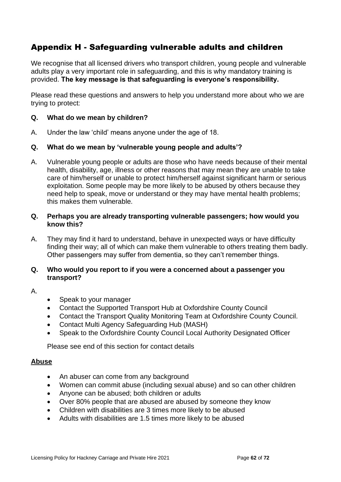# Appendix H - Safeguarding vulnerable adults and children

We recognise that all licensed drivers who transport children, young people and vulnerable adults play a very important role in safeguarding, and this is why mandatory training is provided. **The key message is that safeguarding is everyone's responsibility.**

Please read these questions and answers to help you understand more about who we are trying to protect:

## **Q. What do we mean by children?**

A. Under the law 'child' means anyone under the age of 18.

#### **Q. What do we mean by 'vulnerable young people and adults'?**

A. Vulnerable young people or adults are those who have needs because of their mental health, disability, age, illness or other reasons that may mean they are unable to take care of him/herself or unable to protect him/herself against significant harm or serious exploitation. Some people may be more likely to be abused by others because they need help to speak, move or understand or they may have mental health problems; this makes them vulnerable.

## **Q. Perhaps you are already transporting vulnerable passengers; how would you know this?**

A. They may find it hard to understand, behave in unexpected ways or have difficulty finding their way; all of which can make them vulnerable to others treating them badly. Other passengers may suffer from dementia, so they can't remember things.

#### **Q. Who would you report to if you were a concerned about a passenger you transport?**

## A.

- Speak to your manager
- Contact the Supported Transport Hub at Oxfordshire County Council
- Contact the Transport Quality Monitoring Team at Oxfordshire County Council.
- Contact Multi Agency Safeguarding Hub (MASH)
- Speak to the Oxfordshire County Council Local Authority Designated Officer

Please see end of this section for contact details

#### **Abuse**

- An abuser can come from any background
- Women can commit abuse (including sexual abuse) and so can other children
- Anyone can be abused; both children or adults
- Over 80% people that are abused are abused by someone they know
- Children with disabilities are 3 times more likely to be abused
- Adults with disabilities are 1.5 times more likely to be abused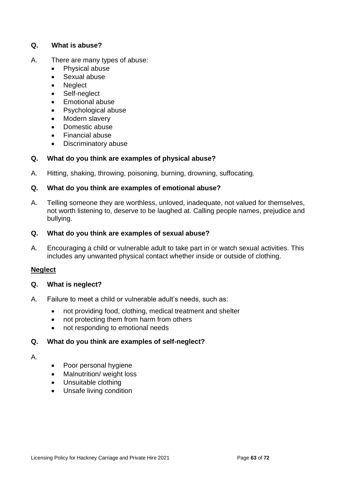## **Q. What is abuse?**

- A. There are many types of abuse:
	- Physical abuse
	- Sexual abuse
	- **Neglect**
	- Self-neglect
	- Emotional abuse
	- Psychological abuse
	- Modern slavery
	- Domestic abuse
	- Financial abuse
	- Discriminatory abuse

## **Q. What do you think are examples of physical abuse?**

A. Hitting, shaking, throwing, poisoning, burning, drowning, suffocating.

## **Q. What do you think are examples of emotional abuse?**

A. Telling someone they are worthless, unloved, inadequate, not valued for themselves, not worth listening to, deserve to be laughed at. Calling people names, prejudice and bullying.

## **Q. What do you think are examples of sexual abuse?**

A. Encouraging a child or vulnerable adult to take part in or watch sexual activities. This includes any unwanted physical contact whether inside or outside of clothing.

## **Neglect**

#### **Q. What is neglect?**

- A. Failure to meet a child or vulnerable adult's needs, such as:
	- not providing food, clothing, medical treatment and shelter
	- not protecting them from harm from others
	- not responding to emotional needs

## **Q. What do you think are examples of self-neglect?**

#### A.

- Poor personal hygiene
- Malnutrition/ weight loss
- Unsuitable clothing
- Unsafe living condition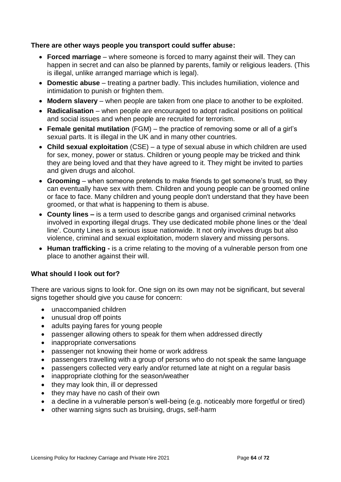## **There are other ways people you transport could suffer abuse:**

- **Forced marriage** where someone is forced to marry against their will. They can happen in secret and can also be planned by parents, family or religious leaders. (This is illegal, unlike arranged marriage which is legal).
- **Domestic abuse** treating a partner badly. This includes humiliation, violence and intimidation to punish or frighten them.
- **Modern slavery** when people are taken from one place to another to be exploited.
- **Radicalisation** when people are encouraged to adopt radical positions on political and social issues and when people are recruited for terrorism.
- **Female genital mutilation** (FGM) the practice of removing some or all of a girl's sexual parts. It is illegal in the UK and in many other countries.
- **Child sexual exploitation** (CSE) a type of [sexual abuse](http://www.nspcc.org.uk/preventing-abuse/child-abuse-and-neglect/child-sexual-abuse/) in which children are used for sex, money, power or status. Children or young people may be tricked and think they are being loved and that they have agreed to it. They might be invited to parties and given drugs and alcohol.
- **Grooming** when someone pretends to make friends to get someone's trust, so they can eventually have sex with them. Children and young people can be groomed online or face to face. Many children and young people don't understand that they have been [groomed,](http://www.nspcc.org.uk/preventing-abuse/child-abuse-and-neglect/grooming/) or that what is happening to them is abuse.
- **County lines –** is a term used to describe gangs and organised criminal networks involved in exporting illegal drugs. They use dedicated mobile phone lines or the 'deal line'. [County Lines](https://www.gov.uk/government/publications/criminal-exploitation-of-children-and-vulnerable-adults-county-lines) is a serious issue nationwide. It not only involves drugs but also violence, criminal and sexual exploitation, modern slavery and missing persons.
- **Human trafficking -** is a crime relating to the moving of a vulnerable person from one place to another against their will.

## **What should I look out for?**

There are various signs to look for. One sign on its own may not be significant, but several signs together should give you cause for concern:

- unaccompanied children
- unusual drop off points
- adults paying fares for young people
- passenger allowing others to speak for them when addressed directly
- inappropriate conversations
- passenger not knowing their home or work address
- passengers travelling with a group of persons who do not speak the same language
- passengers collected very early and/or returned late at night on a regular basis
- inappropriate clothing for the season/weather
- they may look thin, ill or depressed
- they may have no cash of their own
- a decline in a vulnerable person's well-being (e.g. noticeably more forgetful or tired)
- other warning signs such as bruising, drugs, self-harm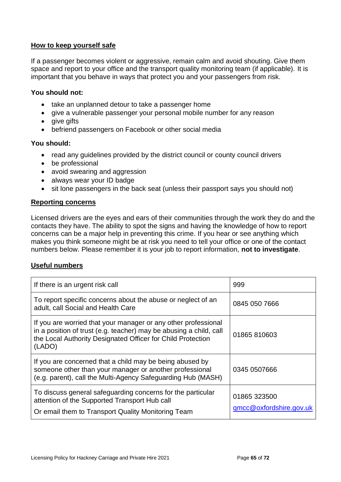## **How to keep yourself safe**

If a passenger becomes violent or aggressive, remain calm and avoid shouting. Give them space and report to your office and the transport quality monitoring team (if applicable). It is important that you behave in ways that protect you and your passengers from risk.

## **You should not:**

- take an unplanned detour to take a passenger home
- give a vulnerable passenger your personal mobile number for any reason
- give gifts
- befriend passengers on Facebook or other social media

#### **You should:**

- read any quidelines provided by the district council or county council drivers
- be professional
- avoid swearing and aggression
- always wear your ID badge
- sit lone passengers in the back seat (unless their passport says you should not)

#### **Reporting concerns**

Licensed drivers are the eyes and ears of their communities through the work they do and the contacts they have. The ability to spot the signs and having the knowledge of how to report concerns can be a major help in preventing this crime. If you hear or see anything which makes you think someone might be at risk you need to tell your office or one of the contact numbers below. Please remember it is your job to report information, **not to investigate**.

## **Useful numbers**

| If there is an urgent risk call                                                                                                                                                                               | 999                                     |
|---------------------------------------------------------------------------------------------------------------------------------------------------------------------------------------------------------------|-----------------------------------------|
| To report specific concerns about the abuse or neglect of an<br>adult, call Social and Health Care                                                                                                            | 0845 050 7666                           |
| If you are worried that your manager or any other professional<br>in a position of trust (e.g. teacher) may be abusing a child, call<br>the Local Authority Designated Officer for Child Protection<br>(LADO) | 01865 810603                            |
| If you are concerned that a child may be being abused by<br>someone other than your manager or another professional<br>(e.g. parent), call the Multi-Agency Safeguarding Hub (MASH)                           | 0345 0507666                            |
| To discuss general safeguarding concerns for the particular<br>attention of the Supported Transport Hub call<br>Or email them to Transport Quality Monitoring Team                                            | 01865 323500<br>qmcc@oxfordshire.gov.uk |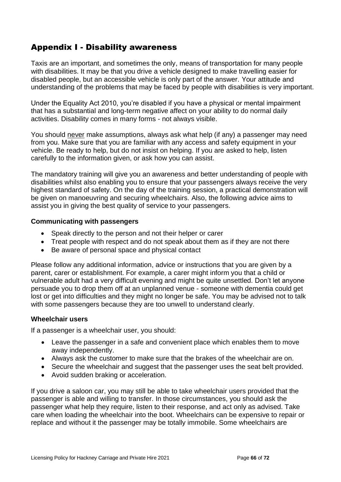# Appendix I - Disability awareness

Taxis are an important, and sometimes the only, means of transportation for many people with disabilities. It may be that you drive a vehicle designed to make travelling easier for disabled people, but an accessible vehicle is only part of the answer. Your attitude and understanding of the problems that may be faced by people with disabilities is very important.

Under the Equality Act 2010, you're disabled if you have a physical or mental impairment that has a substantial and long-term negative affect on your ability to do normal daily activities. Disability comes in many forms - not always visible.

You should never make assumptions, always ask what help (if any) a passenger may need from you. Make sure that you are familiar with any access and safety equipment in your vehicle. Be ready to help, but do not insist on helping. If you are asked to help, listen carefully to the information given, or ask how you can assist.

The mandatory training will give you an awareness and better understanding of people with disabilities whilst also enabling you to ensure that your passengers always receive the very highest standard of safety. On the day of the training session, a practical demonstration will be given on manoeuvring and securing wheelchairs. Also, the following advice aims to assist you in giving the best quality of service to your passengers.

#### **Communicating with passengers**

- Speak directly to the person and not their helper or carer
- Treat people with respect and do not speak about them as if they are not there
- Be aware of personal space and physical contact

Please follow any additional information, advice or instructions that you are given by a parent, carer or establishment. For example, a carer might inform you that a child or vulnerable adult had a very difficult evening and might be quite unsettled. Don't let anyone persuade you to drop them off at an unplanned venue - someone with dementia could get lost or get into difficulties and they might no longer be safe. You may be advised not to talk with some passengers because they are too unwell to understand clearly.

## **Wheelchair users**

If a passenger is a wheelchair user, you should:

- Leave the passenger in a safe and convenient place which enables them to move away independently.
- Always ask the customer to make sure that the brakes of the wheelchair are on.
- Secure the wheelchair and suggest that the passenger uses the seat belt provided.
- Avoid sudden braking or acceleration.

If you drive a saloon car, you may still be able to take wheelchair users provided that the passenger is able and willing to transfer. In those circumstances, you should ask the passenger what help they require, listen to their response, and act only as advised. Take care when loading the wheelchair into the boot. Wheelchairs can be expensive to repair or replace and without it the passenger may be totally immobile. Some wheelchairs are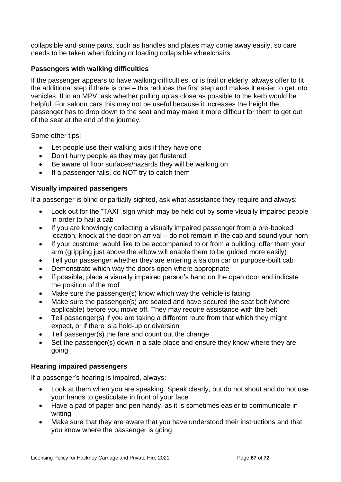collapsible and some parts, such as handles and plates may come away easily, so care needs to be taken when folding or loading collapsible wheelchairs.

# **Passengers with walking difficulties**

If the passenger appears to have walking difficulties, or is frail or elderly, always offer to fit the additional step if there is one – this reduces the first step and makes it easier to get into vehicles. If in an MPV, ask whether pulling up as close as possible to the kerb would be helpful. For saloon cars this may not be useful because it increases the height the passenger has to drop down to the seat and may make it more difficult for them to get out of the seat at the end of the journey.

Some other tips:

- Let people use their walking aids if they have one
- Don't hurry people as they may get flustered
- Be aware of floor surfaces/hazards they will be walking on
- If a passenger falls, do NOT try to catch them

# **Visually impaired passengers**

If a passenger is blind or partially sighted, ask what assistance they require and always:

- Look out for the "TAXI" sign which may be held out by some visually impaired people in order to hail a cab
- If you are knowingly collecting a visually impaired passenger from a pre-booked location, knock at the door on arrival – do not remain in the cab and sound your horn
- If your customer would like to be accompanied to or from a building, offer them your arm (gripping just above the elbow will enable them to be guided more easily)
- Tell your passenger whether they are entering a saloon car or purpose-built cab
- Demonstrate which way the doors open where appropriate
- If possible, place a visually impaired person's hand on the open door and indicate the position of the roof
- Make sure the passenger(s) know which way the vehicle is facing
- Make sure the passenger(s) are seated and have secured the seat belt (where applicable) before you move off. They may require assistance with the belt
- Tell passenger(s) if you are taking a different route from that which they might expect, or if there is a hold-up or diversion
- Tell passenger(s) the fare and count out the change
- Set the passenger(s) down in a safe place and ensure they know where they are going

# **Hearing impaired passengers**

If a passenger's hearing is impaired, always:

- Look at them when you are speaking. Speak clearly, but do not shout and do not use your hands to gesticulate in front of your face
- Have a pad of paper and pen handy, as it is sometimes easier to communicate in writing
- Make sure that they are aware that you have understood their instructions and that you know where the passenger is going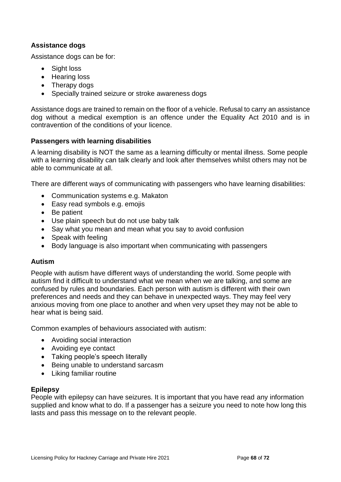# **Assistance dogs**

Assistance dogs can be for:

- Sight loss
- Hearing loss
- Therapy dogs
- Specially trained seizure or stroke awareness dogs

Assistance dogs are trained to remain on the floor of a vehicle. Refusal to carry an assistance dog without a medical exemption is an offence under the Equality Act 2010 and is in contravention of the conditions of your licence.

## **Passengers with learning disabilities**

A learning disability is NOT the same as a learning difficulty or mental illness. Some people with a learning disability can talk clearly and look after themselves whilst others may not be able to communicate at all.

There are different ways of communicating with passengers who have learning disabilities:

- Communication systems e.g. Makaton
- Easy read symbols e.g. emojis
- Be patient
- Use plain speech but do not use baby talk
- Say what you mean and mean what you say to avoid confusion
- Speak with feeling
- Body language is also important when communicating with passengers

# **Autism**

People with autism have different ways of understanding the world. Some people with autism find it difficult to understand what we mean when we are talking, and some are confused by rules and boundaries. Each person with autism is different with their own preferences and needs and they can behave in unexpected ways. They may feel very anxious moving from one place to another and when very upset they may not be able to hear what is being said.

Common examples of behaviours associated with autism:

- Avoiding social interaction
- Avoiding eye contact
- Taking people's speech literally
- Being unable to understand sarcasm
- Liking familiar routine

## **Epilepsy**

People with epilepsy can have seizures. It is important that you have read any information supplied and know what to do. If a passenger has a seizure you need to note how long this lasts and pass this message on to the relevant people.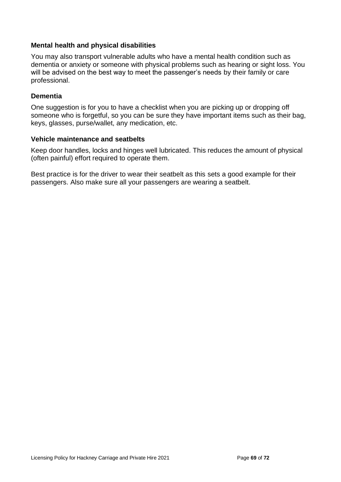## **Mental health and physical disabilities**

You may also transport vulnerable adults who have a mental health condition such as dementia or anxiety or someone with physical problems such as hearing or sight loss. You will be advised on the best way to meet the passenger's needs by their family or care professional.

## **Dementia**

One suggestion is for you to have a checklist when you are picking up or dropping off someone who is forgetful, so you can be sure they have important items such as their bag, keys, glasses, purse/wallet, any medication, etc.

#### **Vehicle maintenance and seatbelts**

Keep door handles, locks and hinges well lubricated. This reduces the amount of physical (often painful) effort required to operate them.

Best practice is for the driver to wear their seatbelt as this sets a good example for their passengers. Also make sure all your passengers are wearing a seatbelt.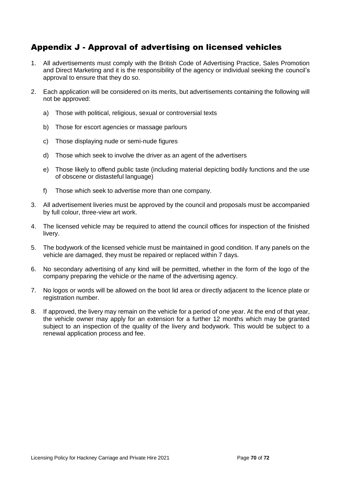# Appendix J - Approval of advertising on licensed vehicles

- 1. All advertisements must comply with the British Code of Advertising Practice, Sales Promotion and Direct Marketing and it is the responsibility of the agency or individual seeking the council's approval to ensure that they do so.
- 2. Each application will be considered on its merits, but advertisements containing the following will not be approved:
	- a) Those with political, religious, sexual or controversial texts
	- b) Those for escort agencies or massage parlours
	- c) Those displaying nude or semi-nude figures
	- d) Those which seek to involve the driver as an agent of the advertisers
	- e) Those likely to offend public taste (including material depicting bodily functions and the use of obscene or distasteful language)
	- f) Those which seek to advertise more than one company.
- 3. All advertisement liveries must be approved by the council and proposals must be accompanied by full colour, three-view art work.
- 4. The licensed vehicle may be required to attend the council offices for inspection of the finished livery.
- 5. The bodywork of the licensed vehicle must be maintained in good condition. If any panels on the vehicle are damaged, they must be repaired or replaced within 7 days.
- 6. No secondary advertising of any kind will be permitted, whether in the form of the logo of the company preparing the vehicle or the name of the advertising agency.
- 7. No logos or words will be allowed on the boot lid area or directly adjacent to the licence plate or registration number.
- 8. If approved, the livery may remain on the vehicle for a period of one year. At the end of that year, the vehicle owner may apply for an extension for a further 12 months which may be granted subject to an inspection of the quality of the livery and bodywork. This would be subject to a renewal application process and fee.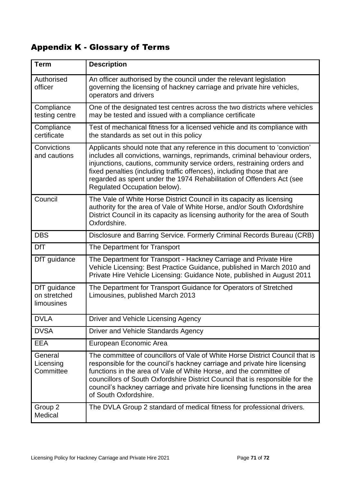# Appendix K - Glossary of Terms

| <b>Term</b>                                | <b>Description</b>                                                                                                                                                                                                                                                                                                                                                                                                       |
|--------------------------------------------|--------------------------------------------------------------------------------------------------------------------------------------------------------------------------------------------------------------------------------------------------------------------------------------------------------------------------------------------------------------------------------------------------------------------------|
| Authorised<br>officer                      | An officer authorised by the council under the relevant legislation<br>governing the licensing of hackney carriage and private hire vehicles,<br>operators and drivers                                                                                                                                                                                                                                                   |
| Compliance<br>testing centre               | One of the designated test centres across the two districts where vehicles<br>may be tested and issued with a compliance certificate                                                                                                                                                                                                                                                                                     |
| Compliance<br>certificate                  | Test of mechanical fitness for a licensed vehicle and its compliance with<br>the standards as set out in this policy                                                                                                                                                                                                                                                                                                     |
| Convictions<br>and cautions                | Applicants should note that any reference in this document to 'conviction'<br>includes all convictions, warnings, reprimands, criminal behaviour orders,<br>injunctions, cautions, community service orders, restraining orders and<br>fixed penalties (including traffic offences), including those that are<br>regarded as spent under the 1974 Rehabilitation of Offenders Act (see<br>Regulated Occupation below).   |
| Council                                    | The Vale of White Horse District Council in its capacity as licensing<br>authority for the area of Vale of White Horse, and/or South Oxfordshire<br>District Council in its capacity as licensing authority for the area of South<br>Oxfordshire.                                                                                                                                                                        |
| <b>DBS</b>                                 | Disclosure and Barring Service. Formerly Criminal Records Bureau (CRB)                                                                                                                                                                                                                                                                                                                                                   |
| <b>DfT</b>                                 | The Department for Transport                                                                                                                                                                                                                                                                                                                                                                                             |
| DfT guidance                               | The Department for Transport - Hackney Carriage and Private Hire<br>Vehicle Licensing: Best Practice Guidance, published in March 2010 and<br>Private Hire Vehicle Licensing: Guidance Note, published in August 2011                                                                                                                                                                                                    |
| DfT guidance<br>on stretched<br>limousines | The Department for Transport Guidance for Operators of Stretched<br>Limousines, published March 2013                                                                                                                                                                                                                                                                                                                     |
| <b>DVLA</b>                                | Driver and Vehicle Licensing Agency                                                                                                                                                                                                                                                                                                                                                                                      |
| <b>DVSA</b>                                | Driver and Vehicle Standards Agency                                                                                                                                                                                                                                                                                                                                                                                      |
| <b>EEA</b>                                 | European Economic Area                                                                                                                                                                                                                                                                                                                                                                                                   |
| General<br>Licensing<br>Committee          | The committee of councillors of Vale of White Horse District Council that is<br>responsible for the council's hackney carriage and private hire licensing<br>functions in the area of Vale of White Horse, and the committee of<br>councillors of South Oxfordshire District Council that is responsible for the<br>council's hackney carriage and private hire licensing functions in the area<br>of South Oxfordshire. |
| Group 2<br>Medical                         | The DVLA Group 2 standard of medical fitness for professional drivers.                                                                                                                                                                                                                                                                                                                                                   |